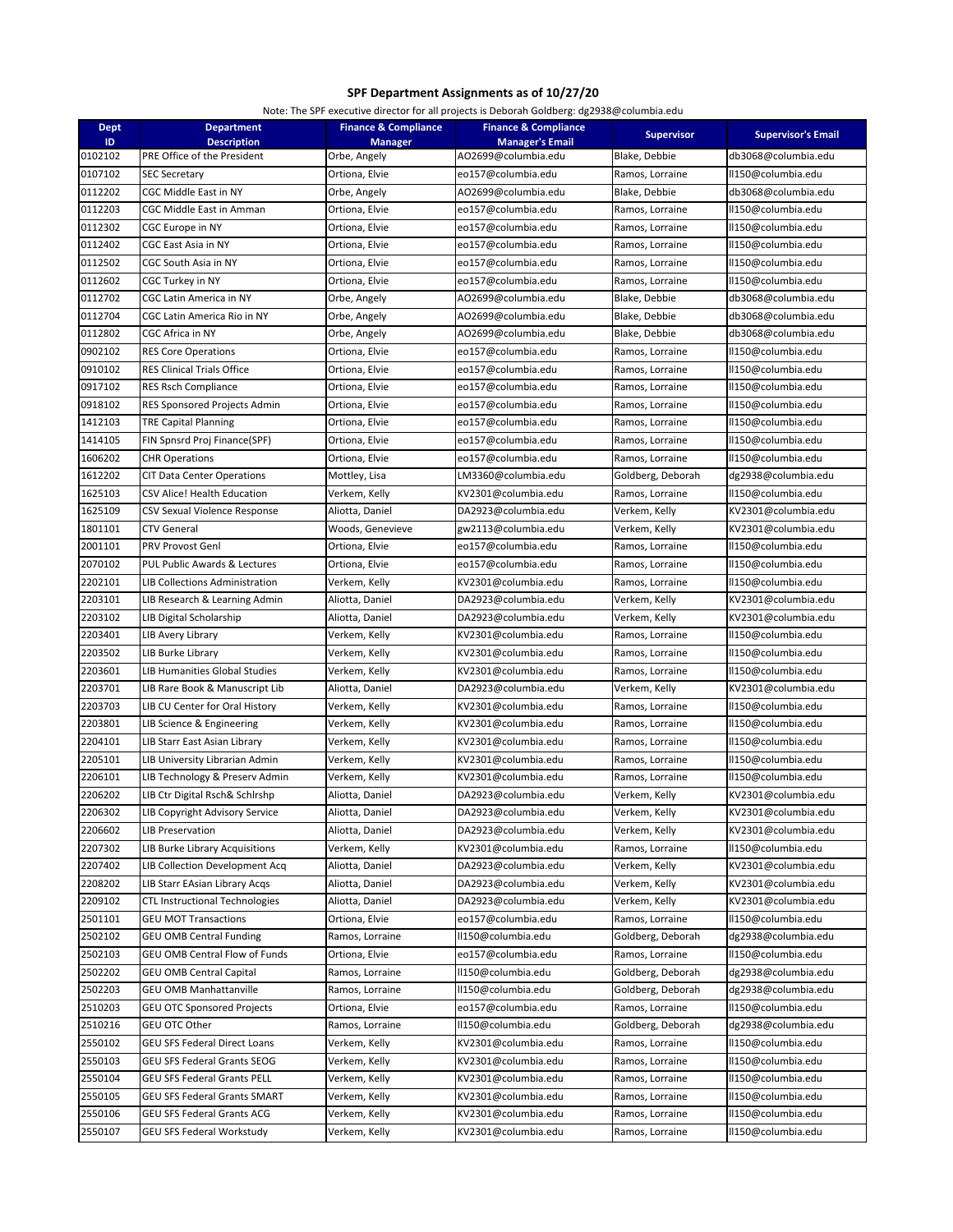## **SPF Department Assignments as of 10/27/20**

Note: The SPF executive director for all projects is Deborah Goldberg: dg2938@columbia.edu

| <b>Dept</b> | <b>Department</b>                     | <b>Finance &amp; Compliance</b> | <b>Finance &amp; Compliance</b> |                   |                           |
|-------------|---------------------------------------|---------------------------------|---------------------------------|-------------------|---------------------------|
| ID.         | <b>Description</b>                    | <b>Manager</b>                  | <b>Manager's Email</b>          | <b>Supervisor</b> | <b>Supervisor's Email</b> |
| 0102102     | PRE Office of the President           | Orbe, Angely                    | AO2699@columbia.edu             | Blake, Debbie     | db3068@columbia.edu       |
| 0107102     | SEC Secretary                         | Ortiona, Elvie                  | eo157@columbia.edu              | Ramos, Lorraine   | ll150@columbia.edu        |
| 0112202     | CGC Middle East in NY                 | Orbe, Angely                    | AO2699@columbia.edu             | Blake, Debbie     | db3068@columbia.edu       |
| 0112203     | CGC Middle East in Amman              | Ortiona, Elvie                  | eo157@columbia.edu              | Ramos, Lorraine   | ll150@columbia.edu        |
| 0112302     | CGC Europe in NY                      | Ortiona, Elvie                  | eo157@columbia.edu              | Ramos, Lorraine   | II150@columbia.edu        |
| 0112402     | CGC East Asia in NY                   | Ortiona, Elvie                  | eo157@columbia.edu              | Ramos, Lorraine   | II150@columbia.edu        |
| 0112502     | CGC South Asia in NY                  | Ortiona, Elvie                  | eo157@columbia.edu              | Ramos, Lorraine   | ll150@columbia.edu        |
| 0112602     | CGC Turkey in NY                      | Ortiona, Elvie                  | eo157@columbia.edu              | Ramos, Lorraine   | ll150@columbia.edu        |
| 0112702     | CGC Latin America in NY               | Orbe, Angely                    | AO2699@columbia.edu             | Blake, Debbie     | db3068@columbia.edu       |
| 0112704     | CGC Latin America Rio in NY           | Orbe, Angely                    | AO2699@columbia.edu             | Blake, Debbie     | db3068@columbia.edu       |
| 0112802     | CGC Africa in NY                      | Orbe, Angely                    | AO2699@columbia.edu             | Blake, Debbie     | db3068@columbia.edu       |
| 0902102     | <b>RES Core Operations</b>            | Ortiona, Elvie                  | eo157@columbia.edu              | Ramos, Lorraine   | ll150@columbia.edu        |
| 0910102     | RES Clinical Trials Office            | Ortiona, Elvie                  | eo157@columbia.edu              | Ramos, Lorraine   | II150@columbia.edu        |
| 0917102     | RES Rsch Compliance                   | Ortiona, Elvie                  | eo157@columbia.edu              | Ramos, Lorraine   | ll150@columbia.edu        |
| 0918102     | RES Sponsored Projects Admin          | Ortiona, Elvie                  | eo157@columbia.edu              | Ramos, Lorraine   | II150@columbia.edu        |
| 1412103     | TRE Capital Planning                  | Ortiona, Elvie                  | eo157@columbia.edu              | Ramos, Lorraine   | II150@columbia.edu        |
| 1414105     | FIN Spnsrd Proj Finance(SPF)          | Ortiona, Elvie                  | eo157@columbia.edu              | Ramos, Lorraine   | II150@columbia.edu        |
| 1606202     | <b>CHR Operations</b>                 | Ortiona, Elvie                  | eo157@columbia.edu              | Ramos, Lorraine   | II150@columbia.edu        |
| 1612202     | CIT Data Center Operations            | Mottley, Lisa                   | LM3360@columbia.edu             | Goldberg, Deborah | dg2938@columbia.edu       |
| 1625103     | CSV Alice! Health Education           | Verkem, Kelly                   | KV2301@columbia.edu             | Ramos, Lorraine   | II150@columbia.edu        |
| 1625109     | CSV Sexual Violence Response          | Aliotta, Daniel                 | DA2923@columbia.edu             | Verkem, Kelly     | KV2301@columbia.edu       |
| 1801101     | CTV General                           | Woods, Genevieve                | gw2113@columbia.edu             | Verkem, Kelly     | KV2301@columbia.edu       |
| 2001101     | PRV Provost Genl                      | Ortiona, Elvie                  | eo157@columbia.edu              | Ramos, Lorraine   | II150@columbia.edu        |
| 2070102     | PUL Public Awards & Lectures          | Ortiona, Elvie                  | eo157@columbia.edu              | Ramos, Lorraine   | ll150@columbia.edu        |
| 2202101     | LIB Collections Administration        | Verkem, Kelly                   | KV2301@columbia.edu             | Ramos, Lorraine   | II150@columbia.edu        |
| 2203101     | LIB Research & Learning Admin         | Aliotta, Daniel                 | DA2923@columbia.edu             | Verkem, Kelly     | KV2301@columbia.edu       |
| 2203102     | LIB Digital Scholarship               | Aliotta, Daniel                 | DA2923@columbia.edu             | Verkem, Kelly     | KV2301@columbia.edu       |
| 2203401     | LIB Avery Library                     | Verkem, Kelly                   | KV2301@columbia.edu             | Ramos, Lorraine   | II150@columbia.edu        |
| 2203502     | LIB Burke Library                     | Verkem, Kelly                   | KV2301@columbia.edu             | Ramos, Lorraine   | ll150@columbia.edu        |
| 2203601     | LIB Humanities Global Studies         | Verkem, Kelly                   | KV2301@columbia.edu             | Ramos, Lorraine   | ll150@columbia.edu        |
| 2203701     | LIB Rare Book & Manuscript Lib        | Aliotta, Daniel                 | DA2923@columbia.edu             | Verkem, Kelly     | KV2301@columbia.edu       |
| 2203703     | LIB CU Center for Oral History        | Verkem, Kelly                   | KV2301@columbia.edu             | Ramos, Lorraine   | ll150@columbia.edu        |
| 2203801     | LIB Science & Engineering             | Verkem, Kelly                   | KV2301@columbia.edu             | Ramos, Lorraine   | II150@columbia.edu        |
| 2204101     | LIB Starr East Asian Library          | Verkem, Kelly                   | KV2301@columbia.edu             | Ramos, Lorraine   | ll150@columbia.edu        |
| 2205101     | LIB University Librarian Admin        | Verkem, Kelly                   | KV2301@columbia.edu             | Ramos, Lorraine   | ll150@columbia.edu        |
| 2206101     | LIB Technology & Preserv Admin        | Verkem, Kelly                   | KV2301@columbia.edu             | Ramos, Lorraine   | II150@columbia.edu        |
| 2206202     | LIB Ctr Digital Rsch& Schlrshp        | Aliotta, Daniel                 | DA2923@columbia.edu             | Verkem, Kelly     | KV2301@columbia.edu       |
| 2206302     | LIB Copyright Advisory Service        | Aliotta, Daniel                 | DA2923@columbia.edu             | Verkem, Kelly     | KV2301@columbia.edu       |
| 2206602     | LIB Preservation                      | Aliotta, Daniel                 | DA2923@columbia.edu             | Verkem, Kelly     | KV2301@columbia.edu       |
| 2207302     | LIB Burke Library Acquisitions        | Verkem, Kelly                   | KV2301@columbia.edu             | Ramos, Lorraine   | ll150@columbia.edu        |
| 2207402     | LIB Collection Development Acq        | Aliotta, Daniel                 | DA2923@columbia.edu             | Verkem, Kelly     | KV2301@columbia.edu       |
| 2208202     | LIB Starr EAsian Library Acqs         | Aliotta, Daniel                 | DA2923@columbia.edu             | Verkem, Kelly     | KV2301@columbia.edu       |
| 2209102     | <b>CTL Instructional Technologies</b> | Aliotta, Daniel                 | DA2923@columbia.edu             | Verkem, Kelly     | KV2301@columbia.edu       |
| 2501101     | <b>GEU MOT Transactions</b>           | Ortiona, Elvie                  | eo157@columbia.edu              | Ramos, Lorraine   | ll150@columbia.edu        |
| 2502102     | <b>GEU OMB Central Funding</b>        | Ramos, Lorraine                 | II150@columbia.edu              | Goldberg, Deborah | dg2938@columbia.edu       |
| 2502103     | <b>GEU OMB Central Flow of Funds</b>  | Ortiona, Elvie                  | eo157@columbia.edu              | Ramos, Lorraine   | II150@columbia.edu        |
| 2502202     | <b>GEU OMB Central Capital</b>        | Ramos, Lorraine                 | II150@columbia.edu              | Goldberg, Deborah | dg2938@columbia.edu       |
| 2502203     | <b>GEU OMB Manhattanville</b>         | Ramos, Lorraine                 | ll150@columbia.edu              | Goldberg, Deborah | dg2938@columbia.edu       |
| 2510203     | <b>GEU OTC Sponsored Projects</b>     | Ortiona, Elvie                  | eo157@columbia.edu              | Ramos, Lorraine   | ll150@columbia.edu        |
| 2510216     | GEU OTC Other                         | Ramos, Lorraine                 | II150@columbia.edu              | Goldberg, Deborah | dg2938@columbia.edu       |
| 2550102     | <b>GEU SFS Federal Direct Loans</b>   | Verkem, Kelly                   | KV2301@columbia.edu             | Ramos, Lorraine   | II150@columbia.edu        |
| 2550103     | <b>GEU SFS Federal Grants SEOG</b>    | Verkem, Kelly                   | KV2301@columbia.edu             | Ramos, Lorraine   | ll150@columbia.edu        |
| 2550104     | <b>GEU SFS Federal Grants PELL</b>    | Verkem, Kelly                   | KV2301@columbia.edu             | Ramos, Lorraine   | ll150@columbia.edu        |
| 2550105     | <b>GEU SFS Federal Grants SMART</b>   | Verkem, Kelly                   | KV2301@columbia.edu             | Ramos, Lorraine   | ll150@columbia.edu        |
| 2550106     | <b>GEU SFS Federal Grants ACG</b>     | Verkem, Kelly                   | KV2301@columbia.edu             | Ramos, Lorraine   | II150@columbia.edu        |
| 2550107     | GEU SFS Federal Workstudy             | Verkem, Kelly                   | KV2301@columbia.edu             | Ramos, Lorraine   | ll150@columbia.edu        |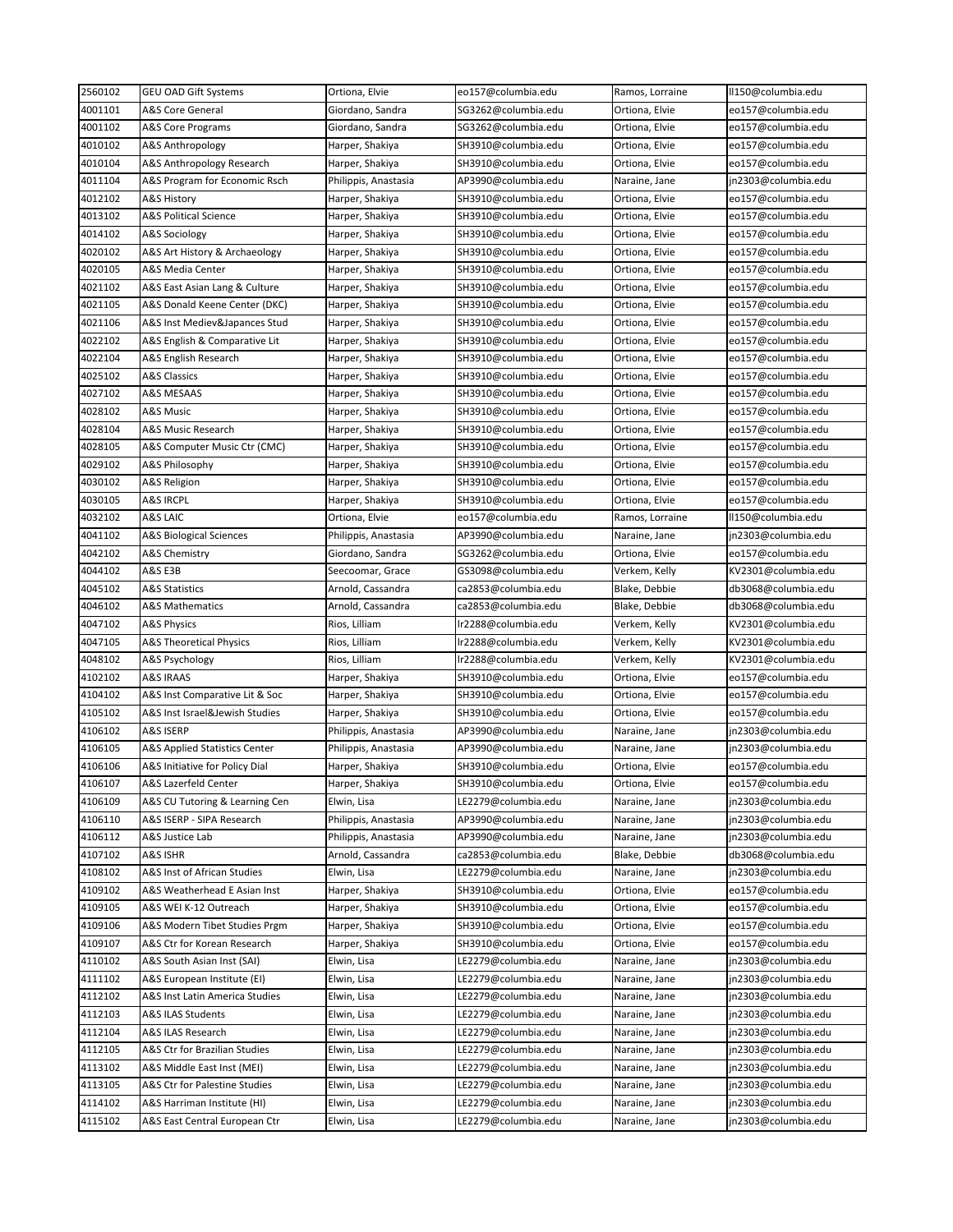| 2560102 | <b>GEU OAD Gift Systems</b>        | Ortiona, Elvie       | eo157@columbia.edu  | Ramos, Lorraine | II150@columbia.edu  |
|---------|------------------------------------|----------------------|---------------------|-----------------|---------------------|
| 4001101 | A&S Core General                   | Giordano, Sandra     | SG3262@columbia.edu | Ortiona, Elvie  | eo157@columbia.edu  |
| 4001102 | A&S Core Programs                  | Giordano, Sandra     | SG3262@columbia.edu | Ortiona, Elvie  | eo157@columbia.edu  |
| 4010102 | A&S Anthropology                   | Harper, Shakiya      | SH3910@columbia.edu | Ortiona, Elvie  | eo157@columbia.edu  |
| 4010104 | A&S Anthropology Research          | Harper, Shakiya      | SH3910@columbia.edu | Ortiona, Elvie  | eo157@columbia.edu  |
| 4011104 | A&S Program for Economic Rsch      | Philippis, Anastasia | AP3990@columbia.edu | Naraine, Jane   | jn2303@columbia.edu |
| 4012102 | A&S History                        | Harper, Shakiya      | SH3910@columbia.edu | Ortiona, Elvie  | eo157@columbia.edu  |
| 4013102 | A&S Political Science              | Harper, Shakiya      | SH3910@columbia.edu | Ortiona, Elvie  | eo157@columbia.edu  |
| 4014102 | A&S Sociology                      | Harper, Shakiya      | SH3910@columbia.edu | Ortiona, Elvie  | eo157@columbia.edu  |
| 4020102 | A&S Art History & Archaeology      | Harper, Shakiya      | SH3910@columbia.edu | Ortiona, Elvie  | eo157@columbia.edu  |
| 4020105 | A&S Media Center                   | Harper, Shakiya      | SH3910@columbia.edu | Ortiona, Elvie  | eo157@columbia.edu  |
| 4021102 | A&S East Asian Lang & Culture      | Harper, Shakiya      | SH3910@columbia.edu | Ortiona, Elvie  | eo157@columbia.edu  |
| 4021105 | A&S Donald Keene Center (DKC)      | Harper, Shakiya      | SH3910@columbia.edu | Ortiona, Elvie  | eo157@columbia.edu  |
| 4021106 | A&S Inst Mediev&Japances Stud      | Harper, Shakiya      | SH3910@columbia.edu | Ortiona, Elvie  | eo157@columbia.edu  |
| 4022102 | A&S English & Comparative Lit      | Harper, Shakiya      | SH3910@columbia.edu | Ortiona, Elvie  | eo157@columbia.edu  |
| 4022104 | A&S English Research               | Harper, Shakiya      | SH3910@columbia.edu | Ortiona, Elvie  | eo157@columbia.edu  |
| 4025102 | A&S Classics                       | Harper, Shakiya      | SH3910@columbia.edu | Ortiona, Elvie  | eo157@columbia.edu  |
| 4027102 | A&S MESAAS                         | Harper, Shakiya      | SH3910@columbia.edu | Ortiona, Elvie  | eo157@columbia.edu  |
| 4028102 | A&S Music                          | Harper, Shakiya      | SH3910@columbia.edu | Ortiona, Elvie  | eo157@columbia.edu  |
| 4028104 | A&S Music Research                 | Harper, Shakiya      | SH3910@columbia.edu | Ortiona, Elvie  | eo157@columbia.edu  |
| 4028105 | A&S Computer Music Ctr (CMC)       | Harper, Shakiya      | SH3910@columbia.edu | Ortiona, Elvie  | eo157@columbia.edu  |
| 4029102 | A&S Philosophy                     | Harper, Shakiya      | SH3910@columbia.edu | Ortiona, Elvie  | eo157@columbia.edu  |
| 4030102 | A&S Religion                       | Harper, Shakiya      | SH3910@columbia.edu | Ortiona, Elvie  | eo157@columbia.edu  |
| 4030105 | <b>A&amp;S IRCPL</b>               | Harper, Shakiya      | SH3910@columbia.edu | Ortiona, Elvie  | eo157@columbia.edu  |
| 4032102 | A&S LAIC                           | Ortiona, Elvie       | eo157@columbia.edu  | Ramos, Lorraine | II150@columbia.edu  |
| 4041102 | <b>A&amp;S Biological Sciences</b> |                      | AP3990@columbia.edu |                 |                     |
|         |                                    | Philippis, Anastasia |                     | Naraine, Jane   | jn2303@columbia.edu |
| 4042102 | A&S Chemistry                      | Giordano, Sandra     | SG3262@columbia.edu | Ortiona, Elvie  | eo157@columbia.edu  |
| 4044102 | A&S E3B                            | Seecoomar, Grace     | GS3098@columbia.edu | Verkem, Kelly   | KV2301@columbia.edu |
| 4045102 | A&S Statistics                     | Arnold, Cassandra    | ca2853@columbia.edu | Blake, Debbie   | db3068@columbia.edu |
| 4046102 | <b>A&amp;S Mathematics</b>         | Arnold, Cassandra    | ca2853@columbia.edu | Blake, Debbie   | db3068@columbia.edu |
| 4047102 | A&S Physics                        | Rios, Lilliam        | lr2288@columbia.edu | Verkem, Kelly   | KV2301@columbia.edu |
| 4047105 | A&S Theoretical Physics            | Rios, Lilliam        | lr2288@columbia.edu | Verkem, Kelly   | KV2301@columbia.edu |
| 4048102 | A&S Psychology                     | Rios, Lilliam        | Ir2288@columbia.edu | Verkem, Kelly   | KV2301@columbia.edu |
| 4102102 | A&S IRAAS                          | Harper, Shakiya      | SH3910@columbia.edu | Ortiona, Elvie  | eo157@columbia.edu  |
| 4104102 | A&S Inst Comparative Lit & Soc     | Harper, Shakiya      | SH3910@columbia.edu | Ortiona, Elvie  | eo157@columbia.edu  |
| 4105102 | A&S Inst Israel&Jewish Studies     | Harper, Shakiya      | SH3910@columbia.edu | Ortiona, Elvie  | eo157@columbia.edu  |
| 4106102 | A&S ISERP                          | Philippis, Anastasia | AP3990@columbia.edu | Naraine, Jane   | jn2303@columbia.edu |
| 4106105 | A&S Applied Statistics Center      | Philippis, Anastasia | AP3990@columbia.edu | Naraine, Jane   | jn2303@columbia.edu |
| 4106106 | A&S Initiative for Policy Dial     | Harper, Shakiya      | SH3910@columbia.edu | Ortiona, Elvie  | eo157@columbia.edu  |
| 4106107 | A&S Lazerfeld Center               | Harper, Shakiya      | SH3910@columbia.edu | Ortiona, Elvie  | eo157@columbia.edu  |
| 4106109 | A&S CU Tutoring & Learning Cen     | Elwin, Lisa          | LE2279@columbia.edu | Naraine, Jane   | jn2303@columbia.edu |
| 4106110 | A&S ISERP - SIPA Research          | Philippis, Anastasia | AP3990@columbia.edu | Naraine, Jane   | jn2303@columbia.edu |
| 4106112 | A&S Justice Lab                    | Philippis, Anastasia | AP3990@columbia.edu | Naraine, Jane   | jn2303@columbia.edu |
| 4107102 | A&S ISHR                           | Arnold, Cassandra    | ca2853@columbia.edu | Blake, Debbie   | db3068@columbia.edu |
| 4108102 | A&S Inst of African Studies        | Elwin, Lisa          | LE2279@columbia.edu | Naraine, Jane   | jn2303@columbia.edu |
| 4109102 | A&S Weatherhead E Asian Inst       | Harper, Shakiya      | SH3910@columbia.edu | Ortiona, Elvie  | eo157@columbia.edu  |
| 4109105 | A&S WEI K-12 Outreach              | Harper, Shakiya      | SH3910@columbia.edu | Ortiona, Elvie  | eo157@columbia.edu  |
| 4109106 | A&S Modern Tibet Studies Prgm      | Harper, Shakiya      | SH3910@columbia.edu | Ortiona, Elvie  | eo157@columbia.edu  |
| 4109107 | A&S Ctr for Korean Research        | Harper, Shakiya      | SH3910@columbia.edu | Ortiona, Elvie  | eo157@columbia.edu  |
| 4110102 | A&S South Asian Inst (SAI)         | Elwin, Lisa          | LE2279@columbia.edu | Naraine, Jane   | jn2303@columbia.edu |
| 4111102 | A&S European Institute (EI)        | Elwin, Lisa          | LE2279@columbia.edu | Naraine, Jane   | jn2303@columbia.edu |
| 4112102 | A&S Inst Latin America Studies     | Elwin, Lisa          | LE2279@columbia.edu | Naraine, Jane   | jn2303@columbia.edu |
| 4112103 | A&S ILAS Students                  | Elwin, Lisa          | LE2279@columbia.edu | Naraine, Jane   | jn2303@columbia.edu |
| 4112104 | A&S ILAS Research                  | Elwin, Lisa          | LE2279@columbia.edu | Naraine, Jane   | jn2303@columbia.edu |
| 4112105 | A&S Ctr for Brazilian Studies      | Elwin, Lisa          | LE2279@columbia.edu | Naraine, Jane   | jn2303@columbia.edu |
| 4113102 | A&S Middle East Inst (MEI)         | Elwin, Lisa          | LE2279@columbia.edu | Naraine, Jane   | jn2303@columbia.edu |
| 4113105 | A&S Ctr for Palestine Studies      | Elwin, Lisa          | LE2279@columbia.edu | Naraine, Jane   | jn2303@columbia.edu |
| 4114102 | A&S Harriman Institute (HI)        | Elwin, Lisa          | LE2279@columbia.edu | Naraine, Jane   | jn2303@columbia.edu |
| 4115102 | A&S East Central European Ctr      | Elwin, Lisa          | LE2279@columbia.edu | Naraine, Jane   | jn2303@columbia.edu |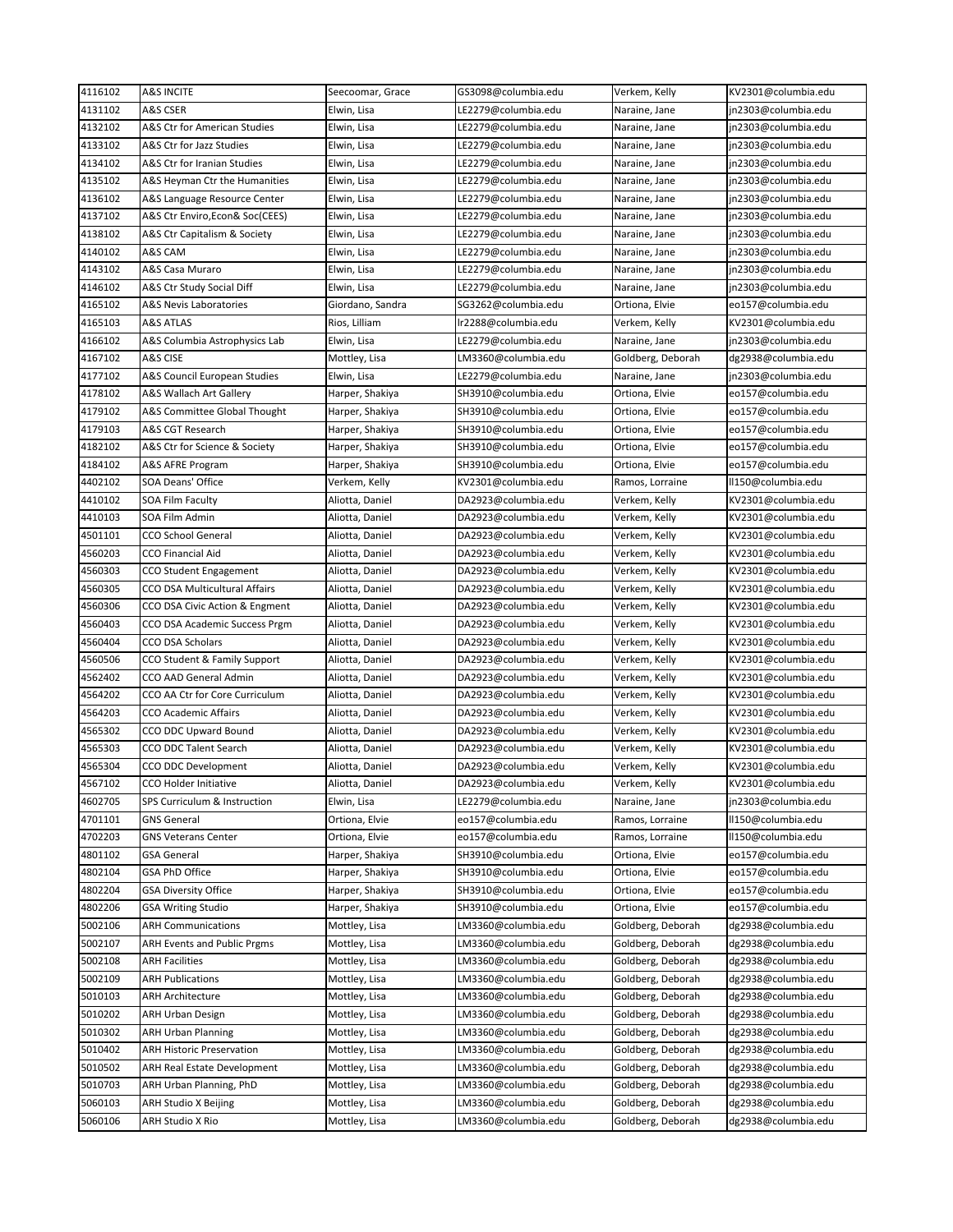| 4116102            | <b>A&amp;S INCITE</b>              | Seecoomar, Grace | GS3098@columbia.edu | Verkem, Kelly     | KV2301@columbia.edu |
|--------------------|------------------------------------|------------------|---------------------|-------------------|---------------------|
| 4131102            | A&S CSER                           | Elwin, Lisa      | LE2279@columbia.edu | Naraine, Jane     | jn2303@columbia.edu |
| 4132102            | A&S Ctr for American Studies       | Elwin, Lisa      | LE2279@columbia.edu | Naraine, Jane     | jn2303@columbia.edu |
| 4133102            | A&S Ctr for Jazz Studies           | Elwin, Lisa      | LE2279@columbia.edu | Naraine, Jane     | jn2303@columbia.edu |
| 4134102            | A&S Ctr for Iranian Studies        | Elwin, Lisa      | LE2279@columbia.edu | Naraine, Jane     | in2303@columbia.edu |
| 4135102            | A&S Heyman Ctr the Humanities      | Elwin, Lisa      | LE2279@columbia.edu | Naraine, Jane     | jn2303@columbia.edu |
| 4136102            | A&S Language Resource Center       | Elwin, Lisa      | LE2279@columbia.edu | Naraine, Jane     | jn2303@columbia.edu |
| 4137102            | A&S Ctr Enviro,Econ& Soc(CEES)     | Elwin, Lisa      | LE2279@columbia.edu | Naraine, Jane     | jn2303@columbia.edu |
| 4138102            | A&S Ctr Capitalism & Society       | Elwin, Lisa      | LE2279@columbia.edu | Naraine, Jane     | jn2303@columbia.edu |
| 4140102            | A&S CAM                            | Elwin, Lisa      | LE2279@columbia.edu | Naraine, Jane     | jn2303@columbia.edu |
| 4143102            | A&S Casa Muraro                    | Elwin, Lisa      | LE2279@columbia.edu | Naraine, Jane     | jn2303@columbia.edu |
| 4146102            | A&S Ctr Study Social Diff          | Elwin, Lisa      | LE2279@columbia.edu | Naraine, Jane     | in2303@columbia.edu |
| 4165102            | A&S Nevis Laboratories             | Giordano, Sandra | SG3262@columbia.edu | Ortiona, Elvie    | eo157@columbia.edu  |
| 4165103            | A&S ATLAS                          | Rios, Lilliam    | lr2288@columbia.edu | Verkem, Kelly     | KV2301@columbia.edu |
| 4166102            | A&S Columbia Astrophysics Lab      | Elwin, Lisa      | LE2279@columbia.edu | Naraine, Jane     | jn2303@columbia.edu |
| 4167102            | A&S CISE                           | Mottley, Lisa    | LM3360@columbia.edu | Goldberg, Deborah | dg2938@columbia.edu |
| 4177102            | A&S Council European Studies       | Elwin, Lisa      | LE2279@columbia.edu | Naraine, Jane     | jn2303@columbia.edu |
| 4178102            | A&S Wallach Art Gallery            | Harper, Shakiya  | SH3910@columbia.edu | Ortiona, Elvie    | eo157@columbia.edu  |
| 4179102            | A&S Committee Global Thought       | Harper, Shakiya  | SH3910@columbia.edu | Ortiona, Elvie    | eo157@columbia.edu  |
| 4179103            | A&S CGT Research                   | Harper, Shakiya  | SH3910@columbia.edu | Ortiona, Elvie    | eo157@columbia.edu  |
| 4182102            | A&S Ctr for Science & Society      | Harper, Shakiya  | SH3910@columbia.edu | Ortiona, Elvie    | eo157@columbia.edu  |
| 4184102            | A&S AFRE Program                   | Harper, Shakiya  | SH3910@columbia.edu | Ortiona, Elvie    | eo157@columbia.edu  |
| 4402102            | SOA Deans' Office                  | Verkem, Kelly    | KV2301@columbia.edu | Ramos, Lorraine   | II150@columbia.edu  |
| 4410102            | <b>SOA Film Faculty</b>            | Aliotta, Daniel  | DA2923@columbia.edu | Verkem, Kelly     | KV2301@columbia.edu |
| 4410103            | SOA Film Admin                     | Aliotta, Daniel  | DA2923@columbia.edu | Verkem, Kelly     | KV2301@columbia.edu |
| 4501101            | CCO School General                 | Aliotta, Daniel  | DA2923@columbia.edu | Verkem, Kelly     | KV2301@columbia.edu |
| 4560203            | CCO Financial Aid                  | Aliotta, Daniel  | DA2923@columbia.edu | Verkem, Kelly     | KV2301@columbia.edu |
| 4560303            | CCO Student Engagement             | Aliotta, Daniel  | DA2923@columbia.edu | Verkem, Kelly     | KV2301@columbia.edu |
| 4560305            | CCO DSA Multicultural Affairs      | Aliotta, Daniel  | DA2923@columbia.edu | Verkem, Kelly     | KV2301@columbia.edu |
| 4560306            | CCO DSA Civic Action & Engment     | Aliotta, Daniel  | DA2923@columbia.edu | Verkem, Kelly     | KV2301@columbia.edu |
| 4560403            | CCO DSA Academic Success Prgm      | Aliotta, Daniel  | DA2923@columbia.edu | Verkem, Kelly     | KV2301@columbia.edu |
| 4560404            | CCO DSA Scholars                   | Aliotta, Daniel  | DA2923@columbia.edu | Verkem, Kelly     | KV2301@columbia.edu |
| 4560506            | CCO Student & Family Support       | Aliotta, Daniel  | DA2923@columbia.edu | Verkem, Kelly     | KV2301@columbia.edu |
| 4562402            | CCO AAD General Admin              | Aliotta, Daniel  | DA2923@columbia.edu | Verkem, Kelly     | KV2301@columbia.edu |
| 4564202            | CCO AA Ctr for Core Curriculum     | Aliotta, Daniel  | DA2923@columbia.edu | Verkem, Kelly     | KV2301@columbia.edu |
| 4564203            | CCO Academic Affairs               | Aliotta, Daniel  | DA2923@columbia.edu | Verkem, Kelly     | KV2301@columbia.edu |
| 4565302            | CCO DDC Upward Bound               | Aliotta, Daniel  | DA2923@columbia.edu | Verkem, Kelly     | KV2301@columbia.edu |
| 4565303            | CCO DDC Talent Search              | Aliotta, Daniel  | DA2923@columbia.edu | Verkem, Kelly     | KV2301@columbia.edu |
| 4565304            |                                    |                  |                     |                   |                     |
|                    | CCO DDC Development                | Aliotta, Daniel  | DA2923@columbia.edu | Verkem, Kelly     | KV2301@columbia.edu |
| 4567102<br>4602705 | CCO Holder Initiative              | Aliotta, Daniel  | DA2923@columbia.edu | Verkem, Kelly     | KV2301@columbia.edu |
|                    | SPS Curriculum & Instruction       | Elwin, Lisa      | LE2279@columbia.edu | Naraine, Jane     | jn2303@columbia.edu |
| 4701101            | GNS General                        | Ortiona, Elvie   | eo157@columbia.edu  | Ramos, Lorraine   | II150@columbia.edu  |
| 4702203            | <b>GNS Veterans Center</b>         | Ortiona, Elvie   | eo157@columbia.edu  | Ramos, Lorraine   | II150@columbia.edu  |
| 4801102            | GSA General                        | Harper, Shakiya  | SH3910@columbia.edu | Ortiona, Elvie    | eo157@columbia.edu  |
| 4802104            | GSA PhD Office                     | Harper, Shakiya  | SH3910@columbia.edu | Ortiona, Elvie    | eo157@columbia.edu  |
| 4802204            | <b>GSA Diversity Office</b>        | Harper, Shakiya  | SH3910@columbia.edu | Ortiona, Elvie    | eo157@columbia.edu  |
| 4802206            | <b>GSA Writing Studio</b>          | Harper, Shakiya  | SH3910@columbia.edu | Ortiona, Elvie    | eo157@columbia.edu  |
| 5002106            | <b>ARH Communications</b>          | Mottley, Lisa    | LM3360@columbia.edu | Goldberg, Deborah | dg2938@columbia.edu |
| 5002107            | <b>ARH Events and Public Prgms</b> | Mottley, Lisa    | LM3360@columbia.edu | Goldberg, Deborah | dg2938@columbia.edu |
| 5002108            | ARH Facilities                     | Mottley, Lisa    | LM3360@columbia.edu | Goldberg, Deborah | dg2938@columbia.edu |
| 5002109            | <b>ARH Publications</b>            | Mottley, Lisa    | LM3360@columbia.edu | Goldberg, Deborah | dg2938@columbia.edu |
| 5010103            | ARH Architecture                   | Mottley, Lisa    | LM3360@columbia.edu | Goldberg, Deborah | dg2938@columbia.edu |
| 5010202            | <b>ARH Urban Design</b>            | Mottley, Lisa    | LM3360@columbia.edu | Goldberg, Deborah | dg2938@columbia.edu |
| 5010302            | <b>ARH Urban Planning</b>          | Mottley, Lisa    | LM3360@columbia.edu | Goldberg, Deborah | dg2938@columbia.edu |
| 5010402            | <b>ARH Historic Preservation</b>   | Mottley, Lisa    | LM3360@columbia.edu | Goldberg, Deborah | dg2938@columbia.edu |
| 5010502            | ARH Real Estate Development        | Mottley, Lisa    | LM3360@columbia.edu | Goldberg, Deborah | dg2938@columbia.edu |
| 5010703            | ARH Urban Planning, PhD            | Mottley, Lisa    | LM3360@columbia.edu | Goldberg, Deborah | dg2938@columbia.edu |
| 5060103            | ARH Studio X Beijing               | Mottley, Lisa    | LM3360@columbia.edu | Goldberg, Deborah | dg2938@columbia.edu |
| 5060106            | ARH Studio X Rio                   | Mottley, Lisa    | LM3360@columbia.edu | Goldberg, Deborah | dg2938@columbia.edu |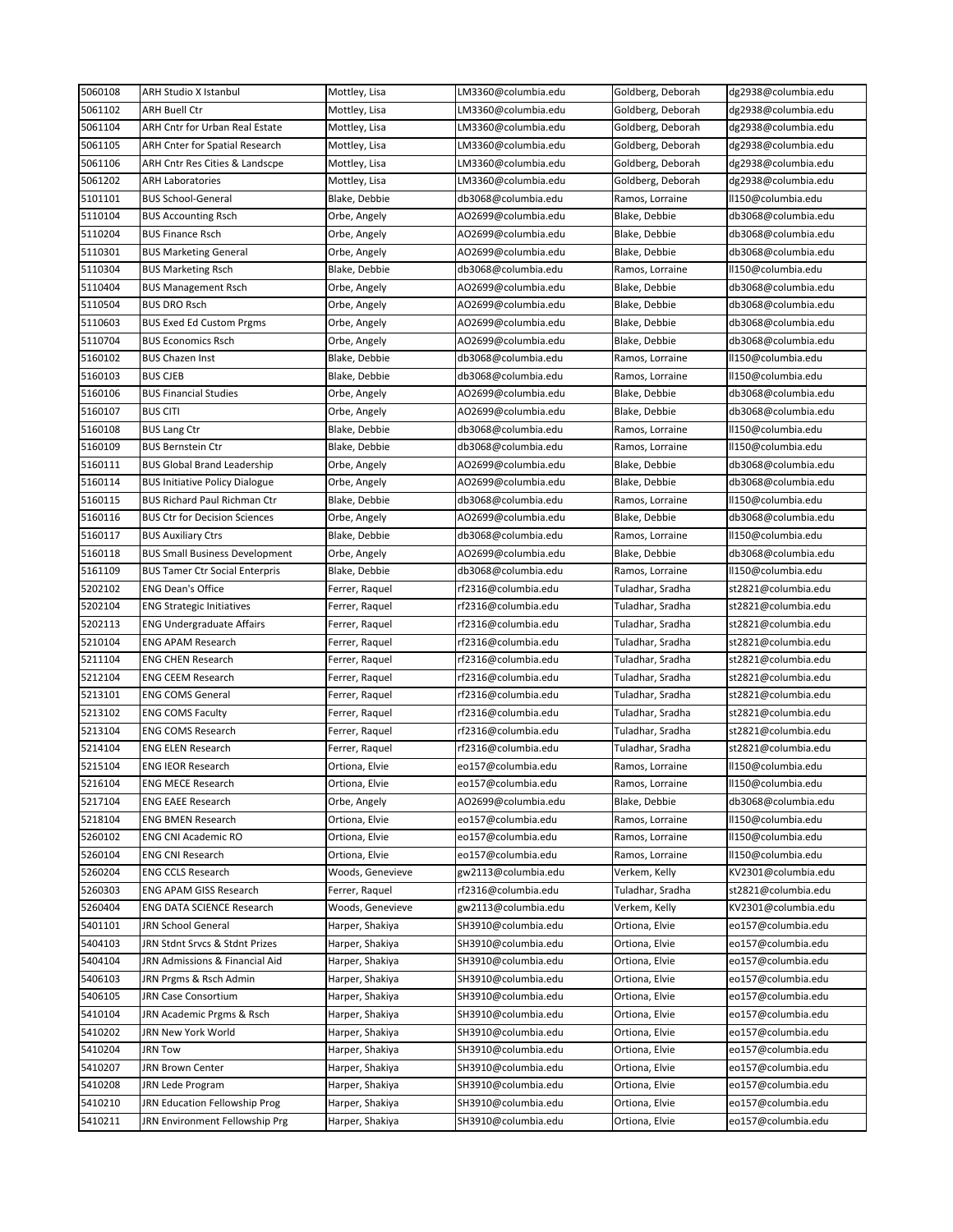| 5060108            | ARH Studio X Istanbul                               | Mottley, Lisa                    | LM3360@columbia.edu                        | Goldberg, Deborah                    | dg2938@columbia.edu                        |
|--------------------|-----------------------------------------------------|----------------------------------|--------------------------------------------|--------------------------------------|--------------------------------------------|
| 5061102            | <b>ARH Buell Ctr</b>                                | Mottley, Lisa                    | LM3360@columbia.edu                        | Goldberg, Deborah                    | dg2938@columbia.edu                        |
| 5061104            | ARH Cntr for Urban Real Estate                      | Mottley, Lisa                    | LM3360@columbia.edu                        | Goldberg, Deborah                    | dg2938@columbia.edu                        |
| 5061105            | ARH Cnter for Spatial Research                      | Mottley, Lisa                    | LM3360@columbia.edu                        | Goldberg, Deborah                    | dg2938@columbia.edu                        |
| 5061106            | ARH Cntr Res Cities & Landscpe                      | Mottley, Lisa                    | LM3360@columbia.edu                        | Goldberg, Deborah                    | dg2938@columbia.edu                        |
| 5061202            | <b>ARH Laboratories</b>                             | Mottley, Lisa                    | LM3360@columbia.edu                        | Goldberg, Deborah                    | dg2938@columbia.edu                        |
| 5101101            | <b>BUS School-General</b>                           | Blake, Debbie                    | db3068@columbia.edu                        | Ramos, Lorraine                      | II150@columbia.edu                         |
| 5110104            | BUS Accounting Rsch                                 | Orbe, Angely                     | AO2699@columbia.edu                        | Blake, Debbie                        | db3068@columbia.edu                        |
| 5110204            | <b>BUS Finance Rsch</b>                             | Orbe, Angely                     | AO2699@columbia.edu                        | Blake, Debbie                        | db3068@columbia.edu                        |
| 5110301            | <b>BUS Marketing General</b>                        | Orbe, Angely                     | AO2699@columbia.edu                        | Blake, Debbie                        | db3068@columbia.edu                        |
| 5110304            | <b>BUS Marketing Rsch</b>                           | Blake, Debbie                    | db3068@columbia.edu                        | Ramos, Lorraine                      | II150@columbia.edu                         |
| 5110404            | <b>BUS Management Rsch</b>                          | Orbe, Angely                     | AO2699@columbia.edu                        | Blake, Debbie                        | db3068@columbia.edu                        |
| 5110504            | <b>BUS DRO Rsch</b>                                 | Orbe, Angely                     | AO2699@columbia.edu                        | Blake, Debbie                        | db3068@columbia.edu                        |
| 5110603            | <b>BUS Exed Ed Custom Prgms</b>                     | Orbe, Angely                     | AO2699@columbia.edu                        | Blake, Debbie                        | db3068@columbia.edu                        |
| 5110704            | <b>BUS Economics Rsch</b>                           | Orbe, Angely                     | AO2699@columbia.edu                        | Blake, Debbie                        | db3068@columbia.edu                        |
| 5160102            | <b>BUS Chazen Inst</b>                              | Blake, Debbie                    | db3068@columbia.edu                        | Ramos, Lorraine                      | II150@columbia.edu                         |
| 5160103            | <b>BUS CJEB</b>                                     | Blake, Debbie                    | db3068@columbia.edu                        | Ramos, Lorraine                      | II150@columbia.edu                         |
| 5160106            | <b>BUS Financial Studies</b>                        | Orbe, Angely                     | AO2699@columbia.edu                        | Blake, Debbie                        | db3068@columbia.edu                        |
| 5160107            | <b>BUS CITI</b>                                     | Orbe, Angely                     | AO2699@columbia.edu                        | Blake, Debbie                        | db3068@columbia.edu                        |
| 5160108            | <b>BUS Lang Ctr</b>                                 | Blake, Debbie                    | db3068@columbia.edu                        | Ramos, Lorraine                      | II150@columbia.edu                         |
| 5160109            | <b>BUS Bernstein Ctr</b>                            | Blake, Debbie                    | db3068@columbia.edu                        | Ramos, Lorraine                      | II150@columbia.edu                         |
| 5160111            | <b>BUS Global Brand Leadership</b>                  | Orbe, Angely                     | AO2699@columbia.edu                        | Blake, Debbie                        | db3068@columbia.edu                        |
| 5160114            | BUS Initiative Policy Dialogue                      | Orbe, Angely                     | AO2699@columbia.edu                        | Blake, Debbie                        | db3068@columbia.edu                        |
| 5160115            | <b>BUS Richard Paul Richman Ctr</b>                 | Blake, Debbie                    | db3068@columbia.edu                        | Ramos, Lorraine                      | II150@columbia.edu                         |
| 5160116            | <b>BUS Ctr for Decision Sciences</b>                | Orbe, Angely                     | AO2699@columbia.edu                        | Blake, Debbie                        | db3068@columbia.edu                        |
| 5160117            | <b>BUS Auxiliary Ctrs</b>                           | Blake, Debbie                    | db3068@columbia.edu                        | Ramos, Lorraine                      | II150@columbia.edu                         |
| 5160118            | <b>BUS Small Business Development</b>               | Orbe, Angely                     | AO2699@columbia.edu                        | Blake, Debbie                        | db3068@columbia.edu                        |
| 5161109            | <b>BUS Tamer Ctr Social Enterpris</b>               | Blake, Debbie                    | db3068@columbia.edu                        | Ramos, Lorraine                      | II150@columbia.edu                         |
| 5202102            | <b>ENG Dean's Office</b>                            | Ferrer, Raquel                   | rf2316@columbia.edu                        | Tuladhar, Sradha                     | st2821@columbia.edu                        |
| 5202104            | <b>ENG Strategic Initiatives</b>                    | Ferrer, Raquel                   | rf2316@columbia.edu                        | Tuladhar, Sradha                     | st2821@columbia.edu                        |
| 5202113            | <b>ENG Undergraduate Affairs</b>                    | Ferrer, Raquel                   | rf2316@columbia.edu                        | Tuladhar, Sradha                     | st2821@columbia.edu                        |
| 5210104            | ENG APAM Research                                   | Ferrer, Raquel                   | rf2316@columbia.edu                        | Tuladhar, Sradha                     | st2821@columbia.edu                        |
| 5211104            | ENG CHEN Research                                   | Ferrer, Raquel                   | rf2316@columbia.edu                        | Tuladhar, Sradha                     | st2821@columbia.edu                        |
|                    |                                                     |                                  |                                            |                                      |                                            |
| 5212104<br>5213101 | <b>ENG CEEM Research</b><br><b>ENG COMS General</b> | Ferrer, Raquel<br>Ferrer, Raquel | rf2316@columbia.edu<br>rf2316@columbia.edu | Tuladhar, Sradha                     | st2821@columbia.edu                        |
| 5213102            | <b>ENG COMS Faculty</b>                             | Ferrer, Raquel                   | rf2316@columbia.edu                        | Tuladhar, Sradha<br>Tuladhar, Sradha | st2821@columbia.edu<br>st2821@columbia.edu |
| 5213104            | <b>ENG COMS Research</b>                            | Ferrer, Raquel                   |                                            | Tuladhar, Sradha                     |                                            |
| 5214104            | <b>ENG ELEN Research</b>                            |                                  | rf2316@columbia.edu                        |                                      | st2821@columbia.edu                        |
|                    | <b>ENG IEOR Research</b>                            | Ferrer, Raquel<br>Ortiona, Elvie | rf2316@columbia.edu                        | Tuladhar, Sradha                     | st2821@columbia.edu<br>II150@columbia.edu  |
| 5215104            |                                                     |                                  | eo157@columbia.edu                         | Ramos, Lorraine                      |                                            |
| 5216104            | <b>ENG MECE Research</b>                            | Ortiona, Elvie                   | eo157@columbia.edu                         | Ramos, Lorraine                      | II150@columbia.edu                         |
| 5217104            | <b>ENG EAEE Research</b>                            | Orbe, Angely                     | AO2699@columbia.edu                        | Blake, Debbie                        | db3068@columbia.edu                        |
| 5218104            | ENG BMEN Research                                   | Ortiona, Elvie                   | eo157@columbia.edu                         | Ramos, Lorraine                      | II150@columbia.edu                         |
| 5260102            | <b>ENG CNI Academic RO</b>                          | Ortiona, Elvie                   | eo157@columbia.edu                         | Ramos, Lorraine                      | II150@columbia.edu                         |
| 5260104            | <b>ENG CNI Research</b>                             | Ortiona, Elvie                   | eo157@columbia.edu                         | Ramos, Lorraine                      | II150@columbia.edu                         |
| 5260204            | <b>ENG CCLS Research</b>                            | Woods, Genevieve                 | gw2113@columbia.edu                        | Verkem, Kelly                        | KV2301@columbia.edu                        |
| 5260303            | <b>ENG APAM GISS Research</b>                       | Ferrer, Raquel                   | rf2316@columbia.edu                        | Tuladhar, Sradha                     | st2821@columbia.edu                        |
| 5260404            | <b>ENG DATA SCIENCE Research</b>                    | Woods, Genevieve                 | gw2113@columbia.edu                        | Verkem, Kelly                        | KV2301@columbia.edu                        |
| 5401101            | JRN School General                                  | Harper, Shakiya                  | SH3910@columbia.edu                        | Ortiona, Elvie                       | eo157@columbia.edu                         |
| 5404103            | JRN Stdnt Srvcs & Stdnt Prizes                      | Harper, Shakiya                  | SH3910@columbia.edu                        | Ortiona, Elvie                       | eo157@columbia.edu                         |
| 5404104            | JRN Admissions & Financial Aid                      | Harper, Shakiya                  | SH3910@columbia.edu                        | Ortiona, Elvie                       | eo157@columbia.edu                         |
| 5406103            | JRN Prgms & Rsch Admin                              | Harper, Shakiya                  | SH3910@columbia.edu                        | Ortiona, Elvie                       | eo157@columbia.edu                         |
| 5406105            | JRN Case Consortium                                 | Harper, Shakiya                  | SH3910@columbia.edu                        | Ortiona, Elvie                       | eo157@columbia.edu                         |
| 5410104            | JRN Academic Prgms & Rsch                           | Harper, Shakiya                  | SH3910@columbia.edu                        | Ortiona, Elvie                       | eo157@columbia.edu                         |
| 5410202            | JRN New York World                                  | Harper, Shakiya                  | SH3910@columbia.edu                        | Ortiona, Elvie                       | eo157@columbia.edu                         |
| 5410204            | <b>JRN Tow</b>                                      | Harper, Shakiya                  | SH3910@columbia.edu                        | Ortiona, Elvie                       | eo157@columbia.edu                         |
| 5410207            | JRN Brown Center                                    | Harper, Shakiya                  | SH3910@columbia.edu                        | Ortiona, Elvie                       | eo157@columbia.edu                         |
| 5410208            | <b>JRN Lede Program</b>                             | Harper, Shakiya                  | SH3910@columbia.edu                        | Ortiona, Elvie                       | eo157@columbia.edu                         |
| 5410210            | JRN Education Fellowship Prog                       | Harper, Shakiya                  | SH3910@columbia.edu                        | Ortiona, Elvie                       | eo157@columbia.edu                         |
| 5410211            | JRN Environment Fellowship Prg                      | Harper, Shakiya                  | SH3910@columbia.edu                        | Ortiona, Elvie                       | eo157@columbia.edu                         |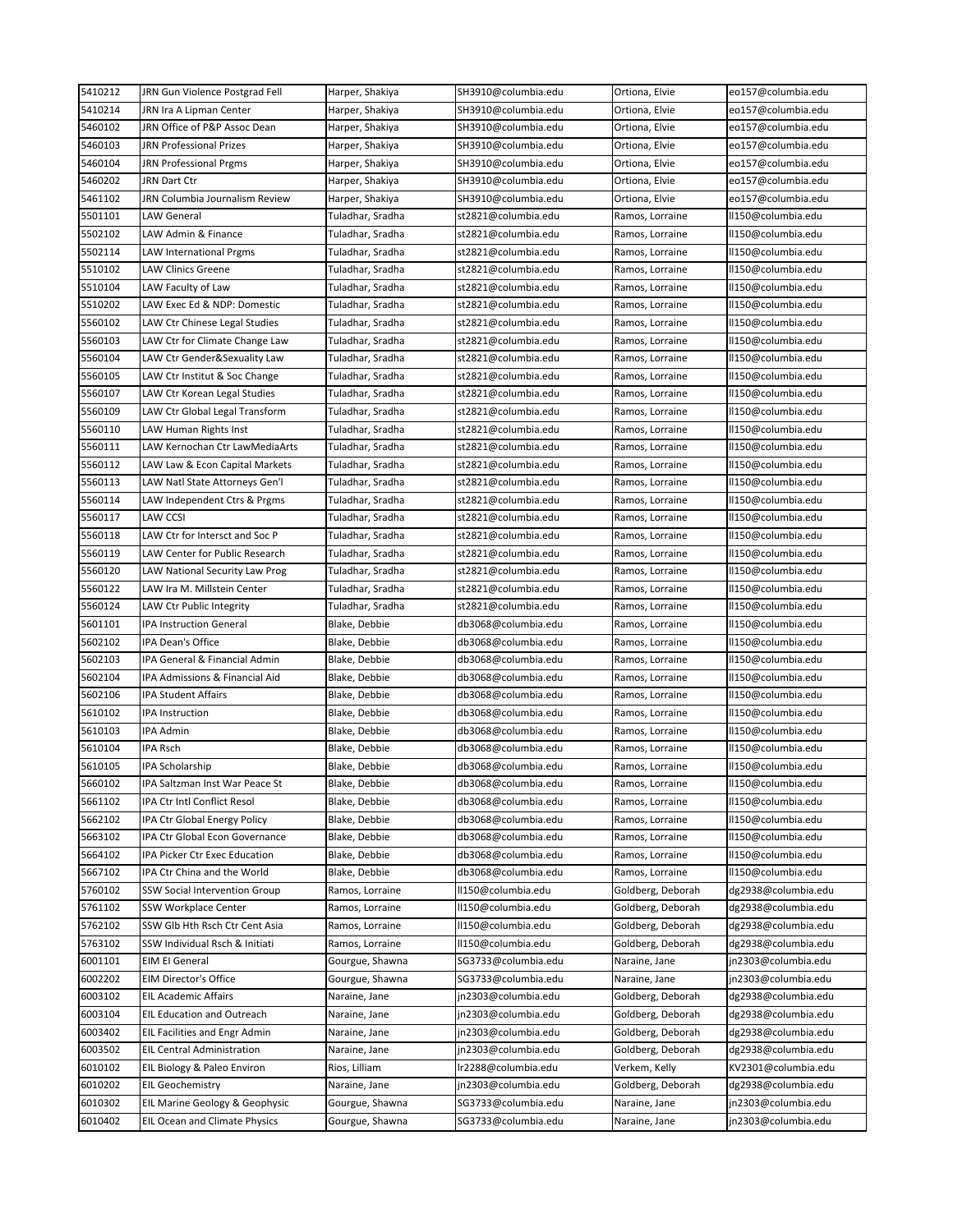| 5410212            | JRN Gun Violence Postgrad Fell                                 | Harper, Shakiya                | SH3910@columbia.edu                        | Ortiona, Elvie                     | eo157@columbia.edu                       |
|--------------------|----------------------------------------------------------------|--------------------------------|--------------------------------------------|------------------------------------|------------------------------------------|
| 5410214            | JRN Ira A Lipman Center                                        | Harper, Shakiya                | SH3910@columbia.edu                        | Ortiona, Elvie                     | eo157@columbia.edu                       |
| 5460102            | JRN Office of P&P Assoc Dean                                   | Harper, Shakiya                | SH3910@columbia.edu                        | Ortiona, Elvie                     | eo157@columbia.edu                       |
| 5460103            | JRN Professional Prizes                                        | Harper, Shakiya                | SH3910@columbia.edu                        | Ortiona, Elvie                     | eo157@columbia.edu                       |
| 5460104            | JRN Professional Prgms                                         | Harper, Shakiya                | SH3910@columbia.edu                        | Ortiona, Elvie                     | eo157@columbia.edu                       |
| 5460202            | JRN Dart Ctr                                                   | Harper, Shakiya                | SH3910@columbia.edu                        | Ortiona, Elvie                     | eo157@columbia.edu                       |
| 5461102            | JRN Columbia Journalism Review                                 | Harper, Shakiya                | SH3910@columbia.edu                        | Ortiona, Elvie                     | eo157@columbia.edu                       |
| 5501101            | <b>LAW General</b>                                             | Tuladhar, Sradha               | st2821@columbia.edu                        | Ramos, Lorraine                    | ll150@columbia.edu                       |
| 5502102            | LAW Admin & Finance                                            | Tuladhar, Sradha               | st2821@columbia.edu                        | Ramos, Lorraine                    | ll150@columbia.edu                       |
| 5502114            | LAW International Prgms                                        | Tuladhar, Sradha               | st2821@columbia.edu                        | Ramos, Lorraine                    | ll150@columbia.edu                       |
| 5510102            | LAW Clinics Greene                                             | Tuladhar, Sradha               | st2821@columbia.edu                        | Ramos, Lorraine                    | ll150@columbia.edu                       |
| 5510104            | LAW Faculty of Law                                             | Tuladhar, Sradha               | st2821@columbia.edu                        | Ramos, Lorraine                    | ll150@columbia.edu                       |
| 5510202            | LAW Exec Ed & NDP: Domestic                                    | Tuladhar, Sradha               | st2821@columbia.edu                        | Ramos, Lorraine                    | ll150@columbia.edu                       |
| 5560102            | LAW Ctr Chinese Legal Studies                                  | Tuladhar, Sradha               | st2821@columbia.edu                        | Ramos, Lorraine                    | ll150@columbia.edu                       |
| 5560103            | LAW Ctr for Climate Change Law                                 | Tuladhar, Sradha               | st2821@columbia.edu                        | Ramos, Lorraine                    | ll150@columbia.edu                       |
| 5560104            | LAW Ctr Gender&Sexuality Law                                   | Tuladhar, Sradha               | st2821@columbia.edu                        | Ramos, Lorraine                    | ll150@columbia.edu                       |
| 5560105            | LAW Ctr Institut & Soc Change                                  | Tuladhar, Sradha               | st2821@columbia.edu                        | Ramos, Lorraine                    | ll150@columbia.edu                       |
| 5560107            | LAW Ctr Korean Legal Studies                                   | Tuladhar, Sradha               | st2821@columbia.edu                        | Ramos, Lorraine                    | ll150@columbia.edu                       |
| 5560109            | LAW Ctr Global Legal Transform                                 | Tuladhar, Sradha               | st2821@columbia.edu                        | Ramos, Lorraine                    | ll150@columbia.edu                       |
| 5560110            | LAW Human Rights Inst                                          | Tuladhar, Sradha               | st2821@columbia.edu                        | Ramos, Lorraine                    | ll150@columbia.edu                       |
| 5560111            | LAW Kernochan Ctr LawMediaArts                                 | Tuladhar, Sradha               | st2821@columbia.edu                        | Ramos, Lorraine                    | ll150@columbia.edu                       |
| 5560112            | LAW Law & Econ Capital Markets                                 | Tuladhar, Sradha               | st2821@columbia.edu                        | Ramos, Lorraine                    | ll150@columbia.edu                       |
| 5560113            | LAW Natl State Attorneys Gen'l                                 | Tuladhar, Sradha               | st2821@columbia.edu                        | Ramos, Lorraine                    | ll150@columbia.edu                       |
| 5560114            | LAW Independent Ctrs & Prgms                                   | Tuladhar, Sradha               | st2821@columbia.edu                        | Ramos, Lorraine                    | ll150@columbia.edu                       |
| 5560117            | <b>LAW CCSI</b>                                                | Tuladhar, Sradha               | st2821@columbia.edu                        | Ramos, Lorraine                    | ll150@columbia.edu                       |
| 5560118            | LAW Ctr for Intersct and Soc P                                 | Tuladhar, Sradha               | st2821@columbia.edu                        | Ramos, Lorraine                    | ll150@columbia.edu                       |
| 5560119            | LAW Center for Public Research                                 | Tuladhar, Sradha               | st2821@columbia.edu                        | Ramos, Lorraine                    | ll150@columbia.edu                       |
| 5560120            | LAW National Security Law Prog                                 | Tuladhar, Sradha               | st2821@columbia.edu                        | Ramos, Lorraine                    | ll150@columbia.edu                       |
| 5560122            | LAW Ira M. Millstein Center                                    | Tuladhar, Sradha               | st2821@columbia.edu                        | Ramos, Lorraine                    | ll150@columbia.edu                       |
| 5560124            | LAW Ctr Public Integrity                                       | Tuladhar, Sradha               | st2821@columbia.edu                        | Ramos, Lorraine                    | ll150@columbia.edu                       |
| 5601101            | IPA Instruction General                                        | Blake, Debbie                  | db3068@columbia.edu                        | Ramos, Lorraine                    | ll150@columbia.edu                       |
| 5602102            | IPA Dean's Office                                              | Blake, Debbie                  | db3068@columbia.edu                        | Ramos, Lorraine                    | ll150@columbia.edu                       |
| 5602103            | IPA General & Financial Admin                                  | Blake, Debbie                  | db3068@columbia.edu                        | Ramos, Lorraine                    | ll150@columbia.edu                       |
| 5602104            | IPA Admissions & Financial Aid                                 | Blake, Debbie                  | db3068@columbia.edu                        | Ramos, Lorraine                    | ll150@columbia.edu                       |
| 5602106            | <b>IPA Student Affairs</b>                                     | Blake, Debbie                  | db3068@columbia.edu                        | Ramos, Lorraine                    | ll150@columbia.edu                       |
| 5610102            | IPA Instruction                                                | Blake, Debbie                  | db3068@columbia.edu                        | Ramos, Lorraine                    | ll150@columbia.edu                       |
| 5610103            | IPA Admin                                                      | Blake, Debbie                  | db3068@columbia.edu                        | Ramos, Lorraine                    | ll150@columbia.edu                       |
| 5610104            | <b>IPA Rsch</b>                                                | Blake, Debbie                  | db3068@columbia.edu                        | Ramos, Lorraine                    | ll150@columbia.edu                       |
| 5610105            | IPA Scholarship                                                | Blake, Debbie                  | db3068@columbia.edu                        | Ramos, Lorraine                    | ll150@columbia.edu                       |
|                    |                                                                |                                |                                            |                                    |                                          |
| 5660102<br>5661102 | IPA Saltzman Inst War Peace St<br>IPA Ctr Intl Conflict Resol  | Blake, Debbie<br>Blake, Debbie | db3068@columbia.edu<br>db3068@columbia.edu | Ramos, Lorraine<br>Ramos, Lorraine | II150@columbia.edu<br>ll150@columbia.edu |
| 5662102            |                                                                |                                |                                            | Ramos, Lorraine                    |                                          |
|                    | IPA Ctr Global Energy Policy<br>IPA Ctr Global Econ Governance | Blake, Debbie<br>Blake, Debbie | db3068@columbia.edu                        |                                    | ll150@columbia.edu                       |
| 5663102            |                                                                |                                | db3068@columbia.edu                        | Ramos, Lorraine                    | ll150@columbia.edu                       |
| 5664102            | IPA Picker Ctr Exec Education                                  | Blake, Debbie                  | db3068@columbia.edu                        | Ramos, Lorraine                    | ll150@columbia.edu                       |
| 5667102            | IPA Ctr China and the World                                    | Blake, Debbie                  | db3068@columbia.edu                        | Ramos, Lorraine                    | II150@columbia.edu                       |
| 5760102            | SSW Social Intervention Group                                  | Ramos, Lorraine                | ll150@columbia.edu                         | Goldberg, Deborah                  | dg2938@columbia.edu                      |
| 5761102            | <b>SSW Workplace Center</b>                                    | Ramos, Lorraine                | ll150@columbia.edu                         | Goldberg, Deborah                  | dg2938@columbia.edu                      |
| 5762102            | SSW Glb Hth Rsch Ctr Cent Asia                                 | Ramos, Lorraine                | ll150@columbia.edu                         | Goldberg, Deborah                  | dg2938@columbia.edu                      |
| 5763102            | SSW Individual Rsch & Initiati                                 | Ramos, Lorraine                | ll150@columbia.edu                         | Goldberg, Deborah                  | dg2938@columbia.edu                      |
| 6001101            | EIM EI General                                                 | Gourgue, Shawna                | SG3733@columbia.edu                        | Naraine, Jane                      | jn2303@columbia.edu                      |
| 6002202            | EIM Director's Office                                          | Gourgue, Shawna                | SG3733@columbia.edu                        | Naraine, Jane                      | jn2303@columbia.edu                      |
| 6003102            | <b>EIL Academic Affairs</b>                                    | Naraine, Jane                  | jn2303@columbia.edu                        | Goldberg, Deborah                  | dg2938@columbia.edu                      |
| 6003104            | EIL Education and Outreach                                     | Naraine, Jane                  | jn2303@columbia.edu                        | Goldberg, Deborah                  | dg2938@columbia.edu                      |
| 6003402            | <b>EIL Facilities and Engr Admin</b>                           | Naraine, Jane                  | jn2303@columbia.edu                        | Goldberg, Deborah                  | dg2938@columbia.edu                      |
| 6003502            | <b>EIL Central Administration</b>                              | Naraine, Jane                  | jn2303@columbia.edu                        | Goldberg, Deborah                  | dg2938@columbia.edu                      |
| 6010102            | EIL Biology & Paleo Environ                                    | Rios, Lilliam                  | lr2288@columbia.edu                        | Verkem, Kelly                      | KV2301@columbia.edu                      |
| 6010202            | <b>EIL Geochemistry</b>                                        | Naraine, Jane                  | jn2303@columbia.edu                        | Goldberg, Deborah                  | dg2938@columbia.edu                      |
| 6010302            | EIL Marine Geology & Geophysic                                 | Gourgue, Shawna                | SG3733@columbia.edu                        | Naraine, Jane                      | jn2303@columbia.edu                      |
| 6010402            | EIL Ocean and Climate Physics                                  | Gourgue, Shawna                | SG3733@columbia.edu                        | Naraine, Jane                      | jn2303@columbia.edu                      |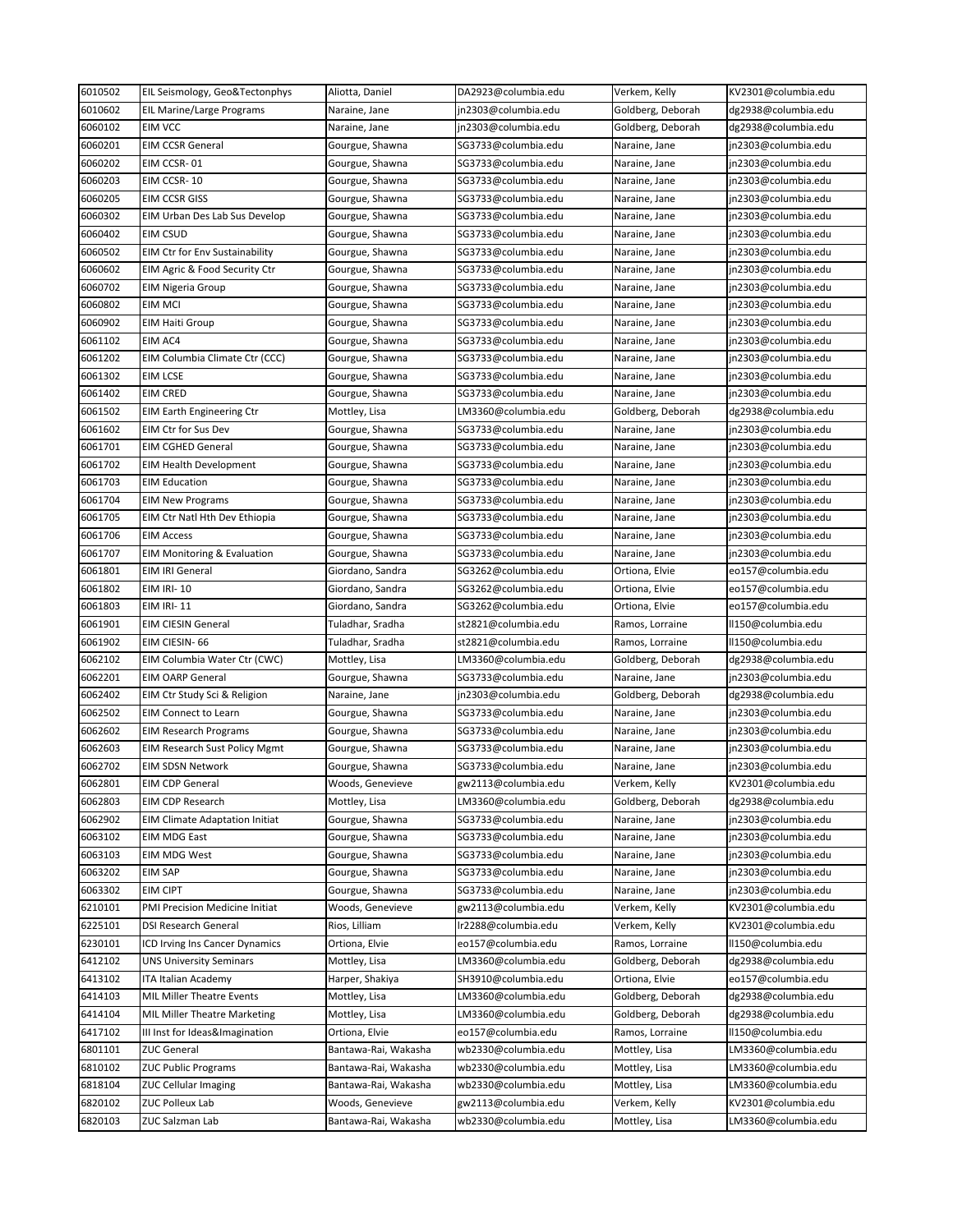| 6010502            | EIL Seismology, Geo&Tectonphys                                | Aliotta, Daniel                          | DA2923@columbia.edu                        | Verkem, Kelly                  | KV2301@columbia.edu                        |
|--------------------|---------------------------------------------------------------|------------------------------------------|--------------------------------------------|--------------------------------|--------------------------------------------|
| 6010602            | EIL Marine/Large Programs                                     | Naraine, Jane                            | jn2303@columbia.edu                        | Goldberg, Deborah              | dg2938@columbia.edu                        |
| 6060102            | <b>EIM VCC</b>                                                | Naraine, Jane                            | jn2303@columbia.edu                        | Goldberg, Deborah              | dg2938@columbia.edu                        |
| 6060201            | <b>EIM CCSR General</b>                                       | Gourgue, Shawna                          | SG3733@columbia.edu                        | Naraine, Jane                  | jn2303@columbia.edu                        |
| 6060202            | EIM CCSR-01                                                   | Gourgue, Shawna                          | SG3733@columbia.edu                        | Naraine, Jane                  | jn2303@columbia.edu                        |
| 6060203            | EIM CCSR-10                                                   | Gourgue, Shawna                          | SG3733@columbia.edu                        | Naraine, Jane                  | jn2303@columbia.edu                        |
| 6060205            | <b>EIM CCSR GISS</b>                                          | Gourgue, Shawna                          | SG3733@columbia.edu                        | Naraine, Jane                  | jn2303@columbia.edu                        |
| 6060302            | EIM Urban Des Lab Sus Develop                                 | Gourgue, Shawna                          | SG3733@columbia.edu                        | Naraine, Jane                  | jn2303@columbia.edu                        |
| 6060402            | EIM CSUD                                                      | Gourgue, Shawna                          | SG3733@columbia.edu                        | Naraine, Jane                  | jn2303@columbia.edu                        |
| 6060502            | <b>EIM Ctr for Env Sustainability</b>                         | Gourgue, Shawna                          | SG3733@columbia.edu                        | Naraine, Jane                  | jn2303@columbia.edu                        |
| 6060602            | EIM Agric & Food Security Ctr                                 | Gourgue, Shawna                          | SG3733@columbia.edu                        | Naraine, Jane                  | jn2303@columbia.edu                        |
| 6060702            | <b>EIM Nigeria Group</b>                                      | Gourgue, Shawna                          | SG3733@columbia.edu                        | Naraine, Jane                  | jn2303@columbia.edu                        |
| 6060802            | <b>EIM MCI</b>                                                | Gourgue, Shawna                          | SG3733@columbia.edu                        | Naraine, Jane                  | jn2303@columbia.edu                        |
| 6060902            | <b>EIM Haiti Group</b>                                        | Gourgue, Shawna                          | SG3733@columbia.edu                        | Naraine, Jane                  | jn2303@columbia.edu                        |
| 6061102            | EIM AC4                                                       | Gourgue, Shawna                          | SG3733@columbia.edu                        | Naraine, Jane                  | jn2303@columbia.edu                        |
| 6061202            | EIM Columbia Climate Ctr (CCC)                                | Gourgue, Shawna                          | SG3733@columbia.edu                        | Naraine, Jane                  | jn2303@columbia.edu                        |
| 6061302            | EIM LCSE                                                      | Gourgue, Shawna                          | SG3733@columbia.edu                        | Naraine, Jane                  | jn2303@columbia.edu                        |
| 6061402            | <b>EIM CRED</b>                                               | Gourgue, Shawna                          | SG3733@columbia.edu                        | Naraine, Jane                  | jn2303@columbia.edu                        |
| 6061502            | <b>EIM Earth Engineering Ctr</b>                              | Mottley, Lisa                            | LM3360@columbia.edu                        | Goldberg, Deborah              | dg2938@columbia.edu                        |
| 6061602            | EIM Ctr for Sus Dev                                           | Gourgue, Shawna                          | SG3733@columbia.edu                        | Naraine, Jane                  | jn2303@columbia.edu                        |
| 6061701            | <b>EIM CGHED General</b>                                      | Gourgue, Shawna                          | SG3733@columbia.edu                        | Naraine, Jane                  | jn2303@columbia.edu                        |
| 6061702            | <b>EIM Health Development</b>                                 | Gourgue, Shawna                          | SG3733@columbia.edu                        | Naraine, Jane                  | jn2303@columbia.edu                        |
| 6061703            | <b>EIM Education</b>                                          | Gourgue, Shawna                          | SG3733@columbia.edu                        | Naraine, Jane                  | jn2303@columbia.edu                        |
| 6061704            | <b>EIM New Programs</b>                                       | Gourgue, Shawna                          | SG3733@columbia.edu                        | Naraine, Jane                  | jn2303@columbia.edu                        |
| 6061705            | EIM Ctr Natl Hth Dev Ethiopia                                 | Gourgue, Shawna                          | SG3733@columbia.edu                        | Naraine, Jane                  | jn2303@columbia.edu                        |
| 6061706            | <b>EIM Access</b>                                             | Gourgue, Shawna                          | SG3733@columbia.edu                        | Naraine, Jane                  | jn2303@columbia.edu                        |
| 6061707            | <b>EIM Monitoring &amp; Evaluation</b>                        | Gourgue, Shawna                          | SG3733@columbia.edu                        | Naraine, Jane                  | jn2303@columbia.edu                        |
| 6061801            | EIM IRI General                                               | Giordano, Sandra                         | SG3262@columbia.edu                        | Ortiona, Elvie                 | eo157@columbia.edu                         |
| 6061802            | <b>EIM IRI-10</b>                                             | Giordano, Sandra                         | SG3262@columbia.edu                        | Ortiona, Elvie                 | eo157@columbia.edu                         |
| 6061803            | <b>EIM IRI-11</b>                                             | Giordano, Sandra                         | SG3262@columbia.edu                        | Ortiona, Elvie                 | eo157@columbia.edu                         |
| 6061901            | <b>EIM CIESIN General</b>                                     | Tuladhar, Sradha                         | st2821@columbia.edu                        | Ramos, Lorraine                | II150@columbia.edu                         |
| 6061902            | EIM CIESIN-66                                                 | Tuladhar, Sradha                         | st2821@columbia.edu                        | Ramos, Lorraine                | ll150@columbia.edu                         |
| 6062102            | EIM Columbia Water Ctr (CWC)                                  | Mottley, Lisa                            | LM3360@columbia.edu                        | Goldberg, Deborah              | dg2938@columbia.edu                        |
| 6062201            | <b>EIM OARP General</b>                                       | Gourgue, Shawna                          | SG3733@columbia.edu                        | Naraine, Jane                  | jn2303@columbia.edu                        |
| 6062402            | EIM Ctr Study Sci & Religion                                  | Naraine, Jane                            | jn2303@columbia.edu                        | Goldberg, Deborah              | dg2938@columbia.edu                        |
| 6062502            | <b>EIM Connect to Learn</b>                                   | Gourgue, Shawna                          | SG3733@columbia.edu                        | Naraine, Jane                  | jn2303@columbia.edu                        |
| 6062602            | <b>EIM Research Programs</b>                                  | Gourgue, Shawna                          | SG3733@columbia.edu                        | Naraine, Jane                  | jn2303@columbia.edu                        |
| 6062603            | <b>EIM Research Sust Policy Mgmt</b>                          | Gourgue, Shawna                          | SG3733@columbia.edu                        | Naraine, Jane                  | jn2303@columbia.edu                        |
| 6062702            | <b>EIM SDSN Network</b>                                       | Gourgue, Shawna                          | SG3733@columbia.edu                        | Naraine, Jane                  | jn2303@columbia.edu                        |
| 6062801            | <b>EIM CDP General</b>                                        | Woods, Genevieve                         | gw2113@columbia.edu                        | Verkem, Kelly                  | KV2301@columbia.edu                        |
| 6062803            | <b>EIM CDP Research</b>                                       |                                          |                                            |                                |                                            |
| 6062902            |                                                               | Mottley, Lisa                            | LM3360@columbia.edu                        | Goldberg, Deborah              | dg2938@columbia.edu                        |
| 6063102            | <b>EIM Climate Adaptation Initiat</b>                         | Gourgue, Shawna                          | SG3733@columbia.edu                        | Naraine, Jane                  | jn2303@columbia.edu                        |
|                    |                                                               | Gourgue, Shawna                          | SG3733@columbia.edu                        | Naraine, Jane                  | jn2303@columbia.edu                        |
|                    | <b>EIM MDG East</b><br>EIM MDG West                           | Gourgue, Shawna                          | SG3733@columbia.edu                        | Naraine, Jane                  | jn2303@columbia.edu                        |
| 6063103<br>6063202 | EIM SAP                                                       | Gourgue, Shawna                          | SG3733@columbia.edu                        | Naraine, Jane                  | jn2303@columbia.edu                        |
|                    | EIM CIPT                                                      |                                          |                                            |                                |                                            |
| 6063302<br>6210101 |                                                               | Gourgue, Shawna                          | SG3733@columbia.edu                        | Naraine, Jane                  | jn2303@columbia.edu                        |
| 6225101            | PMI Precision Medicine Initiat<br><b>DSI Research General</b> | Woods, Genevieve<br>Rios, Lilliam        | gw2113@columbia.edu<br>lr2288@columbia.edu | Verkem, Kelly<br>Verkem, Kelly | KV2301@columbia.edu<br>KV2301@columbia.edu |
|                    |                                                               |                                          |                                            | Ramos, Lorraine                |                                            |
| 6230101<br>6412102 | ICD Irving Ins Cancer Dynamics<br>UNS University Seminars     | Ortiona, Elvie<br>Mottley, Lisa          | eo157@columbia.edu<br>LM3360@columbia.edu  | Goldberg, Deborah              | ll150@columbia.edu<br>dg2938@columbia.edu  |
|                    |                                                               |                                          | SH3910@columbia.edu                        | Ortiona, Elvie                 |                                            |
| 6413102<br>6414103 | ITA Italian Academy<br>MIL Miller Theatre Events              | Harper, Shakiya<br>Mottley, Lisa         | LM3360@columbia.edu                        | Goldberg, Deborah              | eo157@columbia.edu<br>dg2938@columbia.edu  |
| 6414104            | MIL Miller Theatre Marketing                                  | Mottley, Lisa                            | LM3360@columbia.edu                        | Goldberg, Deborah              | dg2938@columbia.edu                        |
|                    |                                                               |                                          |                                            |                                |                                            |
| 6417102            | III Inst for Ideas&Imagination                                | Ortiona, Elvie                           | eo157@columbia.edu                         | Ramos, Lorraine                | ll150@columbia.edu                         |
| 6801101            | <b>ZUC General</b>                                            | Bantawa-Rai, Wakasha                     | wb2330@columbia.edu                        | Mottley, Lisa                  | LM3360@columbia.edu                        |
| 6810102            | <b>ZUC Public Programs</b>                                    | Bantawa-Rai, Wakasha                     | wb2330@columbia.edu                        | Mottley, Lisa                  | LM3360@columbia.edu                        |
| 6818104            | <b>ZUC Cellular Imaging</b>                                   | Bantawa-Rai, Wakasha                     | wb2330@columbia.edu                        | Mottley, Lisa                  | LM3360@columbia.edu                        |
| 6820102<br>6820103 | ZUC Polleux Lab<br>ZUC Salzman Lab                            | Woods, Genevieve<br>Bantawa-Rai, Wakasha | gw2113@columbia.edu<br>wb2330@columbia.edu | Verkem, Kelly<br>Mottley, Lisa | KV2301@columbia.edu<br>LM3360@columbia.edu |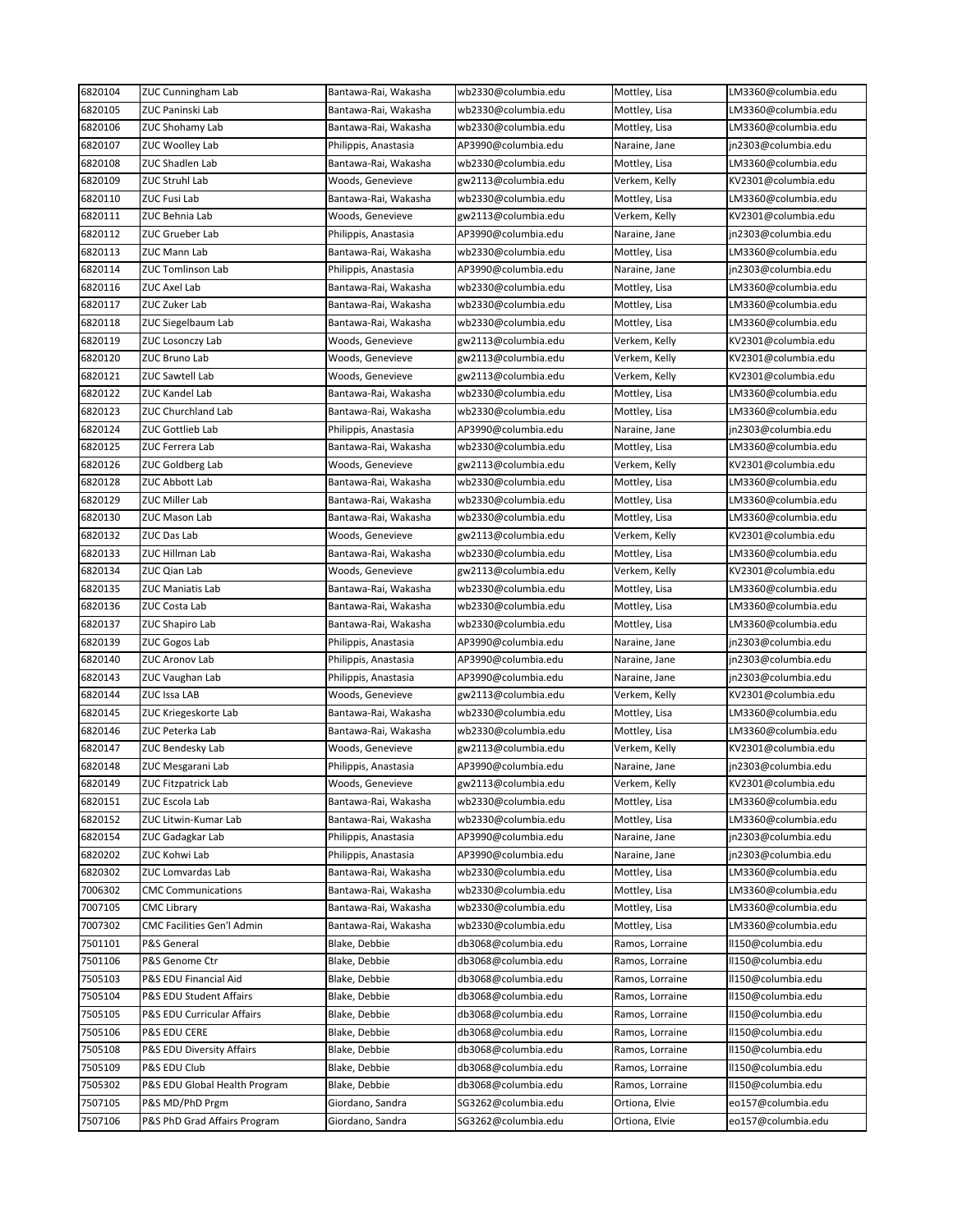| 6820104 | <b>ZUC Cunningham Lab</b>     | Bantawa-Rai, Wakasha | wb2330@columbia.edu | Mottley, Lisa   | LM3360@columbia.edu |
|---------|-------------------------------|----------------------|---------------------|-----------------|---------------------|
| 6820105 | ZUC Paninski Lab              | Bantawa-Rai, Wakasha | wb2330@columbia.edu | Mottley, Lisa   | LM3360@columbia.edu |
| 6820106 | ZUC Shohamy Lab               | Bantawa-Rai, Wakasha | wb2330@columbia.edu | Mottley, Lisa   | LM3360@columbia.edu |
| 6820107 | ZUC Woolley Lab               | Philippis, Anastasia | AP3990@columbia.edu | Naraine, Jane   | jn2303@columbia.edu |
| 6820108 | ZUC Shadlen Lab               | Bantawa-Rai, Wakasha | wb2330@columbia.edu | Mottley, Lisa   | LM3360@columbia.edu |
| 6820109 | ZUC Struhl Lab                | Woods, Genevieve     | gw2113@columbia.edu | Verkem, Kelly   | KV2301@columbia.edu |
| 6820110 | ZUC Fusi Lab                  | Bantawa-Rai, Wakasha | wb2330@columbia.edu | Mottley, Lisa   | LM3360@columbia.edu |
| 6820111 | ZUC Behnia Lab                | Woods, Genevieve     | gw2113@columbia.edu | Verkem, Kelly   | KV2301@columbia.edu |
| 6820112 | ZUC Grueber Lab               | Philippis, Anastasia | AP3990@columbia.edu | Naraine, Jane   | jn2303@columbia.edu |
| 6820113 | ZUC Mann Lab                  | Bantawa-Rai, Wakasha | wb2330@columbia.edu | Mottley, Lisa   | LM3360@columbia.edu |
| 6820114 | ZUC Tomlinson Lab             | Philippis, Anastasia | AP3990@columbia.edu | Naraine, Jane   | in2303@columbia.edu |
| 6820116 | ZUC Axel Lab                  | Bantawa-Rai, Wakasha | wb2330@columbia.edu | Mottley, Lisa   | LM3360@columbia.edu |
| 6820117 | ZUC Zuker Lab                 | Bantawa-Rai, Wakasha | wb2330@columbia.edu | Mottley, Lisa   | LM3360@columbia.edu |
| 6820118 | ZUC Siegelbaum Lab            | Bantawa-Rai, Wakasha | wb2330@columbia.edu | Mottley, Lisa   | LM3360@columbia.edu |
| 6820119 | ZUC Losonczy Lab              | Woods, Genevieve     | gw2113@columbia.edu | Verkem, Kelly   | KV2301@columbia.edu |
| 6820120 | ZUC Bruno Lab                 | Woods, Genevieve     | gw2113@columbia.edu | Verkem, Kelly   | KV2301@columbia.edu |
| 6820121 | ZUC Sawtell Lab               | Woods, Genevieve     | gw2113@columbia.edu | Verkem, Kelly   | KV2301@columbia.edu |
| 6820122 | ZUC Kandel Lab                | Bantawa-Rai, Wakasha | wb2330@columbia.edu | Mottley, Lisa   | LM3360@columbia.edu |
| 6820123 | <b>ZUC Churchland Lab</b>     | Bantawa-Rai, Wakasha | wb2330@columbia.edu | Mottley, Lisa   | LM3360@columbia.edu |
| 6820124 | ZUC Gottlieb Lab              |                      |                     | Naraine, Jane   | jn2303@columbia.edu |
|         |                               | Philippis, Anastasia | AP3990@columbia.edu |                 |                     |
| 6820125 | ZUC Ferrera Lab               | Bantawa-Rai, Wakasha | wb2330@columbia.edu | Mottley, Lisa   | LM3360@columbia.edu |
| 6820126 | ZUC Goldberg Lab              | Woods, Genevieve     | gw2113@columbia.edu | Verkem, Kelly   | KV2301@columbia.edu |
| 6820128 | ZUC Abbott Lab                | Bantawa-Rai, Wakasha | wb2330@columbia.edu | Mottley, Lisa   | LM3360@columbia.edu |
| 6820129 | ZUC Miller Lab                | Bantawa-Rai, Wakasha | wb2330@columbia.edu | Mottley, Lisa   | LM3360@columbia.edu |
| 6820130 | ZUC Mason Lab                 | Bantawa-Rai, Wakasha | wb2330@columbia.edu | Mottley, Lisa   | LM3360@columbia.edu |
| 6820132 | ZUC Das Lab                   | Woods, Genevieve     | gw2113@columbia.edu | Verkem, Kelly   | KV2301@columbia.edu |
| 6820133 | ZUC Hillman Lab               | Bantawa-Rai, Wakasha | wb2330@columbia.edu | Mottley, Lisa   | LM3360@columbia.edu |
| 6820134 | ZUC Qian Lab                  | Woods, Genevieve     | gw2113@columbia.edu | Verkem, Kelly   | KV2301@columbia.edu |
| 6820135 | ZUC Maniatis Lab              | Bantawa-Rai, Wakasha | wb2330@columbia.edu | Mottley, Lisa   | LM3360@columbia.edu |
| 6820136 | ZUC Costa Lab                 | Bantawa-Rai, Wakasha | wb2330@columbia.edu | Mottley, Lisa   | LM3360@columbia.edu |
| 6820137 | ZUC Shapiro Lab               | Bantawa-Rai, Wakasha | wb2330@columbia.edu | Mottley, Lisa   | LM3360@columbia.edu |
| 6820139 | ZUC Gogos Lab                 | Philippis, Anastasia | AP3990@columbia.edu | Naraine, Jane   | jn2303@columbia.edu |
| 6820140 | ZUC Aronov Lab                | Philippis, Anastasia | AP3990@columbia.edu | Naraine, Jane   | jn2303@columbia.edu |
| 6820143 | ZUC Vaughan Lab               | Philippis, Anastasia | AP3990@columbia.edu | Naraine, Jane   | jn2303@columbia.edu |
| 6820144 | ZUC Issa LAB                  | Woods, Genevieve     | gw2113@columbia.edu | Verkem, Kelly   | KV2301@columbia.edu |
| 6820145 | ZUC Kriegeskorte Lab          | Bantawa-Rai, Wakasha | wb2330@columbia.edu | Mottley, Lisa   | LM3360@columbia.edu |
| 6820146 | ZUC Peterka Lab               | Bantawa-Rai, Wakasha | wb2330@columbia.edu | Mottley, Lisa   | LM3360@columbia.edu |
| 6820147 | ZUC Bendesky Lab              | Woods, Genevieve     | gw2113@columbia.edu | Verkem, Kelly   | KV2301@columbia.edu |
| 6820148 | ZUC Mesgarani Lab             | Philippis, Anastasia | AP3990@columbia.edu | Naraine, Jane   | jn2303@columbia.edu |
| 6820149 | ZUC Fitzpatrick Lab           | Woods, Genevieve     | gw2113@columbia.edu | Verkem, Kelly   | KV2301@columbia.edu |
| 6820151 | ZUC Escola Lab                | Bantawa-Rai, Wakasha | wb2330@columbia.edu | Mottley, Lisa   | LM3360@columbia.edu |
| 6820152 | ZUC Litwin-Kumar Lab          | Bantawa-Rai, Wakasha | wb2330@columbia.edu | Mottley, Lisa   | LM3360@columbia.edu |
| 6820154 | ZUC Gadagkar Lab              | Philippis, Anastasia | AP3990@columbia.edu | Naraine, Jane   | jn2303@columbia.edu |
| 6820202 | ZUC Kohwi Lab                 | Philippis, Anastasia | AP3990@columbia.edu | Naraine, Jane   | jn2303@columbia.edu |
| 6820302 | ZUC Lomvardas Lab             | Bantawa-Rai, Wakasha | wb2330@columbia.edu | Mottley, Lisa   | LM3360@columbia.edu |
| 7006302 | <b>CMC Communications</b>     | Bantawa-Rai, Wakasha | wb2330@columbia.edu | Mottley, Lisa   | LM3360@columbia.edu |
| 7007105 | <b>CMC Library</b>            | Bantawa-Rai, Wakasha | wb2330@columbia.edu | Mottley, Lisa   | LM3360@columbia.edu |
| 7007302 | CMC Facilities Gen'l Admin    | Bantawa-Rai, Wakasha | wb2330@columbia.edu | Mottley, Lisa   | LM3360@columbia.edu |
|         |                               |                      |                     |                 |                     |
| 7501101 | P&S General                   | Blake, Debbie        | db3068@columbia.edu | Ramos, Lorraine | II150@columbia.edu  |
| 7501106 | P&S Genome Ctr                | Blake, Debbie        | db3068@columbia.edu | Ramos, Lorraine | II150@columbia.edu  |
| 7505103 | P&S EDU Financial Aid         | Blake, Debbie        | db3068@columbia.edu | Ramos, Lorraine | II150@columbia.edu  |
| 7505104 | P&S EDU Student Affairs       | Blake, Debbie        | db3068@columbia.edu | Ramos, Lorraine | II150@columbia.edu  |
| 7505105 | P&S EDU Curricular Affairs    | Blake, Debbie        | db3068@columbia.edu | Ramos, Lorraine | II150@columbia.edu  |
| 7505106 | <b>P&amp;S EDU CERE</b>       | Blake, Debbie        | db3068@columbia.edu | Ramos, Lorraine | II150@columbia.edu  |
| 7505108 | P&S EDU Diversity Affairs     | Blake, Debbie        | db3068@columbia.edu | Ramos, Lorraine | II150@columbia.edu  |
| 7505109 | P&S EDU Club                  | Blake, Debbie        | db3068@columbia.edu | Ramos, Lorraine | II150@columbia.edu  |
| 7505302 | P&S EDU Global Health Program | Blake, Debbie        | db3068@columbia.edu | Ramos, Lorraine | ll150@columbia.edu  |
| 7507105 | P&S MD/PhD Prgm               | Giordano, Sandra     | SG3262@columbia.edu | Ortiona, Elvie  | eo157@columbia.edu  |
| 7507106 | P&S PhD Grad Affairs Program  | Giordano, Sandra     | SG3262@columbia.edu | Ortiona, Elvie  | eo157@columbia.edu  |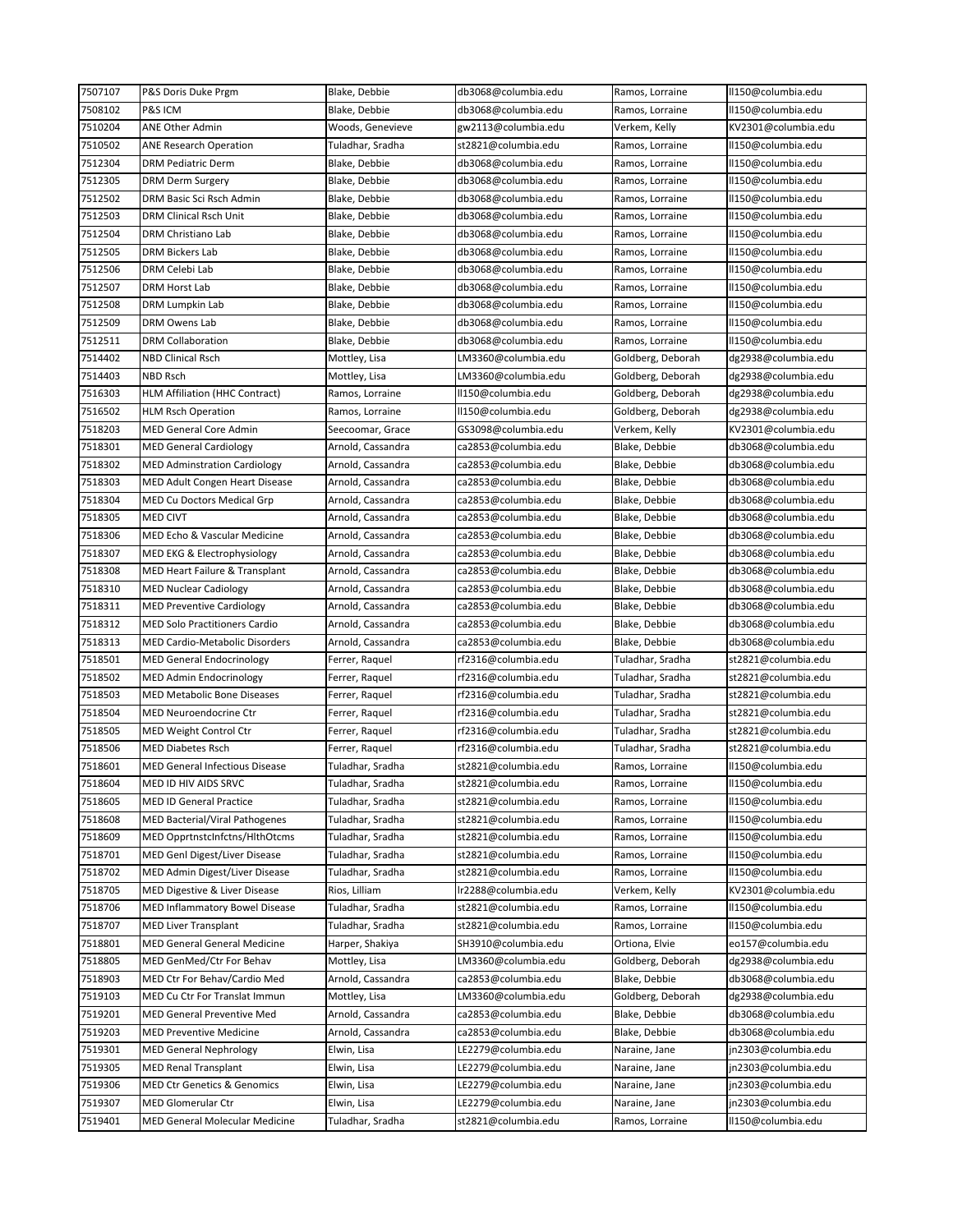| 7507107 | P&S Doris Duke Prgm                    | Blake, Debbie     | db3068@columbia.edu | Ramos, Lorraine   | II150@columbia.edu  |
|---------|----------------------------------------|-------------------|---------------------|-------------------|---------------------|
| 7508102 | P&S ICM                                | Blake, Debbie     | db3068@columbia.edu | Ramos, Lorraine   | II150@columbia.edu  |
| 7510204 | ANE Other Admin                        | Woods, Genevieve  | gw2113@columbia.edu | Verkem, Kelly     | KV2301@columbia.edu |
| 7510502 | ANE Research Operation                 | Tuladhar, Sradha  | st2821@columbia.edu | Ramos, Lorraine   | II150@columbia.edu  |
| 7512304 | DRM Pediatric Derm                     | Blake, Debbie     | db3068@columbia.edu | Ramos, Lorraine   | II150@columbia.edu  |
| 7512305 | <b>DRM Derm Surgery</b>                | Blake, Debbie     | db3068@columbia.edu | Ramos, Lorraine   | II150@columbia.edu  |
| 7512502 | DRM Basic Sci Rsch Admin               | Blake, Debbie     | db3068@columbia.edu | Ramos, Lorraine   | II150@columbia.edu  |
| 7512503 | DRM Clinical Rsch Unit                 | Blake, Debbie     | db3068@columbia.edu | Ramos, Lorraine   | II150@columbia.edu  |
| 7512504 | DRM Christiano Lab                     | Blake, Debbie     | db3068@columbia.edu | Ramos, Lorraine   | II150@columbia.edu  |
| 7512505 | DRM Bickers Lab                        | Blake, Debbie     | db3068@columbia.edu | Ramos, Lorraine   | II150@columbia.edu  |
| 7512506 | DRM Celebi Lab                         | Blake, Debbie     | db3068@columbia.edu | Ramos, Lorraine   | II150@columbia.edu  |
| 7512507 | DRM Horst Lab                          | Blake, Debbie     | db3068@columbia.edu | Ramos, Lorraine   | II150@columbia.edu  |
| 7512508 | DRM Lumpkin Lab                        | Blake, Debbie     | db3068@columbia.edu | Ramos, Lorraine   | II150@columbia.edu  |
| 7512509 | DRM Owens Lab                          | Blake, Debbie     | db3068@columbia.edu | Ramos, Lorraine   | II150@columbia.edu  |
| 7512511 | DRM Collaboration                      | Blake, Debbie     | db3068@columbia.edu | Ramos, Lorraine   | II150@columbia.edu  |
| 7514402 | <b>NBD Clinical Rsch</b>               | Mottley, Lisa     | LM3360@columbia.edu | Goldberg, Deborah | dg2938@columbia.edu |
| 7514403 | NBD Rsch                               | Mottley, Lisa     | LM3360@columbia.edu | Goldberg, Deborah | dg2938@columbia.edu |
| 7516303 | <b>HLM Affiliation (HHC Contract)</b>  | Ramos, Lorraine   | ll150@columbia.edu  | Goldberg, Deborah | dg2938@columbia.edu |
| 7516502 | <b>HLM Rsch Operation</b>              | Ramos, Lorraine   | ll150@columbia.edu  | Goldberg, Deborah | dg2938@columbia.edu |
| 7518203 | <b>MED General Core Admin</b>          |                   |                     |                   |                     |
|         |                                        | Seecoomar, Grace  | GS3098@columbia.edu | Verkem, Kelly     | KV2301@columbia.edu |
| 7518301 | <b>MED General Cardiology</b>          | Arnold, Cassandra | ca2853@columbia.edu | Blake, Debbie     | db3068@columbia.edu |
| 7518302 | <b>MED Adminstration Cardiology</b>    | Arnold, Cassandra | ca2853@columbia.edu | Blake, Debbie     | db3068@columbia.edu |
| 7518303 | <b>MED Adult Congen Heart Disease</b>  | Arnold, Cassandra | ca2853@columbia.edu | Blake, Debbie     | db3068@columbia.edu |
| 7518304 | <b>MED Cu Doctors Medical Grp</b>      | Arnold, Cassandra | ca2853@columbia.edu | Blake, Debbie     | db3068@columbia.edu |
| 7518305 | <b>MED CIVT</b>                        | Arnold, Cassandra | ca2853@columbia.edu | Blake, Debbie     | db3068@columbia.edu |
| 7518306 | MED Echo & Vascular Medicine           | Arnold, Cassandra | ca2853@columbia.edu | Blake, Debbie     | db3068@columbia.edu |
| 7518307 | MED EKG & Electrophysiology            | Arnold, Cassandra | ca2853@columbia.edu | Blake, Debbie     | db3068@columbia.edu |
| 7518308 | MED Heart Failure & Transplant         | Arnold, Cassandra | ca2853@columbia.edu | Blake, Debbie     | db3068@columbia.edu |
| 7518310 | <b>MED Nuclear Cadiology</b>           | Arnold, Cassandra | ca2853@columbia.edu | Blake, Debbie     | db3068@columbia.edu |
| 7518311 | <b>MED Preventive Cardiology</b>       | Arnold, Cassandra | ca2853@columbia.edu | Blake, Debbie     | db3068@columbia.edu |
| 7518312 | MED Solo Practitioners Cardio          | Arnold, Cassandra | ca2853@columbia.edu | Blake, Debbie     | db3068@columbia.edu |
| 7518313 | MED Cardio-Metabolic Disorders         | Arnold, Cassandra | ca2853@columbia.edu | Blake, Debbie     | db3068@columbia.edu |
| 7518501 | <b>MED General Endocrinology</b>       | Ferrer, Raquel    | rf2316@columbia.edu | Tuladhar, Sradha  | st2821@columbia.edu |
| 7518502 | MED Admin Endocrinology                | Ferrer, Raquel    | rf2316@columbia.edu | Tuladhar, Sradha  | st2821@columbia.edu |
| 7518503 | MED Metabolic Bone Diseases            | Ferrer, Raquel    | rf2316@columbia.edu | Tuladhar, Sradha  | st2821@columbia.edu |
| 7518504 | MED Neuroendocrine Ctr                 | Ferrer, Raquel    | rf2316@columbia.edu | Tuladhar, Sradha  | st2821@columbia.edu |
| 7518505 | <b>MED Weight Control Ctr</b>          | Ferrer, Raquel    | rf2316@columbia.edu | Tuladhar, Sradha  | st2821@columbia.edu |
| 7518506 | <b>MED Diabetes Rsch</b>               | Ferrer, Raquel    | rf2316@columbia.edu | Tuladhar, Sradha  | st2821@columbia.edu |
| 7518601 | <b>MED General Infectious Disease</b>  | Tuladhar, Sradha  | st2821@columbia.edu | Ramos, Lorraine   | II150@columbia.edu  |
| 7518604 | MED ID HIV AIDS SRVC                   | Tuladhar, Sradha  | st2821@columbia.edu | Ramos, Lorraine   | II150@columbia.edu  |
| 7518605 | <b>MED ID General Practice</b>         | Tuladhar, Sradha  | st2821@columbia.edu | Ramos, Lorraine   | II150@columbia.edu  |
| 7518608 | MED Bacterial/Viral Pathogenes         | Tuladhar, Sradha  | st2821@columbia.edu | Ramos, Lorraine   | II150@columbia.edu  |
| 7518609 | MED OpprtnstcInfctns/HlthOtcms         | Tuladhar, Sradha  | st2821@columbia.edu | Ramos, Lorraine   | II150@columbia.edu  |
| 7518701 | <b>MED Genl Digest/Liver Disease</b>   | Tuladhar, Sradha  | st2821@columbia.edu | Ramos, Lorraine   | II150@columbia.edu  |
| 7518702 | MED Admin Digest/Liver Disease         | Tuladhar, Sradha  | st2821@columbia.edu | Ramos, Lorraine   | II150@columbia.edu  |
| 7518705 | MED Digestive & Liver Disease          | Rios, Lilliam     | lr2288@columbia.edu | Verkem, Kelly     | KV2301@columbia.edu |
| 7518706 | MED Inflammatory Bowel Disease         |                   |                     | Ramos, Lorraine   |                     |
|         |                                        | Tuladhar, Sradha  | st2821@columbia.edu | Ramos, Lorraine   | II150@columbia.edu  |
| 7518707 | MED Liver Transplant                   | Tuladhar, Sradha  | st2821@columbia.edu |                   | II150@columbia.edu  |
| 7518801 | <b>MED General General Medicine</b>    | Harper, Shakiya   | SH3910@columbia.edu | Ortiona, Elvie    | eo157@columbia.edu  |
| 7518805 | MED GenMed/Ctr For Behav               | Mottley, Lisa     | LM3360@columbia.edu | Goldberg, Deborah | dg2938@columbia.edu |
| 7518903 | MED Ctr For Behav/Cardio Med           | Arnold, Cassandra | ca2853@columbia.edu | Blake, Debbie     | db3068@columbia.edu |
| 7519103 | MED Cu Ctr For Translat Immun          | Mottley, Lisa     | LM3360@columbia.edu | Goldberg, Deborah | dg2938@columbia.edu |
| 7519201 | MED General Preventive Med             | Arnold, Cassandra | ca2853@columbia.edu | Blake, Debbie     | db3068@columbia.edu |
| 7519203 | <b>MED Preventive Medicine</b>         | Arnold, Cassandra | ca2853@columbia.edu | Blake, Debbie     | db3068@columbia.edu |
| 7519301 | MED General Nephrology                 | Elwin, Lisa       | LE2279@columbia.edu | Naraine, Jane     | jn2303@columbia.edu |
| 7519305 | <b>MED Renal Transplant</b>            | Elwin, Lisa       | LE2279@columbia.edu | Naraine, Jane     | jn2303@columbia.edu |
| 7519306 | <b>MED Ctr Genetics &amp; Genomics</b> | Elwin, Lisa       | LE2279@columbia.edu | Naraine, Jane     | jn2303@columbia.edu |
| 7519307 | <b>MED Glomerular Ctr</b>              | Elwin, Lisa       | LE2279@columbia.edu | Naraine, Jane     | jn2303@columbia.edu |
| 7519401 | MED General Molecular Medicine         | Tuladhar, Sradha  | st2821@columbia.edu | Ramos, Lorraine   | II150@columbia.edu  |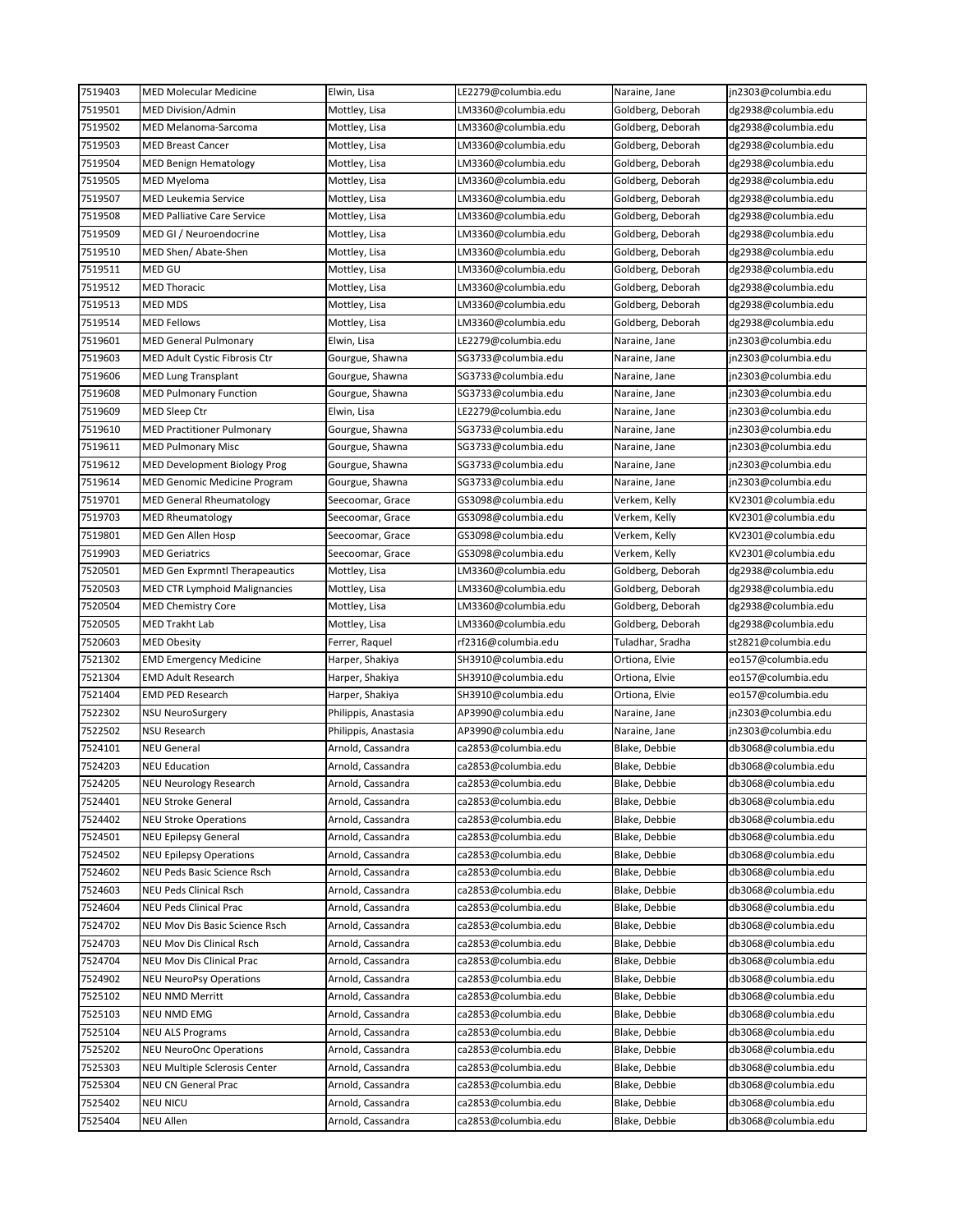| 7519403 | <b>MED Molecular Medicine</b>         | Elwin, Lisa          | LE2279@columbia.edu | Naraine, Jane     | jn2303@columbia.edu |
|---------|---------------------------------------|----------------------|---------------------|-------------------|---------------------|
| 7519501 | MED Division/Admin                    | Mottley, Lisa        | LM3360@columbia.edu | Goldberg, Deborah | dg2938@columbia.edu |
| 7519502 | MED Melanoma-Sarcoma                  | Mottley, Lisa        | LM3360@columbia.edu | Goldberg, Deborah | dg2938@columbia.edu |
| 7519503 | <b>MED Breast Cancer</b>              | Mottley, Lisa        | LM3360@columbia.edu | Goldberg, Deborah | dg2938@columbia.edu |
| 7519504 | <b>MED Benign Hematology</b>          | Mottley, Lisa        | LM3360@columbia.edu | Goldberg, Deborah | dg2938@columbia.edu |
| 7519505 | <b>MED Myeloma</b>                    | Mottley, Lisa        | LM3360@columbia.edu | Goldberg, Deborah | dg2938@columbia.edu |
| 7519507 | MED Leukemia Service                  | Mottley, Lisa        | LM3360@columbia.edu | Goldberg, Deborah | dg2938@columbia.edu |
| 7519508 | MED Palliative Care Service           | Mottley, Lisa        | LM3360@columbia.edu | Goldberg, Deborah | dg2938@columbia.edu |
| 7519509 | MED GI / Neuroendocrine               | Mottley, Lisa        | LM3360@columbia.edu | Goldberg, Deborah | dg2938@columbia.edu |
| 7519510 | MED Shen/ Abate-Shen                  | Mottley, Lisa        | LM3360@columbia.edu | Goldberg, Deborah | dg2938@columbia.edu |
| 7519511 | MED GU                                | Mottley, Lisa        | LM3360@columbia.edu | Goldberg, Deborah | dg2938@columbia.edu |
| 7519512 | MED Thoracic                          | Mottley, Lisa        | LM3360@columbia.edu | Goldberg, Deborah | dg2938@columbia.edu |
| 7519513 | <b>MED MDS</b>                        | Mottley, Lisa        | LM3360@columbia.edu | Goldberg, Deborah | dg2938@columbia.edu |
| 7519514 | MED Fellows                           | Mottley, Lisa        | LM3360@columbia.edu | Goldberg, Deborah | dg2938@columbia.edu |
| 7519601 | MED General Pulmonary                 | Elwin, Lisa          | LE2279@columbia.edu | Naraine, Jane     | jn2303@columbia.edu |
| 7519603 | MED Adult Cystic Fibrosis Ctr         | Gourgue, Shawna      | SG3733@columbia.edu | Naraine, Jane     | jn2303@columbia.edu |
| 7519606 | MED Lung Transplant                   | Gourgue, Shawna      | SG3733@columbia.edu | Naraine, Jane     | jn2303@columbia.edu |
| 7519608 | <b>MED Pulmonary Function</b>         | Gourgue, Shawna      | SG3733@columbia.edu | Naraine, Jane     | jn2303@columbia.edu |
| 7519609 | MED Sleep Ctr                         | Elwin, Lisa          | LE2279@columbia.edu | Naraine, Jane     | jn2303@columbia.edu |
| 7519610 | <b>MED Practitioner Pulmonary</b>     | Gourgue, Shawna      | SG3733@columbia.edu | Naraine, Jane     | jn2303@columbia.edu |
| 7519611 | <b>MED Pulmonary Misc</b>             | Gourgue, Shawna      | SG3733@columbia.edu | Naraine, Jane     | jn2303@columbia.edu |
| 7519612 | MED Development Biology Prog          | Gourgue, Shawna      | SG3733@columbia.edu | Naraine, Jane     | jn2303@columbia.edu |
| 7519614 | <b>MED Genomic Medicine Program</b>   | Gourgue, Shawna      | SG3733@columbia.edu | Naraine, Jane     | jn2303@columbia.edu |
| 7519701 | <b>MED General Rheumatology</b>       | Seecoomar, Grace     | GS3098@columbia.edu | Verkem, Kelly     | KV2301@columbia.edu |
| 7519703 | <b>MED Rheumatology</b>               | Seecoomar, Grace     | GS3098@columbia.edu | Verkem, Kelly     | KV2301@columbia.edu |
| 7519801 | MED Gen Allen Hosp                    |                      | GS3098@columbia.edu | Verkem, Kelly     | KV2301@columbia.edu |
| 7519903 |                                       | Seecoomar, Grace     |                     |                   |                     |
|         | <b>MED Geriatrics</b>                 | Seecoomar, Grace     | GS3098@columbia.edu | Verkem, Kelly     | KV2301@columbia.edu |
| 7520501 | <b>MED Gen Exprmntl Therapeautics</b> | Mottley, Lisa        | LM3360@columbia.edu | Goldberg, Deborah | dg2938@columbia.edu |
| 7520503 | MED CTR Lymphoid Malignancies         | Mottley, Lisa        | LM3360@columbia.edu | Goldberg, Deborah | dg2938@columbia.edu |
| 7520504 | MED Chemistry Core                    | Mottley, Lisa        | LM3360@columbia.edu | Goldberg, Deborah | dg2938@columbia.edu |
| 7520505 | MED Trakht Lab                        | Mottley, Lisa        | LM3360@columbia.edu | Goldberg, Deborah | dg2938@columbia.edu |
| 7520603 | MED Obesity                           | Ferrer, Raquel       | rf2316@columbia.edu | Tuladhar, Sradha  | st2821@columbia.edu |
| 7521302 | <b>EMD Emergency Medicine</b>         | Harper, Shakiya      | SH3910@columbia.edu | Ortiona, Elvie    | eo157@columbia.edu  |
| 7521304 | <b>EMD Adult Research</b>             | Harper, Shakiya      | SH3910@columbia.edu | Ortiona, Elvie    | eo157@columbia.edu  |
| 7521404 | <b>EMD PED Research</b>               | Harper, Shakiya      | SH3910@columbia.edu | Ortiona, Elvie    | eo157@columbia.edu  |
| 7522302 | <b>NSU NeuroSurgery</b>               | Philippis, Anastasia | AP3990@columbia.edu | Naraine, Jane     | jn2303@columbia.edu |
| 7522502 | <b>NSU Research</b>                   | Philippis, Anastasia | AP3990@columbia.edu | Naraine, Jane     | jn2303@columbia.edu |
| 7524101 | <b>NEU General</b>                    | Arnold, Cassandra    | ca2853@columbia.edu | Blake, Debbie     | db3068@columbia.edu |
| 7524203 | <b>NEU Education</b>                  | Arnold, Cassandra    | ca2853@columbia.edu | Blake, Debbie     | db3068@columbia.edu |
| 7524205 | <b>NEU Neurology Research</b>         | Arnold, Cassandra    | ca2853@columbia.edu | Blake, Debbie     | db3068@columbia.edu |
| 7524401 | <b>NEU Stroke General</b>             | Arnold, Cassandra    | ca2853@columbia.edu | Blake, Debbie     | db3068@columbia.edu |
| 7524402 | <b>NEU Stroke Operations</b>          | Arnold, Cassandra    | ca2853@columbia.edu | Blake, Debbie     | db3068@columbia.edu |
| 7524501 | <b>NEU Epilepsy General</b>           | Arnold, Cassandra    | ca2853@columbia.edu | Blake, Debbie     | db3068@columbia.edu |
| 7524502 | <b>NEU Epilepsy Operations</b>        | Arnold, Cassandra    | ca2853@columbia.edu | Blake, Debbie     | db3068@columbia.edu |
| 7524602 | NEU Peds Basic Science Rsch           | Arnold, Cassandra    | ca2853@columbia.edu | Blake, Debbie     | db3068@columbia.edu |
| 7524603 | <b>NEU Peds Clinical Rsch</b>         | Arnold, Cassandra    | ca2853@columbia.edu | Blake, Debbie     | db3068@columbia.edu |
| 7524604 | NEU Peds Clinical Prac                | Arnold, Cassandra    | ca2853@columbia.edu | Blake, Debbie     | db3068@columbia.edu |
| 7524702 | NEU Mov Dis Basic Science Rsch        | Arnold, Cassandra    | ca2853@columbia.edu | Blake, Debbie     | db3068@columbia.edu |
| 7524703 | <b>NEU Mov Dis Clinical Rsch</b>      | Arnold, Cassandra    | ca2853@columbia.edu | Blake, Debbie     | db3068@columbia.edu |
| 7524704 | NEU Mov Dis Clinical Prac             | Arnold, Cassandra    | ca2853@columbia.edu | Blake, Debbie     | db3068@columbia.edu |
| 7524902 | <b>NEU NeuroPsy Operations</b>        | Arnold, Cassandra    | ca2853@columbia.edu | Blake, Debbie     | db3068@columbia.edu |
| 7525102 | NEU NMD Merritt                       | Arnold, Cassandra    | ca2853@columbia.edu | Blake, Debbie     | db3068@columbia.edu |
| 7525103 | NEU NMD EMG                           | Arnold, Cassandra    | ca2853@columbia.edu | Blake, Debbie     | db3068@columbia.edu |
| 7525104 | <b>NEU ALS Programs</b>               | Arnold, Cassandra    | ca2853@columbia.edu | Blake, Debbie     | db3068@columbia.edu |
| 7525202 | <b>NEU NeuroOnc Operations</b>        | Arnold, Cassandra    | ca2853@columbia.edu | Blake, Debbie     | db3068@columbia.edu |
| 7525303 | NEU Multiple Sclerosis Center         | Arnold, Cassandra    | ca2853@columbia.edu | Blake, Debbie     | db3068@columbia.edu |
| 7525304 | NEU CN General Prac                   | Arnold, Cassandra    | ca2853@columbia.edu | Blake, Debbie     | db3068@columbia.edu |
| 7525402 | NEU NICU                              | Arnold, Cassandra    | ca2853@columbia.edu | Blake, Debbie     | db3068@columbia.edu |
| 7525404 | NEU Allen                             | Arnold, Cassandra    | ca2853@columbia.edu | Blake, Debbie     | db3068@columbia.edu |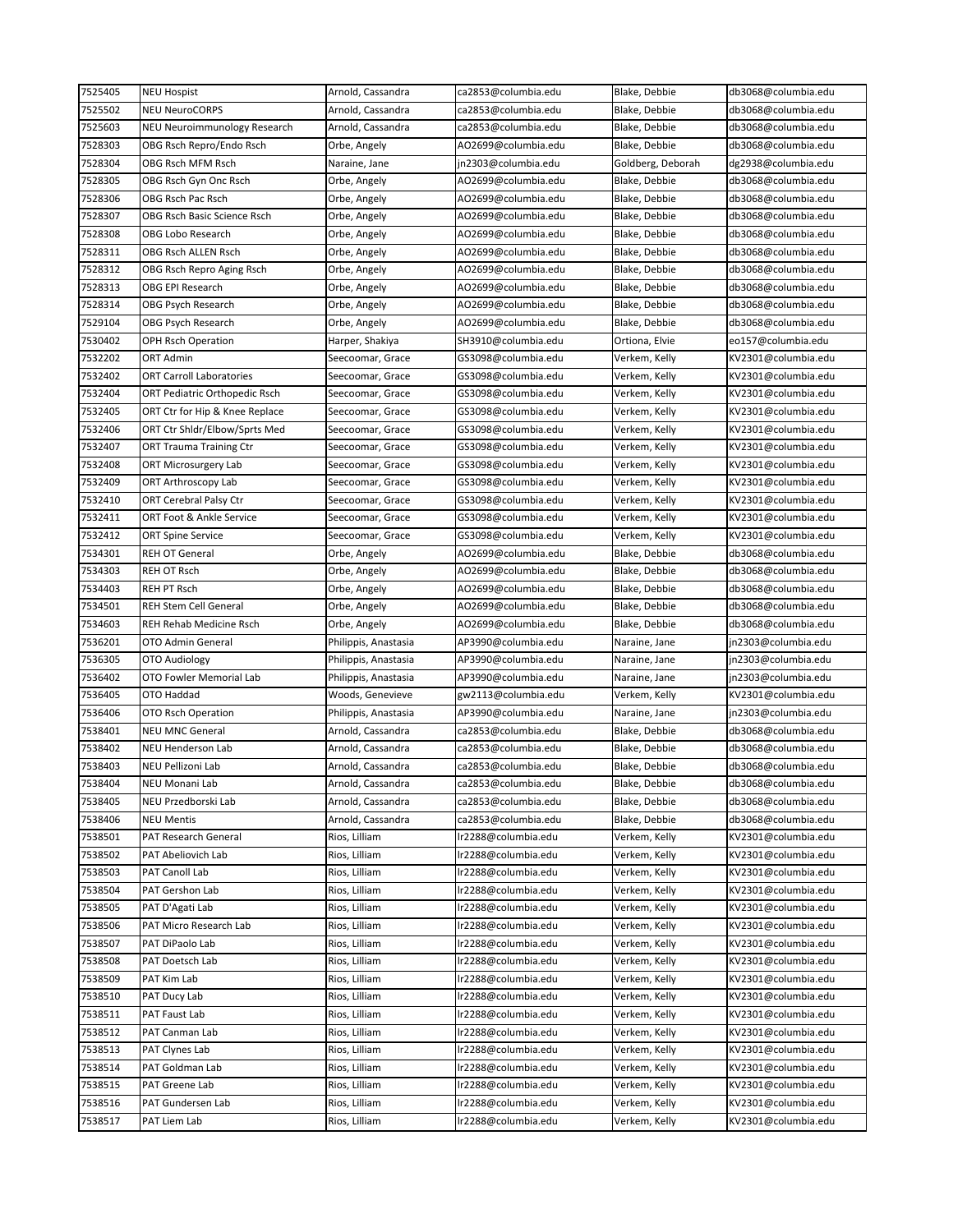| 7525405            | <b>NEU Hospist</b>                    | Arnold, Cassandra                      | ca2853@columbia.edu | Blake, Debbie                  | db3068@columbia.edu                        |
|--------------------|---------------------------------------|----------------------------------------|---------------------|--------------------------------|--------------------------------------------|
| 7525502            | <b>NEU NeuroCORPS</b>                 | Arnold, Cassandra                      | ca2853@columbia.edu | Blake, Debbie                  | db3068@columbia.edu                        |
| 7525603            | NEU Neuroimmunology Research          | Arnold, Cassandra                      | ca2853@columbia.edu | Blake, Debbie                  | db3068@columbia.edu                        |
| 7528303            | OBG Rsch Repro/Endo Rsch              | Orbe, Angely                           | AO2699@columbia.edu | Blake, Debbie                  | db3068@columbia.edu                        |
| 7528304            | OBG Rsch MFM Rsch                     | Naraine, Jane                          | jn2303@columbia.edu | Goldberg, Deborah              | dg2938@columbia.edu                        |
| 7528305            | OBG Rsch Gyn Onc Rsch                 | Orbe, Angely                           | AO2699@columbia.edu | Blake, Debbie                  | db3068@columbia.edu                        |
| 7528306            | OBG Rsch Pac Rsch                     | Orbe, Angely                           | AO2699@columbia.edu | Blake, Debbie                  | db3068@columbia.edu                        |
| 7528307            | OBG Rsch Basic Science Rsch           | Orbe, Angely                           | AO2699@columbia.edu | Blake, Debbie                  | db3068@columbia.edu                        |
| 7528308            | OBG Lobo Research                     | Orbe, Angely                           | AO2699@columbia.edu | Blake, Debbie                  | db3068@columbia.edu                        |
| 7528311            | OBG Rsch ALLEN Rsch                   | Orbe, Angely                           | AO2699@columbia.edu | Blake, Debbie                  | db3068@columbia.edu                        |
| 7528312            | OBG Rsch Repro Aging Rsch             | Orbe, Angely                           | AO2699@columbia.edu | Blake, Debbie                  | db3068@columbia.edu                        |
| 7528313            | OBG EPI Research                      | Orbe, Angely                           | AO2699@columbia.edu | Blake, Debbie                  | db3068@columbia.edu                        |
| 7528314            | OBG Psych Research                    | Orbe, Angely                           | AO2699@columbia.edu | Blake, Debbie                  | db3068@columbia.edu                        |
| 7529104            | OBG Psych Research                    | Orbe, Angely                           | AO2699@columbia.edu | Blake, Debbie                  | db3068@columbia.edu                        |
| 7530402            | <b>OPH Rsch Operation</b>             | Harper, Shakiya                        | SH3910@columbia.edu | Ortiona, Elvie                 | eo157@columbia.edu                         |
| 7532202            | ORT Admin                             | Seecoomar, Grace                       | GS3098@columbia.edu | Verkem, Kelly                  | KV2301@columbia.edu                        |
| 7532402            | <b>ORT Carroll Laboratories</b>       | Seecoomar, Grace                       | GS3098@columbia.edu | Verkem, Kelly                  | KV2301@columbia.edu                        |
| 7532404            | ORT Pediatric Orthopedic Rsch         | Seecoomar, Grace                       | GS3098@columbia.edu | Verkem, Kelly                  | KV2301@columbia.edu                        |
| 7532405            | ORT Ctr for Hip & Knee Replace        | Seecoomar, Grace                       | GS3098@columbia.edu | Verkem, Kelly                  | KV2301@columbia.edu                        |
| 7532406            | ORT Ctr Shldr/Elbow/Sprts Med         | Seecoomar, Grace                       | GS3098@columbia.edu | Verkem, Kelly                  | KV2301@columbia.edu                        |
| 7532407            | ORT Trauma Training Ctr               | Seecoomar, Grace                       | GS3098@columbia.edu | Verkem, Kelly                  | KV2301@columbia.edu                        |
| 7532408            | ORT Microsurgery Lab                  | Seecoomar, Grace                       | GS3098@columbia.edu | Verkem, Kelly                  | KV2301@columbia.edu                        |
| 7532409            | ORT Arthroscopy Lab                   | Seecoomar, Grace                       | GS3098@columbia.edu | Verkem, Kelly                  | KV2301@columbia.edu                        |
| 7532410            | ORT Cerebral Palsy Ctr                | Seecoomar, Grace                       | GS3098@columbia.edu | Verkem, Kelly                  | KV2301@columbia.edu                        |
| 7532411            | ORT Foot & Ankle Service              | Seecoomar, Grace                       | GS3098@columbia.edu | Verkem, Kelly                  | KV2301@columbia.edu                        |
| 7532412            | <b>ORT Spine Service</b>              | Seecoomar, Grace                       | GS3098@columbia.edu | Verkem, Kelly                  | KV2301@columbia.edu                        |
| 7534301            | <b>REH OT General</b>                 | Orbe, Angely                           | AO2699@columbia.edu | Blake, Debbie                  | db3068@columbia.edu                        |
| 7534303            | <b>REH OT Rsch</b>                    | Orbe, Angely                           | AO2699@columbia.edu | Blake, Debbie                  | db3068@columbia.edu                        |
| 7534403            | <b>REH PT Rsch</b>                    | Orbe, Angely                           | AO2699@columbia.edu | Blake, Debbie                  | db3068@columbia.edu                        |
| 7534501            | <b>REH Stem Cell General</b>          | Orbe, Angely                           | AO2699@columbia.edu | Blake, Debbie                  | db3068@columbia.edu                        |
| 7534603            | <b>REH Rehab Medicine Rsch</b>        | Orbe, Angely                           | AO2699@columbia.edu | Blake, Debbie                  | db3068@columbia.edu                        |
| 7536201            | OTO Admin General                     | Philippis, Anastasia                   | AP3990@columbia.edu | Naraine, Jane                  | jn2303@columbia.edu                        |
| 7536305            | OTO Audiology                         | Philippis, Anastasia                   | AP3990@columbia.edu | Naraine, Jane                  | jn2303@columbia.edu                        |
| 7536402            | OTO Fowler Memorial Lab               | Philippis, Anastasia                   | AP3990@columbia.edu | Naraine, Jane                  | jn2303@columbia.edu                        |
| 7536405            | OTO Haddad                            | Woods, Genevieve                       | gw2113@columbia.edu | Verkem, Kelly                  | KV2301@columbia.edu                        |
| 7536406            | OTO Rsch Operation                    | Philippis, Anastasia                   | AP3990@columbia.edu | Naraine, Jane                  | jn2303@columbia.edu                        |
| 7538401            | <b>NEU MNC General</b>                | Arnold, Cassandra                      | ca2853@columbia.edu | Blake, Debbie                  | db3068@columbia.edu                        |
| 7538402            | <b>NEU Henderson Lab</b>              | Arnold, Cassandra                      | ca2853@columbia.edu | Blake, Debbie                  | db3068@columbia.edu                        |
| 7538403            | NEU Pellizoni Lab                     | Arnold, Cassandra                      | ca2853@columbia.edu | Blake, Debbie                  | db3068@columbia.edu                        |
|                    |                                       |                                        |                     | Blake, Debbie                  |                                            |
| 7538404<br>7538405 | NEU Monani Lab<br>NEU Przedborski Lab | Arnold, Cassandra<br>Arnold, Cassandra | ca2853@columbia.edu | Blake, Debbie                  | db3068@columbia.edu<br>db3068@columbia.edu |
|                    |                                       |                                        | ca2853@columbia.edu |                                |                                            |
| 7538406            | <b>NEU Mentis</b>                     | Arnold, Cassandra                      | ca2853@columbia.edu | Blake, Debbie<br>Verkem, Kelly | db3068@columbia.edu                        |
| 7538501            | PAT Research General                  | Rios, Lilliam                          | lr2288@columbia.edu |                                | KV2301@columbia.edu                        |
| 7538502            | PAT Abeliovich Lab                    | Rios, Lilliam                          | lr2288@columbia.edu | Verkem, Kelly                  | KV2301@columbia.edu                        |
| 7538503            | <b>PAT Canoll Lab</b>                 | Rios, Lilliam                          | lr2288@columbia.edu | Verkem, Kelly                  | KV2301@columbia.edu                        |
| 7538504            | PAT Gershon Lab                       | Rios, Lilliam                          | lr2288@columbia.edu | Verkem, Kelly                  | KV2301@columbia.edu                        |
| 7538505            | PAT D'Agati Lab                       | Rios, Lilliam                          | lr2288@columbia.edu | Verkem, Kelly                  | KV2301@columbia.edu                        |
| 7538506            | PAT Micro Research Lab                | Rios, Lilliam                          | lr2288@columbia.edu | Verkem, Kelly                  | KV2301@columbia.edu                        |
| 7538507            | PAT DiPaolo Lab                       | Rios, Lilliam                          | lr2288@columbia.edu | Verkem, Kelly                  | KV2301@columbia.edu                        |
| 7538508            | PAT Doetsch Lab                       | Rios, Lilliam                          | lr2288@columbia.edu | Verkem, Kelly                  | KV2301@columbia.edu                        |
| 7538509            | PAT Kim Lab                           | Rios, Lilliam                          | lr2288@columbia.edu | Verkem, Kelly                  | KV2301@columbia.edu                        |
| 7538510            | PAT Ducy Lab                          | Rios, Lilliam                          | lr2288@columbia.edu | Verkem, Kelly                  | KV2301@columbia.edu                        |
| 7538511            | PAT Faust Lab                         | Rios, Lilliam                          | lr2288@columbia.edu | Verkem, Kelly                  | KV2301@columbia.edu                        |
| 7538512            | PAT Canman Lab                        | Rios, Lilliam                          | lr2288@columbia.edu | Verkem, Kelly                  | KV2301@columbia.edu                        |
| 7538513            | PAT Clynes Lab                        | Rios, Lilliam                          | lr2288@columbia.edu | Verkem, Kelly                  | KV2301@columbia.edu                        |
| 7538514            | PAT Goldman Lab                       | Rios, Lilliam                          | lr2288@columbia.edu | Verkem, Kelly                  | KV2301@columbia.edu                        |
| 7538515            | PAT Greene Lab                        | Rios, Lilliam                          | lr2288@columbia.edu | Verkem, Kelly                  | KV2301@columbia.edu                        |
| 7538516            | PAT Gundersen Lab                     | Rios, Lilliam                          | lr2288@columbia.edu | Verkem, Kelly                  | KV2301@columbia.edu                        |
| 7538517            | PAT Liem Lab                          | Rios, Lilliam                          | lr2288@columbia.edu | Verkem, Kelly                  | KV2301@columbia.edu                        |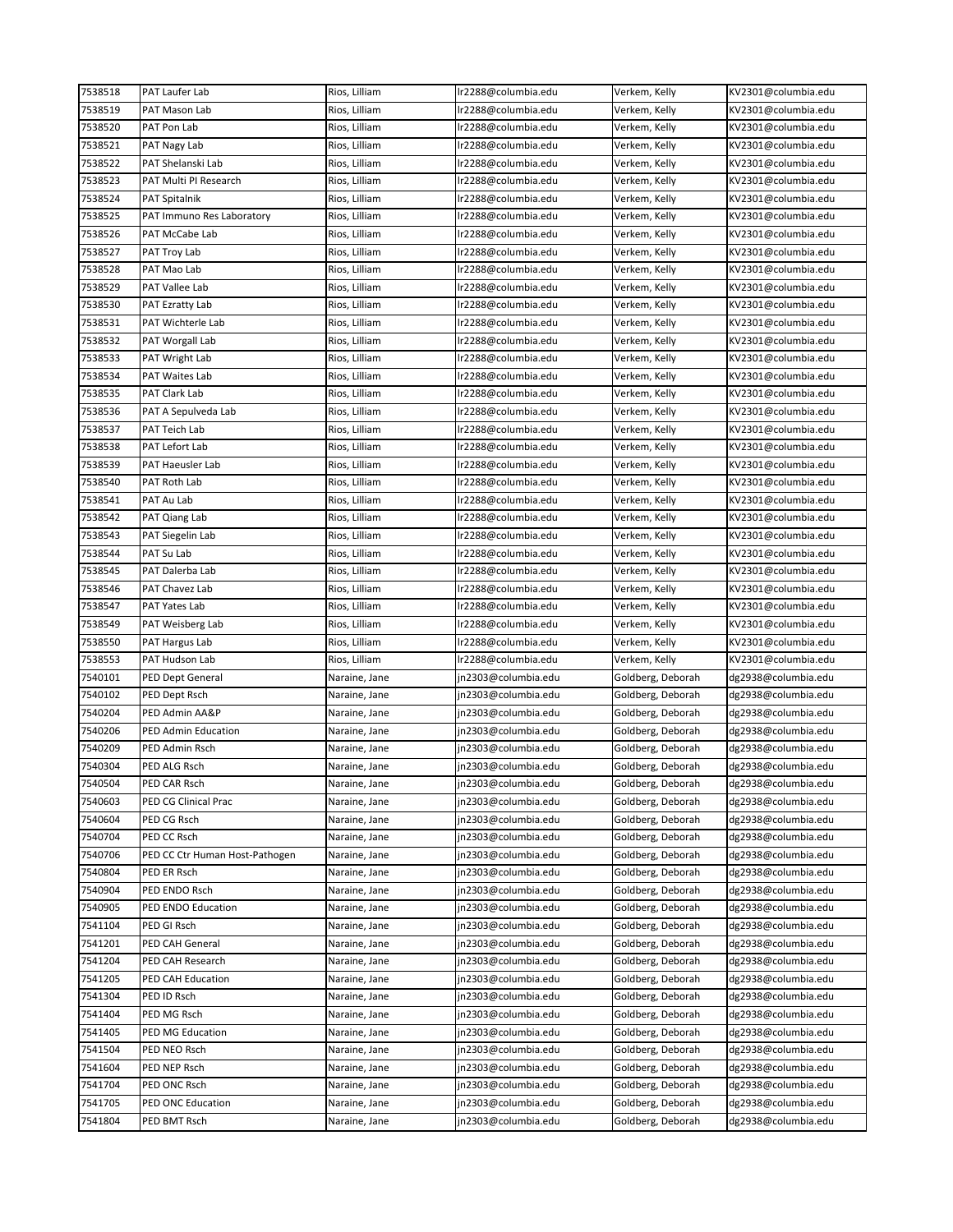| 7538518 | PAT Laufer Lab                    | Rios, Lilliam | Ir2288@columbia.edu | Verkem, Kelly     | KV2301@columbia.edu |
|---------|-----------------------------------|---------------|---------------------|-------------------|---------------------|
| 7538519 | PAT Mason Lab                     | Rios, Lilliam | lr2288@columbia.edu | Verkem, Kelly     | KV2301@columbia.edu |
| 7538520 | PAT Pon Lab                       | Rios, Lilliam | lr2288@columbia.edu | Verkem, Kelly     | KV2301@columbia.edu |
| 7538521 | PAT Nagy Lab                      | Rios, Lilliam | lr2288@columbia.edu | Verkem, Kelly     | KV2301@columbia.edu |
| 7538522 | PAT Shelanski Lab                 | Rios, Lilliam | Ir2288@columbia.edu | Verkem, Kelly     | KV2301@columbia.edu |
| 7538523 | PAT Multi PI Research             | Rios, Lilliam | lr2288@columbia.edu | Verkem, Kelly     | KV2301@columbia.edu |
| 7538524 | PAT Spitalnik                     | Rios, Lilliam | lr2288@columbia.edu | Verkem, Kelly     | KV2301@columbia.edu |
| 7538525 | PAT Immuno Res Laboratory         | Rios, Lilliam | lr2288@columbia.edu | Verkem, Kelly     | KV2301@columbia.edu |
| 7538526 | PAT McCabe Lab                    | Rios, Lilliam | lr2288@columbia.edu | Verkem, Kelly     | KV2301@columbia.edu |
| 7538527 | PAT Troy Lab                      | Rios, Lilliam | lr2288@columbia.edu | Verkem, Kelly     | KV2301@columbia.edu |
| 7538528 | PAT Mao Lab                       | Rios, Lilliam | Ir2288@columbia.edu | Verkem, Kelly     | KV2301@columbia.edu |
| 7538529 | PAT Vallee Lab                    | Rios, Lilliam | lr2288@columbia.edu | Verkem, Kelly     | KV2301@columbia.edu |
| 7538530 | PAT Ezratty Lab                   | Rios, Lilliam | lr2288@columbia.edu | Verkem, Kelly     | KV2301@columbia.edu |
| 7538531 | PAT Wichterle Lab                 | Rios, Lilliam | lr2288@columbia.edu | Verkem, Kelly     | KV2301@columbia.edu |
| 7538532 | PAT Worgall Lab                   | Rios, Lilliam | lr2288@columbia.edu | Verkem, Kelly     | KV2301@columbia.edu |
| 7538533 | PAT Wright Lab                    | Rios, Lilliam | lr2288@columbia.edu | Verkem, Kelly     | KV2301@columbia.edu |
| 7538534 | PAT Waites Lab                    | Rios, Lilliam | lr2288@columbia.edu | Verkem, Kelly     | KV2301@columbia.edu |
| 7538535 | PAT Clark Lab                     | Rios, Lilliam | lr2288@columbia.edu | Verkem, Kelly     | KV2301@columbia.edu |
| 7538536 | PAT A Sepulveda Lab               | Rios, Lilliam | lr2288@columbia.edu | Verkem, Kelly     | KV2301@columbia.edu |
| 7538537 | PAT Teich Lab                     | Rios, Lilliam | lr2288@columbia.edu | Verkem, Kelly     | KV2301@columbia.edu |
| 7538538 | PAT Lefort Lab                    | Rios, Lilliam | Ir2288@columbia.edu | Verkem, Kelly     | KV2301@columbia.edu |
| 7538539 | PAT Haeusler Lab                  | Rios, Lilliam | lr2288@columbia.edu | Verkem, Kelly     | KV2301@columbia.edu |
| 7538540 | PAT Roth Lab                      | Rios, Lilliam | lr2288@columbia.edu | Verkem, Kelly     | KV2301@columbia.edu |
| 7538541 | PAT Au Lab                        | Rios, Lilliam | lr2288@columbia.edu | Verkem, Kelly     | KV2301@columbia.edu |
| 7538542 |                                   | Rios, Lilliam | Ir2288@columbia.edu | Verkem, Kelly     | KV2301@columbia.edu |
| 7538543 | PAT Qiang Lab<br>PAT Siegelin Lab | Rios, Lilliam | lr2288@columbia.edu | Verkem, Kelly     | KV2301@columbia.edu |
|         |                                   |               |                     |                   |                     |
| 7538544 | PAT Su Lab                        | Rios, Lilliam | lr2288@columbia.edu | Verkem, Kelly     | KV2301@columbia.edu |
| 7538545 | PAT Dalerba Lab                   | Rios, Lilliam | lr2288@columbia.edu | Verkem, Kelly     | KV2301@columbia.edu |
| 7538546 | PAT Chavez Lab                    | Rios, Lilliam | lr2288@columbia.edu | Verkem, Kelly     | KV2301@columbia.edu |
| 7538547 | PAT Yates Lab                     | Rios, Lilliam | lr2288@columbia.edu | Verkem, Kelly     | KV2301@columbia.edu |
| 7538549 | PAT Weisberg Lab                  | Rios, Lilliam | lr2288@columbia.edu | Verkem, Kelly     | KV2301@columbia.edu |
| 7538550 | PAT Hargus Lab                    | Rios, Lilliam | lr2288@columbia.edu | Verkem, Kelly     | KV2301@columbia.edu |
| 7538553 | PAT Hudson Lab                    | Rios, Lilliam | lr2288@columbia.edu | Verkem, Kelly     | KV2301@columbia.edu |
| 7540101 | PED Dept General                  | Naraine, Jane | jn2303@columbia.edu | Goldberg, Deborah | dg2938@columbia.edu |
| 7540102 | PED Dept Rsch                     | Naraine, Jane | jn2303@columbia.edu | Goldberg, Deborah | dg2938@columbia.edu |
| 7540204 | PED Admin AA&P                    | Naraine, Jane | jn2303@columbia.edu | Goldberg, Deborah | dg2938@columbia.edu |
| 7540206 | PED Admin Education               | Naraine, Jane | jn2303@columbia.edu | Goldberg, Deborah | dg2938@columbia.edu |
| 7540209 | PED Admin Rsch                    | Naraine, Jane | jn2303@columbia.edu | Goldberg, Deborah | dg2938@columbia.edu |
| 7540304 | PED ALG Rsch                      | Naraine, Jane | jn2303@columbia.edu | Goldberg, Deborah | dg2938@columbia.edu |
| 7540504 | PED CAR Rsch                      | Naraine, Jane | jn2303@columbia.edu | Goldberg, Deborah | dg2938@columbia.edu |
| 7540603 | PED CG Clinical Prac              | Naraine, Jane | jn2303@columbia.edu | Goldberg, Deborah | dg2938@columbia.edu |
| 7540604 | PED CG Rsch                       | Naraine, Jane | jn2303@columbia.edu | Goldberg, Deborah | dg2938@columbia.edu |
| 7540704 | PED CC Rsch                       | Naraine, Jane | jn2303@columbia.edu | Goldberg, Deborah | dg2938@columbia.edu |
| 7540706 | PED CC Ctr Human Host-Pathogen    | Naraine, Jane | jn2303@columbia.edu | Goldberg, Deborah | dg2938@columbia.edu |
| 7540804 | PED ER Rsch                       | Naraine, Jane | jn2303@columbia.edu | Goldberg, Deborah | dg2938@columbia.edu |
| 7540904 | PED ENDO Rsch                     | Naraine, Jane | jn2303@columbia.edu | Goldberg, Deborah | dg2938@columbia.edu |
| 7540905 | PED ENDO Education                | Naraine, Jane | jn2303@columbia.edu | Goldberg, Deborah | dg2938@columbia.edu |
| 7541104 | PED GI Rsch                       | Naraine, Jane | jn2303@columbia.edu | Goldberg, Deborah | dg2938@columbia.edu |
| 7541201 | PED CAH General                   | Naraine, Jane | jn2303@columbia.edu | Goldberg, Deborah | dg2938@columbia.edu |
| 7541204 | PED CAH Research                  | Naraine, Jane | jn2303@columbia.edu | Goldberg, Deborah | dg2938@columbia.edu |
| 7541205 | PED CAH Education                 | Naraine, Jane | jn2303@columbia.edu | Goldberg, Deborah | dg2938@columbia.edu |
| 7541304 | PED ID Rsch                       | Naraine, Jane | jn2303@columbia.edu | Goldberg, Deborah | dg2938@columbia.edu |
| 7541404 | PED MG Rsch                       | Naraine, Jane | jn2303@columbia.edu | Goldberg, Deborah | dg2938@columbia.edu |
| 7541405 | PED MG Education                  | Naraine, Jane | jn2303@columbia.edu | Goldberg, Deborah | dg2938@columbia.edu |
| 7541504 | PED NEO Rsch                      | Naraine, Jane | jn2303@columbia.edu | Goldberg, Deborah | dg2938@columbia.edu |
| 7541604 | PED NEP Rsch                      | Naraine, Jane | jn2303@columbia.edu | Goldberg, Deborah | dg2938@columbia.edu |
| 7541704 | PED ONC Rsch                      | Naraine, Jane | jn2303@columbia.edu | Goldberg, Deborah | dg2938@columbia.edu |
| 7541705 | PED ONC Education                 | Naraine, Jane | jn2303@columbia.edu | Goldberg, Deborah | dg2938@columbia.edu |
| 7541804 | PED BMT Rsch                      | Naraine, Jane | jn2303@columbia.edu | Goldberg, Deborah | dg2938@columbia.edu |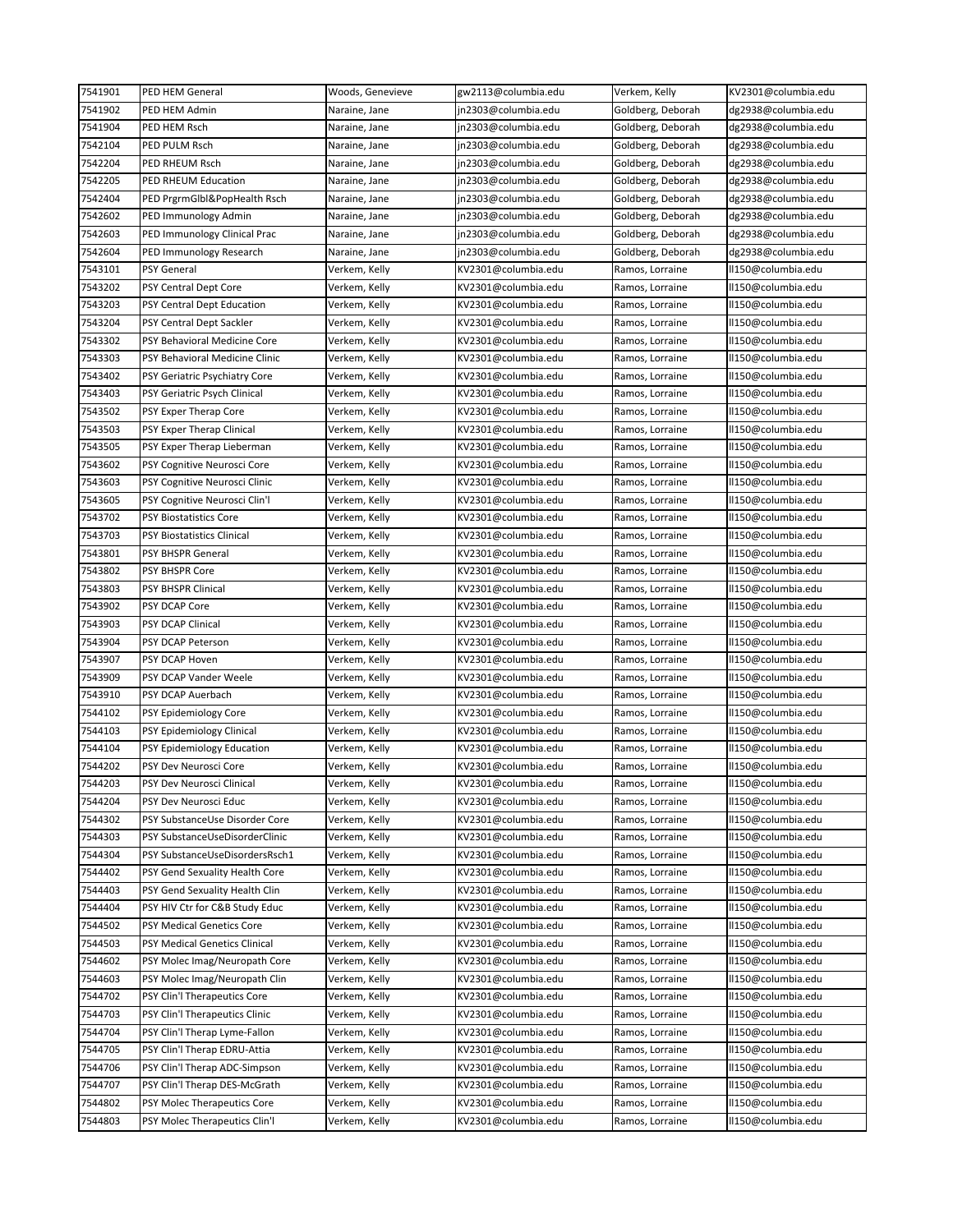| 7541901 | <b>PED HEM General</b>         | Woods, Genevieve | gw2113@columbia.edu | Verkem, Kelly                      | KV2301@columbia.edu                      |
|---------|--------------------------------|------------------|---------------------|------------------------------------|------------------------------------------|
| 7541902 | PED HEM Admin                  | Naraine, Jane    | jn2303@columbia.edu | Goldberg, Deborah                  | dg2938@columbia.edu                      |
| 7541904 | PED HEM Rsch                   | Naraine, Jane    | jn2303@columbia.edu | Goldberg, Deborah                  | dg2938@columbia.edu                      |
| 7542104 | PED PULM Rsch                  | Naraine, Jane    | jn2303@columbia.edu | Goldberg, Deborah                  | dg2938@columbia.edu                      |
| 7542204 | PED RHEUM Rsch                 | Naraine, Jane    | jn2303@columbia.edu | Goldberg, Deborah                  | dg2938@columbia.edu                      |
| 7542205 | PED RHEUM Education            | Naraine, Jane    | jn2303@columbia.edu | Goldberg, Deborah                  | dg2938@columbia.edu                      |
| 7542404 | PED PrgrmGlbl&PopHealth Rsch   | Naraine, Jane    | jn2303@columbia.edu | Goldberg, Deborah                  | dg2938@columbia.edu                      |
| 7542602 | PED Immunology Admin           | Naraine, Jane    | jn2303@columbia.edu | Goldberg, Deborah                  | dg2938@columbia.edu                      |
| 7542603 | PED Immunology Clinical Prac   | Naraine, Jane    | jn2303@columbia.edu | Goldberg, Deborah                  | dg2938@columbia.edu                      |
| 7542604 | PED Immunology Research        | Naraine, Jane    | jn2303@columbia.edu | Goldberg, Deborah                  | dg2938@columbia.edu                      |
| 7543101 | PSY General                    | Verkem, Kelly    | KV2301@columbia.edu | Ramos, Lorraine                    | II150@columbia.edu                       |
| 7543202 | PSY Central Dept Core          | Verkem, Kelly    | KV2301@columbia.edu | Ramos, Lorraine                    | II150@columbia.edu                       |
| 7543203 | PSY Central Dept Education     | Verkem, Kelly    | KV2301@columbia.edu | Ramos, Lorraine                    | II150@columbia.edu                       |
| 7543204 | PSY Central Dept Sackler       | Verkem, Kelly    | KV2301@columbia.edu | Ramos, Lorraine                    | II150@columbia.edu                       |
| 7543302 | PSY Behavioral Medicine Core   | Verkem, Kelly    | KV2301@columbia.edu | Ramos, Lorraine                    | II150@columbia.edu                       |
| 7543303 | PSY Behavioral Medicine Clinic | Verkem, Kelly    | KV2301@columbia.edu | Ramos, Lorraine                    | II150@columbia.edu                       |
| 7543402 | PSY Geriatric Psychiatry Core  | Verkem, Kelly    | KV2301@columbia.edu | Ramos, Lorraine                    | II150@columbia.edu                       |
| 7543403 | PSY Geriatric Psych Clinical   | Verkem, Kelly    | KV2301@columbia.edu | Ramos, Lorraine                    | II150@columbia.edu                       |
| 7543502 | PSY Exper Therap Core          | Verkem, Kelly    | KV2301@columbia.edu |                                    |                                          |
| 7543503 | PSY Exper Therap Clinical      | Verkem, Kelly    | KV2301@columbia.edu | Ramos, Lorraine<br>Ramos, Lorraine | II150@columbia.edu<br>II150@columbia.edu |
| 7543505 | PSY Exper Therap Lieberman     | Verkem, Kelly    | KV2301@columbia.edu | Ramos, Lorraine                    | II150@columbia.edu                       |
| 7543602 |                                |                  |                     |                                    |                                          |
|         | PSY Cognitive Neurosci Core    | Verkem, Kelly    | KV2301@columbia.edu | Ramos, Lorraine                    | II150@columbia.edu                       |
| 7543603 | PSY Cognitive Neurosci Clinic  | Verkem, Kelly    | KV2301@columbia.edu | Ramos, Lorraine                    | II150@columbia.edu                       |
| 7543605 | PSY Cognitive Neurosci Clin'l  | Verkem, Kelly    | KV2301@columbia.edu | Ramos, Lorraine                    | II150@columbia.edu                       |
| 7543702 | <b>PSY Biostatistics Core</b>  | Verkem, Kelly    | KV2301@columbia.edu | Ramos, Lorraine                    | II150@columbia.edu                       |
| 7543703 | PSY Biostatistics Clinical     | Verkem, Kelly    | KV2301@columbia.edu | Ramos, Lorraine                    | II150@columbia.edu                       |
| 7543801 | PSY BHSPR General              | Verkem, Kelly    | KV2301@columbia.edu | Ramos, Lorraine                    | II150@columbia.edu                       |
| 7543802 | PSY BHSPR Core                 | Verkem, Kelly    | KV2301@columbia.edu | Ramos, Lorraine                    | II150@columbia.edu                       |
| 7543803 | PSY BHSPR Clinical             | Verkem, Kelly    | KV2301@columbia.edu | Ramos, Lorraine                    | II150@columbia.edu                       |
| 7543902 | PSY DCAP Core                  | Verkem, Kelly    | KV2301@columbia.edu | Ramos, Lorraine                    | II150@columbia.edu                       |
| 7543903 | PSY DCAP Clinical              | Verkem, Kelly    | KV2301@columbia.edu | Ramos, Lorraine                    | II150@columbia.edu                       |
| 7543904 | PSY DCAP Peterson              | Verkem, Kelly    | KV2301@columbia.edu | Ramos, Lorraine                    | II150@columbia.edu                       |
| 7543907 | PSY DCAP Hoven                 | Verkem, Kelly    | KV2301@columbia.edu | Ramos, Lorraine                    | II150@columbia.edu                       |
| 7543909 | PSY DCAP Vander Weele          | Verkem, Kelly    | KV2301@columbia.edu | Ramos, Lorraine                    | II150@columbia.edu                       |
| 7543910 | PSY DCAP Auerbach              | Verkem, Kelly    | KV2301@columbia.edu | Ramos, Lorraine                    | II150@columbia.edu                       |
| 7544102 | PSY Epidemiology Core          | Verkem, Kelly    | KV2301@columbia.edu | Ramos, Lorraine                    | II150@columbia.edu                       |
| 7544103 | PSY Epidemiology Clinical      | Verkem, Kelly    | KV2301@columbia.edu | Ramos, Lorraine                    | II150@columbia.edu                       |
| 7544104 | PSY Epidemiology Education     | Verkem, Kelly    | KV2301@columbia.edu | Ramos, Lorraine                    | II150@columbia.edu                       |
| 7544202 | PSY Dev Neurosci Core          | Verkem, Kelly    | KV2301@columbia.edu | Ramos, Lorraine                    | II150@columbia.edu                       |
| 7544203 | PSY Dev Neurosci Clinical      | Verkem, Kelly    | KV2301@columbia.edu | Ramos, Lorraine                    | II150@columbia.edu                       |
| 7544204 | PSY Dev Neurosci Educ          | Verkem, Kelly    | KV2301@columbia.edu | Ramos, Lorraine                    | II150@columbia.edu                       |
| 7544302 | PSY SubstanceUse Disorder Core | Verkem, Kelly    | KV2301@columbia.edu | Ramos, Lorraine                    | II150@columbia.edu                       |
| 7544303 | PSY SubstanceUseDisorderClinic | Verkem, Kelly    | KV2301@columbia.edu | Ramos, Lorraine                    | II150@columbia.edu                       |
| 7544304 | PSY SubstanceUseDisordersRsch1 | Verkem, Kelly    | KV2301@columbia.edu | Ramos, Lorraine                    | II150@columbia.edu                       |
| 7544402 | PSY Gend Sexuality Health Core | Verkem, Kelly    | KV2301@columbia.edu | Ramos, Lorraine                    | II150@columbia.edu                       |
| 7544403 | PSY Gend Sexuality Health Clin | Verkem, Kelly    | KV2301@columbia.edu | Ramos, Lorraine                    | ll150@columbia.edu                       |
| 7544404 | PSY HIV Ctr for C&B Study Educ | Verkem, Kelly    | KV2301@columbia.edu | Ramos, Lorraine                    | II150@columbia.edu                       |
| 7544502 | PSY Medical Genetics Core      | Verkem, Kelly    | KV2301@columbia.edu | Ramos, Lorraine                    | II150@columbia.edu                       |
| 7544503 | PSY Medical Genetics Clinical  | Verkem, Kelly    | KV2301@columbia.edu | Ramos, Lorraine                    | II150@columbia.edu                       |
| 7544602 | PSY Molec Imag/Neuropath Core  | Verkem, Kelly    | KV2301@columbia.edu | Ramos, Lorraine                    | II150@columbia.edu                       |
| 7544603 | PSY Molec Imag/Neuropath Clin  | Verkem, Kelly    | KV2301@columbia.edu | Ramos, Lorraine                    | ll150@columbia.edu                       |
| 7544702 | PSY Clin'l Therapeutics Core   | Verkem, Kelly    | KV2301@columbia.edu | Ramos, Lorraine                    | II150@columbia.edu                       |
| 7544703 | PSY Clin'l Therapeutics Clinic | Verkem, Kelly    | KV2301@columbia.edu | Ramos, Lorraine                    | II150@columbia.edu                       |
| 7544704 | PSY Clin'l Therap Lyme-Fallon  | Verkem, Kelly    | KV2301@columbia.edu | Ramos, Lorraine                    | II150@columbia.edu                       |
| 7544705 | PSY Clin'l Therap EDRU-Attia   | Verkem, Kelly    | KV2301@columbia.edu | Ramos, Lorraine                    | II150@columbia.edu                       |
| 7544706 | PSY Clin'l Therap ADC-Simpson  | Verkem, Kelly    | KV2301@columbia.edu | Ramos, Lorraine                    | II150@columbia.edu                       |
| 7544707 | PSY Clin'l Therap DES-McGrath  | Verkem, Kelly    | KV2301@columbia.edu | Ramos, Lorraine                    | II150@columbia.edu                       |
| 7544802 | PSY Molec Therapeutics Core    | Verkem, Kelly    | KV2301@columbia.edu | Ramos, Lorraine                    | II150@columbia.edu                       |
| 7544803 | PSY Molec Therapeutics Clin'l  | Verkem, Kelly    | KV2301@columbia.edu | Ramos, Lorraine                    | II150@columbia.edu                       |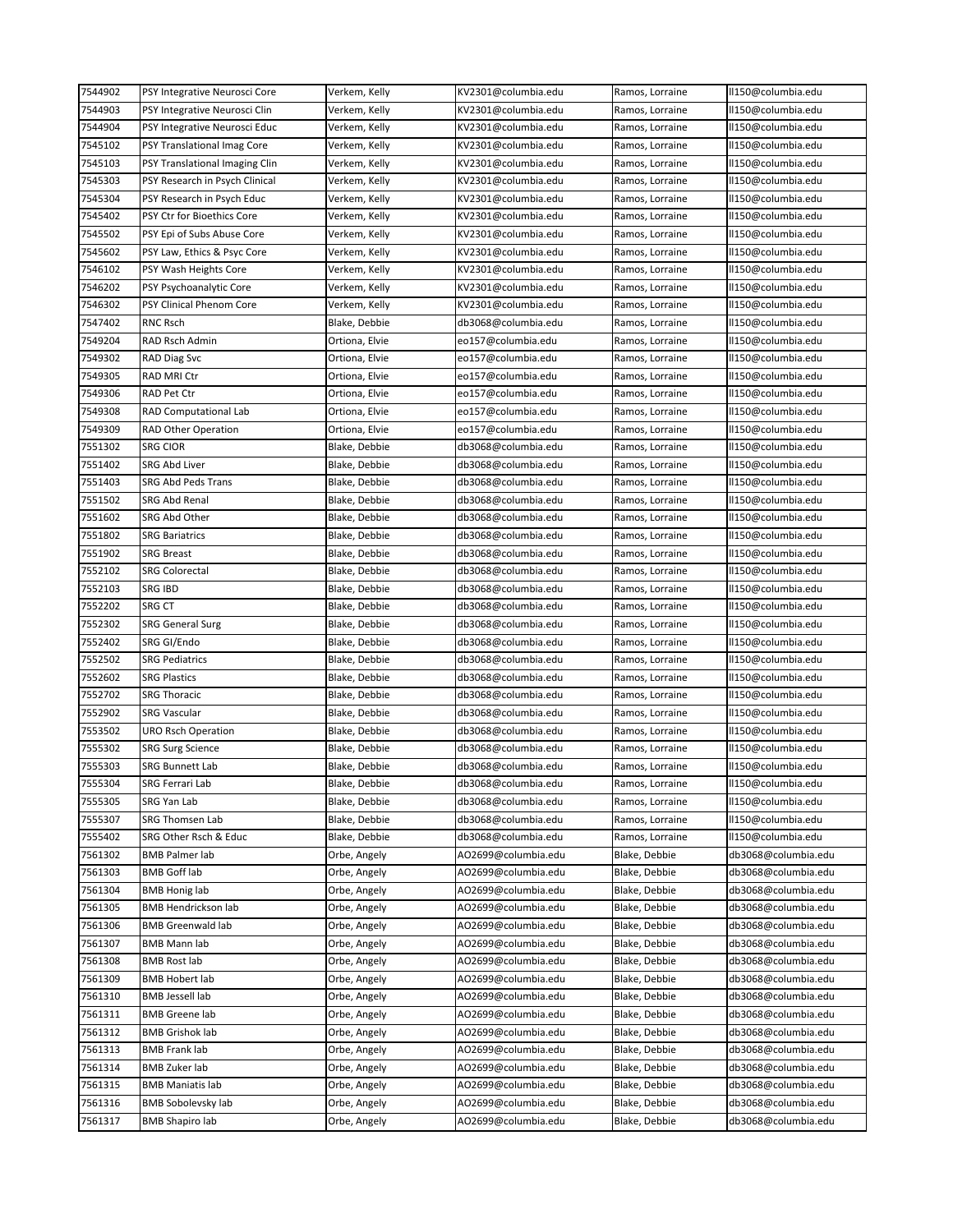| 7544902 | PSY Integrative Neurosci Core  | Verkem, Kelly  | KV2301@columbia.edu | Ramos, Lorraine | II150@columbia.edu  |
|---------|--------------------------------|----------------|---------------------|-----------------|---------------------|
| 7544903 | PSY Integrative Neurosci Clin  | Verkem, Kelly  | KV2301@columbia.edu | Ramos, Lorraine | II150@columbia.edu  |
| 7544904 | PSY Integrative Neurosci Educ  | Verkem, Kelly  | KV2301@columbia.edu | Ramos, Lorraine | II150@columbia.edu  |
| 7545102 | PSY Translational Imag Core    | Verkem, Kelly  | KV2301@columbia.edu | Ramos, Lorraine | ll150@columbia.edu  |
| 7545103 | PSY Translational Imaging Clin | Verkem, Kelly  | KV2301@columbia.edu | Ramos, Lorraine | ll150@columbia.edu  |
| 7545303 | PSY Research in Psych Clinical | Verkem, Kelly  | KV2301@columbia.edu | Ramos, Lorraine | ll150@columbia.edu  |
| 7545304 | PSY Research in Psych Educ     | Verkem, Kelly  | KV2301@columbia.edu | Ramos, Lorraine | II150@columbia.edu  |
| 7545402 | PSY Ctr for Bioethics Core     | Verkem, Kelly  | KV2301@columbia.edu | Ramos, Lorraine | II150@columbia.edu  |
| 7545502 | PSY Epi of Subs Abuse Core     | Verkem, Kelly  | KV2301@columbia.edu | Ramos, Lorraine | II150@columbia.edu  |
| 7545602 | PSY Law, Ethics & Psyc Core    | Verkem, Kelly  | KV2301@columbia.edu | Ramos, Lorraine | ll150@columbia.edu  |
| 7546102 | PSY Wash Heights Core          | Verkem, Kelly  | KV2301@columbia.edu | Ramos, Lorraine | ll150@columbia.edu  |
| 7546202 | PSY Psychoanalytic Core        | Verkem, Kelly  | KV2301@columbia.edu | Ramos, Lorraine | II150@columbia.edu  |
| 7546302 | PSY Clinical Phenom Core       | Verkem, Kelly  | KV2301@columbia.edu | Ramos, Lorraine | ll150@columbia.edu  |
| 7547402 | RNC Rsch                       | Blake, Debbie  | db3068@columbia.edu | Ramos, Lorraine | ll150@columbia.edu  |
| 7549204 | RAD Rsch Admin                 | Ortiona, Elvie | eo157@columbia.edu  | Ramos, Lorraine | ll150@columbia.edu  |
| 7549302 | RAD Diag Svc                   | Ortiona, Elvie | eo157@columbia.edu  | Ramos, Lorraine | ll150@columbia.edu  |
| 7549305 | RAD MRI Ctr                    | Ortiona, Elvie | eo157@columbia.edu  | Ramos, Lorraine | ll150@columbia.edu  |
| 7549306 | RAD Pet Ctr                    | Ortiona, Elvie | eo157@columbia.edu  | Ramos, Lorraine | II150@columbia.edu  |
| 7549308 | RAD Computational Lab          | Ortiona, Elvie | eo157@columbia.edu  | Ramos, Lorraine | II150@columbia.edu  |
| 7549309 | <b>RAD Other Operation</b>     | Ortiona, Elvie | eo157@columbia.edu  | Ramos, Lorraine | ll150@columbia.edu  |
| 7551302 | SRG CIOR                       | Blake, Debbie  | db3068@columbia.edu | Ramos, Lorraine | ll150@columbia.edu  |
| 7551402 | SRG Abd Liver                  | Blake, Debbie  | db3068@columbia.edu | Ramos, Lorraine | II150@columbia.edu  |
| 7551403 | SRG Abd Peds Trans             | Blake, Debbie  | db3068@columbia.edu | Ramos, Lorraine | II150@columbia.edu  |
| 7551502 | SRG Abd Renal                  | Blake, Debbie  | db3068@columbia.edu | Ramos, Lorraine | ll150@columbia.edu  |
| 7551602 | SRG Abd Other                  | Blake, Debbie  | db3068@columbia.edu | Ramos, Lorraine | ll150@columbia.edu  |
| 7551802 | <b>SRG Bariatrics</b>          | Blake, Debbie  | db3068@columbia.edu | Ramos, Lorraine | ll150@columbia.edu  |
| 7551902 | <b>SRG Breast</b>              |                |                     |                 | II150@columbia.edu  |
|         |                                | Blake, Debbie  | db3068@columbia.edu | Ramos, Lorraine |                     |
| 7552102 | <b>SRG Colorectal</b>          | Blake, Debbie  | db3068@columbia.edu | Ramos, Lorraine | II150@columbia.edu  |
| 7552103 | SRG IBD                        | Blake, Debbie  | db3068@columbia.edu | Ramos, Lorraine | II150@columbia.edu  |
| 7552202 | SRG CT                         | Blake, Debbie  | db3068@columbia.edu | Ramos, Lorraine | ll150@columbia.edu  |
| 7552302 | <b>SRG General Surg</b>        | Blake, Debbie  | db3068@columbia.edu | Ramos, Lorraine | ll150@columbia.edu  |
| 7552402 | SRG GI/Endo                    | Blake, Debbie  | db3068@columbia.edu | Ramos, Lorraine | II150@columbia.edu  |
| 7552502 | <b>SRG Pediatrics</b>          | Blake, Debbie  | db3068@columbia.edu | Ramos, Lorraine | II150@columbia.edu  |
| 7552602 | <b>SRG Plastics</b>            | Blake, Debbie  | db3068@columbia.edu | Ramos, Lorraine | ll150@columbia.edu  |
| 7552702 | <b>SRG Thoracic</b>            | Blake, Debbie  | db3068@columbia.edu | Ramos, Lorraine | ll150@columbia.edu  |
| 7552902 | <b>SRG Vascular</b>            | Blake, Debbie  | db3068@columbia.edu | Ramos, Lorraine | ll150@columbia.edu  |
| 7553502 | URO Rsch Operation             | Blake, Debbie  | db3068@columbia.edu | Ramos, Lorraine | ll150@columbia.edu  |
| 7555302 | <b>SRG Surg Science</b>        | Blake, Debbie  | db3068@columbia.edu | Ramos, Lorraine | ll150@columbia.edu  |
| 7555303 | <b>SRG Bunnett Lab</b>         | Blake, Debbie  | db3068@columbia.edu | Ramos, Lorraine | II150@columbia.edu  |
| 7555304 | SRG Ferrari Lab                | Blake, Debbie  | db3068@columbia.edu | Ramos, Lorraine | ll150@columbia.edu  |
| 7555305 | SRG Yan Lab                    | Blake, Debbie  | db3068@columbia.edu | Ramos, Lorraine | II150@columbia.edu  |
| 7555307 | SRG Thomsen Lab                | Blake, Debbie  | db3068@columbia.edu | Ramos, Lorraine | ll150@columbia.edu  |
| 7555402 | SRG Other Rsch & Educ          | Blake, Debbie  | db3068@columbia.edu | Ramos, Lorraine | II150@columbia.edu  |
| 7561302 | <b>BMB Palmer lab</b>          | Orbe, Angely   | AO2699@columbia.edu | Blake, Debbie   | db3068@columbia.edu |
| 7561303 | <b>BMB Goff lab</b>            | Orbe, Angely   | AO2699@columbia.edu | Blake, Debbie   | db3068@columbia.edu |
| 7561304 | <b>BMB Honig lab</b>           | Orbe, Angely   | AO2699@columbia.edu | Blake, Debbie   | db3068@columbia.edu |
| 7561305 | BMB Hendrickson lab            | Orbe, Angely   | AO2699@columbia.edu | Blake, Debbie   | db3068@columbia.edu |
| 7561306 | <b>BMB Greenwald lab</b>       | Orbe, Angely   | AO2699@columbia.edu | Blake, Debbie   | db3068@columbia.edu |
| 7561307 | <b>BMB Mann lab</b>            | Orbe, Angely   | AO2699@columbia.edu | Blake, Debbie   | db3068@columbia.edu |
| 7561308 | <b>BMB Rost lab</b>            | Orbe, Angely   | AO2699@columbia.edu | Blake, Debbie   | db3068@columbia.edu |
| 7561309 | <b>BMB Hobert lab</b>          | Orbe, Angely   | AO2699@columbia.edu | Blake, Debbie   | db3068@columbia.edu |
| 7561310 | <b>BMB Jessell lab</b>         | Orbe, Angely   | AO2699@columbia.edu | Blake, Debbie   | db3068@columbia.edu |
| 7561311 | <b>BMB</b> Greene lab          | Orbe, Angely   | AO2699@columbia.edu | Blake, Debbie   | db3068@columbia.edu |
| 7561312 | <b>BMB Grishok lab</b>         | Orbe, Angely   | AO2699@columbia.edu | Blake, Debbie   | db3068@columbia.edu |
| 7561313 | <b>BMB Frank lab</b>           | Orbe, Angely   | AO2699@columbia.edu | Blake, Debbie   | db3068@columbia.edu |
| 7561314 | <b>BMB Zuker lab</b>           | Orbe, Angely   | AO2699@columbia.edu | Blake, Debbie   | db3068@columbia.edu |
| 7561315 | <b>BMB Maniatis lab</b>        | Orbe, Angely   | AO2699@columbia.edu | Blake, Debbie   | db3068@columbia.edu |
| 7561316 | <b>BMB Sobolevsky lab</b>      | Orbe, Angely   | AO2699@columbia.edu | Blake, Debbie   | db3068@columbia.edu |
| 7561317 | <b>BMB Shapiro lab</b>         | Orbe, Angely   | AO2699@columbia.edu | Blake, Debbie   | db3068@columbia.edu |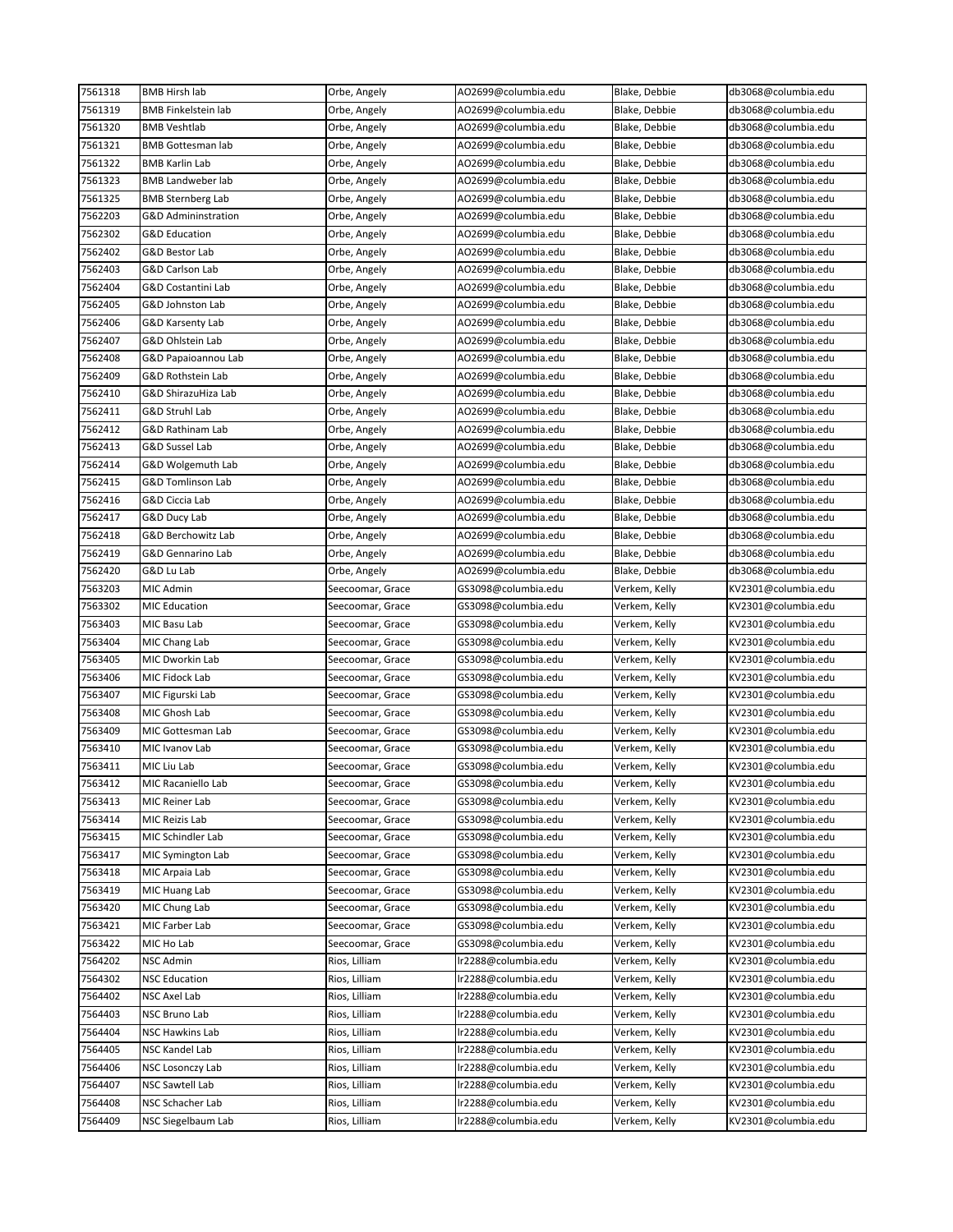| 7561318            | <b>BMB Hirsh lab</b>       | Orbe, Angely     | AO2699@columbia.edu | Blake, Debbie | db3068@columbia.edu |
|--------------------|----------------------------|------------------|---------------------|---------------|---------------------|
| 7561319            | <b>BMB Finkelstein lab</b> | Orbe, Angely     | AO2699@columbia.edu | Blake, Debbie | db3068@columbia.edu |
| 7561320            | <b>BMB Veshtlab</b>        | Orbe, Angely     | AO2699@columbia.edu | Blake, Debbie | db3068@columbia.edu |
| 7561321            | <b>BMB Gottesman lab</b>   | Orbe, Angely     | AO2699@columbia.edu | Blake, Debbie | db3068@columbia.edu |
| 7561322            | <b>BMB Karlin Lab</b>      | Orbe, Angely     | AO2699@columbia.edu | Blake, Debbie | db3068@columbia.edu |
| 7561323            | <b>BMB Landweber lab</b>   | Orbe, Angely     | AO2699@columbia.edu | Blake, Debbie | db3068@columbia.edu |
| 7561325            | <b>BMB Sternberg Lab</b>   | Orbe, Angely     | AO2699@columbia.edu | Blake, Debbie | db3068@columbia.edu |
| 7562203            | G&D Admininstration        | Orbe, Angely     | AO2699@columbia.edu | Blake, Debbie | db3068@columbia.edu |
| 7562302            | <b>G&amp;D Education</b>   | Orbe, Angely     | AO2699@columbia.edu | Blake, Debbie | db3068@columbia.edu |
| 7562402            | G&D Bestor Lab             | Orbe, Angely     | AO2699@columbia.edu | Blake, Debbie | db3068@columbia.edu |
| 7562403            | G&D Carlson Lab            | Orbe, Angely     | AO2699@columbia.edu | Blake, Debbie | db3068@columbia.edu |
| 7562404            | G&D Costantini Lab         | Orbe, Angely     | AO2699@columbia.edu | Blake, Debbie | db3068@columbia.edu |
| 7562405            | G&D Johnston Lab           | Orbe, Angely     | AO2699@columbia.edu | Blake, Debbie | db3068@columbia.edu |
| 7562406            | G&D Karsenty Lab           | Orbe, Angely     | AO2699@columbia.edu | Blake, Debbie | db3068@columbia.edu |
| 7562407            | G&D Ohlstein Lab           | Orbe, Angely     | AO2699@columbia.edu | Blake, Debbie | db3068@columbia.edu |
| 7562408            | G&D Papaioannou Lab        | Orbe, Angely     | AO2699@columbia.edu | Blake, Debbie | db3068@columbia.edu |
| 7562409            | G&D Rothstein Lab          | Orbe, Angely     | AO2699@columbia.edu | Blake, Debbie | db3068@columbia.edu |
| 7562410            | G&D ShirazuHiza Lab        |                  | AO2699@columbia.edu | Blake, Debbie | db3068@columbia.edu |
|                    |                            | Orbe, Angely     |                     |               | db3068@columbia.edu |
| 7562411            | G&D Struhl Lab             | Orbe, Angely     | AO2699@columbia.edu | Blake, Debbie |                     |
| 7562412            | G&D Rathinam Lab           | Orbe, Angely     | AO2699@columbia.edu | Blake, Debbie | db3068@columbia.edu |
| 7562413            | G&D Sussel Lab             | Orbe, Angely     | AO2699@columbia.edu | Blake, Debbie | db3068@columbia.edu |
| 7562414            | G&D Wolgemuth Lab          | Orbe, Angely     | AO2699@columbia.edu | Blake, Debbie | db3068@columbia.edu |
| 7562415            | G&D Tomlinson Lab          | Orbe, Angely     | AO2699@columbia.edu | Blake, Debbie | db3068@columbia.edu |
| 7562416            | G&D Ciccia Lab             | Orbe, Angely     | AO2699@columbia.edu | Blake, Debbie | db3068@columbia.edu |
| 7562417            | G&D Ducy Lab               | Orbe, Angely     | AO2699@columbia.edu | Blake, Debbie | db3068@columbia.edu |
| 7562418            | G&D Berchowitz Lab         | Orbe, Angely     | AO2699@columbia.edu | Blake, Debbie | db3068@columbia.edu |
| 7562419            | G&D Gennarino Lab          | Orbe, Angely     | AO2699@columbia.edu | Blake, Debbie | db3068@columbia.edu |
| 7562420            | G&D Lu Lab                 | Orbe, Angely     | AO2699@columbia.edu | Blake, Debbie | db3068@columbia.edu |
| 7563203            | MIC Admin                  | Seecoomar, Grace | GS3098@columbia.edu | Verkem, Kelly | KV2301@columbia.edu |
| 7563302            | <b>MIC Education</b>       | Seecoomar, Grace | GS3098@columbia.edu | Verkem, Kelly | KV2301@columbia.edu |
| 7563403            | MIC Basu Lab               | Seecoomar, Grace | GS3098@columbia.edu | Verkem, Kelly | KV2301@columbia.edu |
| 7563404            | MIC Chang Lab              | Seecoomar, Grace | GS3098@columbia.edu | Verkem, Kelly | KV2301@columbia.edu |
| 7563405            | MIC Dworkin Lab            | Seecoomar, Grace | GS3098@columbia.edu | Verkem, Kelly | KV2301@columbia.edu |
| 7563406            | MIC Fidock Lab             | Seecoomar, Grace | GS3098@columbia.edu | Verkem, Kelly | KV2301@columbia.edu |
| 7563407            | MIC Figurski Lab           | Seecoomar, Grace | GS3098@columbia.edu | Verkem, Kelly | KV2301@columbia.edu |
| 7563408            | MIC Ghosh Lab              | Seecoomar, Grace | GS3098@columbia.edu | Verkem, Kelly | KV2301@columbia.edu |
| 7563409            | MIC Gottesman Lab          | Seecoomar, Grace | GS3098@columbia.edu | Verkem, Kelly | KV2301@columbia.edu |
| 7563410            | MIC Ivanov Lab             | Seecoomar, Grace | GS3098@columbia.edu | Verkem, Kelly | KV2301@columbia.edu |
| 7563411            | MIC Liu Lab                | Seecoomar, Grace | GS3098@columbia.edu | Verkem, Kelly | KV2301@columbia.edu |
| 7563412            | MIC Racaniello Lab         | Seecoomar, Grace | GS3098@columbia.edu | Verkem, Kelly | KV2301@columbia.edu |
| 7563413            | MIC Reiner Lab             | Seecoomar, Grace | GS3098@columbia.edu | Verkem, Kelly | KV2301@columbia.edu |
| 7563414            | MIC Reizis Lab             | Seecoomar, Grace | GS3098@columbia.edu | Verkem, Kelly | KV2301@columbia.edu |
| 7563415            | MIC Schindler Lab          | Seecoomar, Grace | GS3098@columbia.edu | Verkem, Kelly | KV2301@columbia.edu |
| 7563417            | <b>MIC Symington Lab</b>   | Seecoomar, Grace | GS3098@columbia.edu | Verkem, Kelly | KV2301@columbia.edu |
| 7563418            | MIC Arpaia Lab             | Seecoomar, Grace | GS3098@columbia.edu | Verkem, Kelly | KV2301@columbia.edu |
| 7563419            | MIC Huang Lab              | Seecoomar, Grace | GS3098@columbia.edu | Verkem, Kelly | KV2301@columbia.edu |
| 7563420            | MIC Chung Lab              | Seecoomar, Grace | GS3098@columbia.edu | Verkem, Kelly | KV2301@columbia.edu |
| 7563421            | MIC Farber Lab             | Seecoomar, Grace | GS3098@columbia.edu | Verkem, Kelly | KV2301@columbia.edu |
| 7563422            | MIC Ho Lab                 | Seecoomar, Grace | GS3098@columbia.edu | Verkem, Kelly | KV2301@columbia.edu |
|                    |                            |                  | lr2288@columbia.edu |               | KV2301@columbia.edu |
| 7564202<br>7564302 | NSC Admin                  | Rios, Lilliam    |                     | Verkem, Kelly |                     |
|                    | <b>NSC Education</b>       | Rios, Lilliam    | lr2288@columbia.edu | Verkem, Kelly | KV2301@columbia.edu |
| 7564402            | NSC Axel Lab               | Rios, Lilliam    | lr2288@columbia.edu | Verkem, Kelly | KV2301@columbia.edu |
| 7564403            | NSC Bruno Lab              | Rios, Lilliam    | lr2288@columbia.edu | Verkem, Kelly | KV2301@columbia.edu |
| 7564404            | <b>NSC Hawkins Lab</b>     | Rios, Lilliam    | lr2288@columbia.edu | Verkem, Kelly | KV2301@columbia.edu |
| 7564405            | NSC Kandel Lab             | Rios, Lilliam    | lr2288@columbia.edu | Verkem, Kelly | KV2301@columbia.edu |
| 7564406            | NSC Losonczy Lab           | Rios, Lilliam    | lr2288@columbia.edu | Verkem, Kelly | KV2301@columbia.edu |
| 7564407            | <b>NSC Sawtell Lab</b>     | Rios, Lilliam    | lr2288@columbia.edu | Verkem, Kelly | KV2301@columbia.edu |
| 7564408            | NSC Schacher Lab           | Rios, Lilliam    | lr2288@columbia.edu | Verkem, Kelly | KV2301@columbia.edu |
| 7564409            | NSC Siegelbaum Lab         | Rios, Lilliam    | lr2288@columbia.edu | Verkem, Kelly | KV2301@columbia.edu |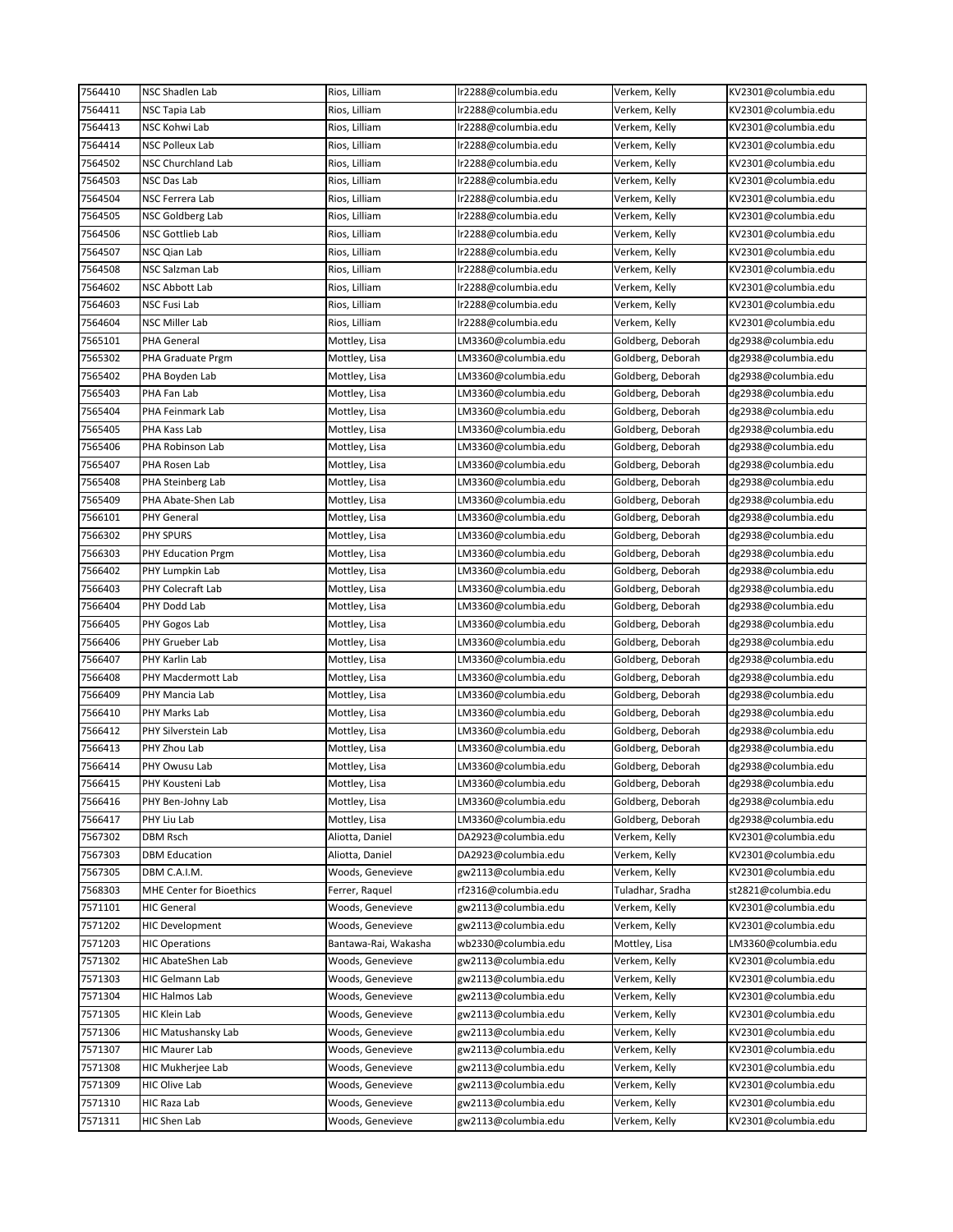| 7564410            | <b>NSC Shadlen Lab</b>                      | Rios, Lilliam        | Ir2288@columbia.edu                        | Verkem, Kelly     | KV2301@columbia.edu                        |
|--------------------|---------------------------------------------|----------------------|--------------------------------------------|-------------------|--------------------------------------------|
| 7564411            | NSC Tapia Lab                               | Rios, Lilliam        | lr2288@columbia.edu                        | Verkem, Kelly     | KV2301@columbia.edu                        |
| 7564413            | NSC Kohwi Lab                               | Rios, Lilliam        | lr2288@columbia.edu                        | Verkem, Kelly     | KV2301@columbia.edu                        |
| 7564414            | NSC Polleux Lab                             | Rios, Lilliam        | lr2288@columbia.edu                        | Verkem, Kelly     | KV2301@columbia.edu                        |
| 7564502            | NSC Churchland Lab                          | Rios, Lilliam        | Ir2288@columbia.edu                        | Verkem, Kelly     | KV2301@columbia.edu                        |
| 7564503            | NSC Das Lab                                 | Rios, Lilliam        | lr2288@columbia.edu                        | Verkem, Kelly     | KV2301@columbia.edu                        |
| 7564504            | NSC Ferrera Lab                             | Rios, Lilliam        | lr2288@columbia.edu                        | Verkem, Kelly     | KV2301@columbia.edu                        |
| 7564505            | NSC Goldberg Lab                            | Rios, Lilliam        | lr2288@columbia.edu                        | Verkem, Kelly     | KV2301@columbia.edu                        |
| 7564506            | NSC Gottlieb Lab                            | Rios, Lilliam        | lr2288@columbia.edu                        | Verkem, Kelly     | KV2301@columbia.edu                        |
| 7564507            | NSC Qian Lab                                | Rios, Lilliam        | lr2288@columbia.edu                        | Verkem, Kelly     | KV2301@columbia.edu                        |
| 7564508            | NSC Salzman Lab                             | Rios, Lilliam        | lr2288@columbia.edu                        | Verkem, Kelly     | KV2301@columbia.edu                        |
| 7564602            | NSC Abbott Lab                              | Rios, Lilliam        | lr2288@columbia.edu                        | Verkem, Kelly     | KV2301@columbia.edu                        |
| 7564603            | NSC Fusi Lab                                | Rios, Lilliam        | lr2288@columbia.edu                        | Verkem, Kelly     | KV2301@columbia.edu                        |
| 7564604            | NSC Miller Lab                              | Rios, Lilliam        | lr2288@columbia.edu                        | Verkem, Kelly     | KV2301@columbia.edu                        |
| 7565101            | PHA General                                 | Mottley, Lisa        | LM3360@columbia.edu                        | Goldberg, Deborah | dg2938@columbia.edu                        |
| 7565302            | PHA Graduate Prgm                           | Mottley, Lisa        | LM3360@columbia.edu                        | Goldberg, Deborah | dg2938@columbia.edu                        |
| 7565402            | PHA Boyden Lab                              | Mottley, Lisa        | LM3360@columbia.edu                        | Goldberg, Deborah | dg2938@columbia.edu                        |
| 7565403            | PHA Fan Lab                                 | Mottley, Lisa        | LM3360@columbia.edu                        | Goldberg, Deborah | dg2938@columbia.edu                        |
| 7565404            | PHA Feinmark Lab                            | Mottley, Lisa        | LM3360@columbia.edu                        | Goldberg, Deborah | dg2938@columbia.edu                        |
| 7565405            | PHA Kass Lab                                | Mottley, Lisa        | LM3360@columbia.edu                        | Goldberg, Deborah | dg2938@columbia.edu                        |
| 7565406            | PHA Robinson Lab                            | Mottley, Lisa        | LM3360@columbia.edu                        | Goldberg, Deborah | dg2938@columbia.edu                        |
| 7565407            | PHA Rosen Lab                               | Mottley, Lisa        | LM3360@columbia.edu                        | Goldberg, Deborah | dg2938@columbia.edu                        |
| 7565408            | PHA Steinberg Lab                           | Mottley, Lisa        | LM3360@columbia.edu                        | Goldberg, Deborah | dg2938@columbia.edu                        |
| 7565409            | PHA Abate-Shen Lab                          | Mottley, Lisa        | LM3360@columbia.edu                        | Goldberg, Deborah | dg2938@columbia.edu                        |
| 7566101            | <b>PHY General</b>                          | Mottley, Lisa        | LM3360@columbia.edu                        | Goldberg, Deborah | dg2938@columbia.edu                        |
| 7566302            | <b>PHY SPURS</b>                            | Mottley, Lisa        | LM3360@columbia.edu                        | Goldberg, Deborah | dg2938@columbia.edu                        |
| 7566303            | PHY Education Prgm                          | Mottley, Lisa        | LM3360@columbia.edu                        | Goldberg, Deborah | dg2938@columbia.edu                        |
| 7566402            | PHY Lumpkin Lab                             | Mottley, Lisa        | LM3360@columbia.edu                        | Goldberg, Deborah | dg2938@columbia.edu                        |
| 7566403            | PHY Colecraft Lab                           | Mottley, Lisa        | LM3360@columbia.edu                        | Goldberg, Deborah | dg2938@columbia.edu                        |
| 7566404            | PHY Dodd Lab                                | Mottley, Lisa        | LM3360@columbia.edu                        | Goldberg, Deborah | dg2938@columbia.edu                        |
| 7566405            | PHY Gogos Lab                               | Mottley, Lisa        | LM3360@columbia.edu                        | Goldberg, Deborah | dg2938@columbia.edu                        |
| 7566406            | PHY Grueber Lab                             | Mottley, Lisa        | LM3360@columbia.edu                        | Goldberg, Deborah | dg2938@columbia.edu                        |
| 7566407            | PHY Karlin Lab                              | Mottley, Lisa        | LM3360@columbia.edu                        | Goldberg, Deborah | dg2938@columbia.edu                        |
| 7566408            | PHY Macdermott Lab                          | Mottley, Lisa        | LM3360@columbia.edu                        | Goldberg, Deborah | dg2938@columbia.edu                        |
| 7566409            | PHY Mancia Lab                              | Mottley, Lisa        | LM3360@columbia.edu                        | Goldberg, Deborah | dg2938@columbia.edu                        |
| 7566410            | PHY Marks Lab                               | Mottley, Lisa        | LM3360@columbia.edu                        | Goldberg, Deborah | dg2938@columbia.edu                        |
| 7566412            | PHY Silverstein Lab                         | Mottley, Lisa        | LM3360@columbia.edu                        | Goldberg, Deborah | dg2938@columbia.edu                        |
| 7566413            | PHY Zhou Lab                                | Mottley, Lisa        | LM3360@columbia.edu                        | Goldberg, Deborah | dg2938@columbia.edu                        |
| 7566414            | PHY Owusu Lab                               | Mottley, Lisa        | LM3360@columbia.edu                        | Goldberg, Deborah | dg2938@columbia.edu                        |
| 7566415            | PHY Kousteni Lab                            | Mottley, Lisa        | LM3360@columbia.edu                        | Goldberg, Deborah | dg2938@columbia.edu                        |
| 7566416            | PHY Ben-Johny Lab                           | Mottley, Lisa        | LM3360@columbia.edu                        | Goldberg, Deborah | dg2938@columbia.edu                        |
| 7566417            | PHY Liu Lab                                 | Mottley, Lisa        | LM3360@columbia.edu                        | Goldberg, Deborah | dg2938@columbia.edu                        |
| 7567302            | DBM Rsch                                    | Aliotta, Daniel      | DA2923@columbia.edu                        | Verkem, Kelly     | KV2301@columbia.edu                        |
|                    |                                             | Aliotta, Daniel      |                                            | Verkem, Kelly     | KV2301@columbia.edu                        |
| 7567303<br>7567305 | <b>DBM Education</b><br>DBM C.A.I.M.        | Woods, Genevieve     | DA2923@columbia.edu<br>gw2113@columbia.edu | Verkem, Kelly     | KV2301@columbia.edu                        |
| 7568303            | MHE Center for Bioethics                    | Ferrer, Raquel       | rf2316@columbia.edu                        | Tuladhar, Sradha  | st2821@columbia.edu                        |
| 7571101            | <b>HIC General</b>                          | Woods, Genevieve     |                                            | Verkem, Kelly     | KV2301@columbia.edu                        |
| 7571202            | <b>HIC Development</b>                      | Woods, Genevieve     | gw2113@columbia.edu<br>gw2113@columbia.edu | Verkem, Kelly     | KV2301@columbia.edu                        |
|                    |                                             |                      |                                            |                   |                                            |
| 7571203            | <b>HIC Operations</b>                       | Bantawa-Rai, Wakasha | wb2330@columbia.edu                        | Mottley, Lisa     | LM3360@columbia.edu                        |
| 7571302            | HIC AbateShen Lab<br><b>HIC Gelmann Lab</b> | Woods, Genevieve     | gw2113@columbia.edu                        | Verkem, Kelly     | KV2301@columbia.edu<br>KV2301@columbia.edu |
| 7571303            |                                             | Woods, Genevieve     | gw2113@columbia.edu                        | Verkem, Kelly     |                                            |
| 7571304            | HIC Halmos Lab                              | Woods, Genevieve     | gw2113@columbia.edu                        | Verkem, Kelly     | KV2301@columbia.edu                        |
| 7571305            | HIC Klein Lab                               | Woods, Genevieve     | gw2113@columbia.edu                        | Verkem, Kelly     | KV2301@columbia.edu                        |
| 7571306            | HIC Matushansky Lab                         | Woods, Genevieve     | gw2113@columbia.edu                        | Verkem, Kelly     | KV2301@columbia.edu                        |
| 7571307            | HIC Maurer Lab                              | Woods, Genevieve     | gw2113@columbia.edu                        | Verkem, Kelly     | KV2301@columbia.edu                        |
| 7571308            | HIC Mukherjee Lab                           | Woods, Genevieve     | gw2113@columbia.edu                        | Verkem, Kelly     | KV2301@columbia.edu                        |
| 7571309            | HIC Olive Lab                               | Woods, Genevieve     | gw2113@columbia.edu                        | Verkem, Kelly     | KV2301@columbia.edu                        |
| 7571310            | HIC Raza Lab                                | Woods, Genevieve     | gw2113@columbia.edu                        | Verkem, Kelly     | KV2301@columbia.edu                        |
| 7571311            | HIC Shen Lab                                | Woods, Genevieve     | gw2113@columbia.edu                        | Verkem, Kelly     | KV2301@columbia.edu                        |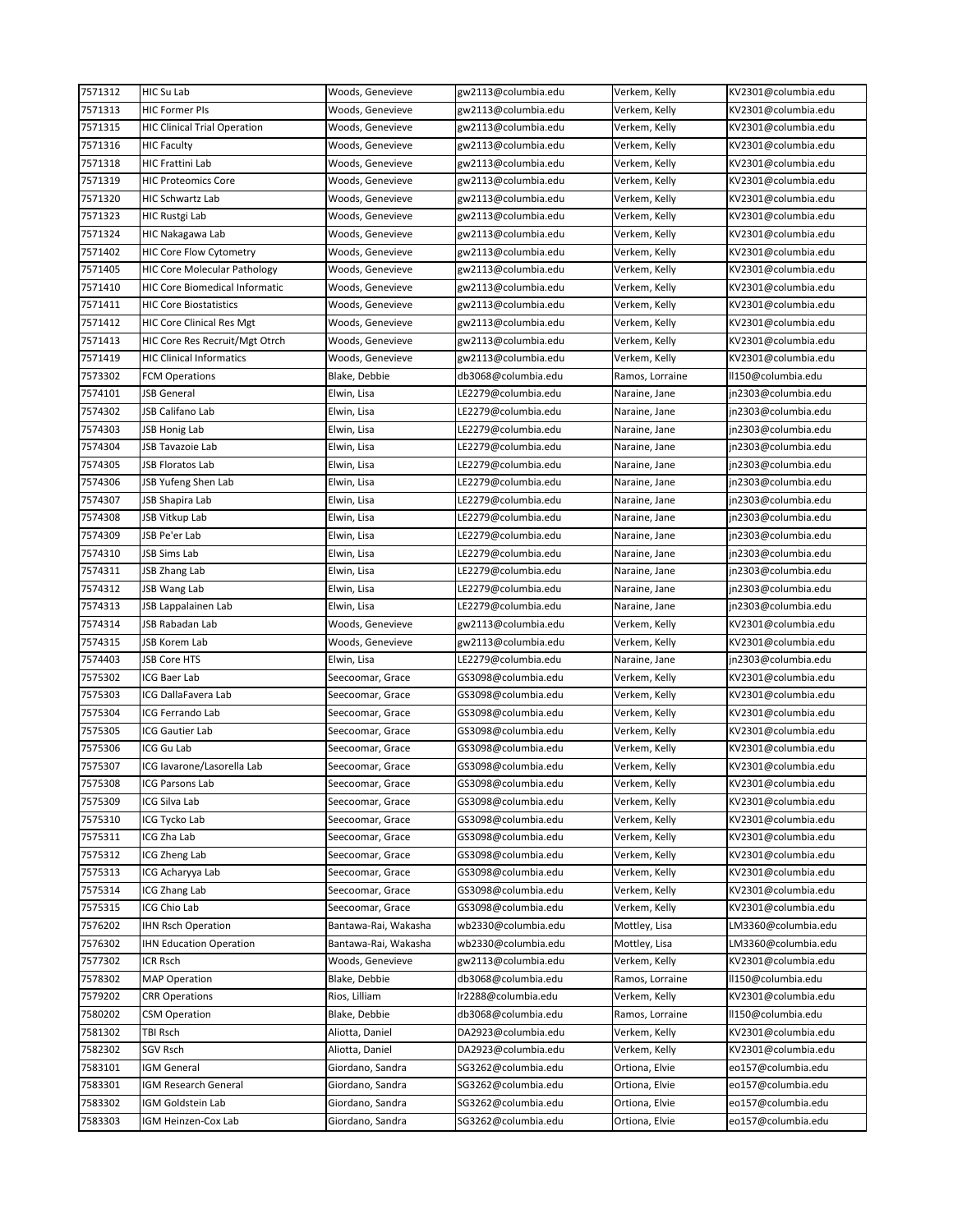| 7571312 | HIC Su Lab                            | Woods, Genevieve     | gw2113@columbia.edu                        | Verkem, Kelly   | KV2301@columbia.edu |
|---------|---------------------------------------|----------------------|--------------------------------------------|-----------------|---------------------|
| 7571313 | <b>HIC Former PIs</b>                 | Woods, Genevieve     | gw2113@columbia.edu                        | Verkem, Kelly   | KV2301@columbia.edu |
| 7571315 | <b>HIC Clinical Trial Operation</b>   | Woods, Genevieve     | gw2113@columbia.edu                        | Verkem, Kelly   | KV2301@columbia.edu |
| 7571316 | <b>HIC Faculty</b>                    | Woods, Genevieve     | gw2113@columbia.edu                        | Verkem, Kelly   | KV2301@columbia.edu |
| 7571318 | HIC Frattini Lab                      | Woods, Genevieve     | gw2113@columbia.edu                        | Verkem, Kelly   | KV2301@columbia.edu |
| 7571319 | <b>HIC Proteomics Core</b>            | Woods, Genevieve     | gw2113@columbia.edu                        | Verkem, Kelly   | KV2301@columbia.edu |
| 7571320 | HIC Schwartz Lab                      | Woods, Genevieve     | gw2113@columbia.edu                        | Verkem, Kelly   | KV2301@columbia.edu |
| 7571323 | HIC Rustgi Lab                        | Woods, Genevieve     | gw2113@columbia.edu                        | Verkem, Kelly   | KV2301@columbia.edu |
| 7571324 | HIC Nakagawa Lab                      | Woods, Genevieve     | gw2113@columbia.edu                        | Verkem, Kelly   | KV2301@columbia.edu |
| 7571402 | HIC Core Flow Cytometry               | Woods, Genevieve     | gw2113@columbia.edu                        | Verkem, Kelly   | KV2301@columbia.edu |
| 7571405 | <b>HIC Core Molecular Pathology</b>   | Woods, Genevieve     | gw2113@columbia.edu                        | Verkem, Kelly   | KV2301@columbia.edu |
| 7571410 | <b>HIC Core Biomedical Informatic</b> | Woods, Genevieve     | gw2113@columbia.edu                        | Verkem, Kelly   | KV2301@columbia.edu |
| 7571411 | HIC Core Biostatistics                | Woods, Genevieve     | gw2113@columbia.edu                        | Verkem, Kelly   | KV2301@columbia.edu |
| 7571412 | HIC Core Clinical Res Mgt             | Woods, Genevieve     | gw2113@columbia.edu                        | Verkem, Kelly   | KV2301@columbia.edu |
| 7571413 | HIC Core Res Recruit/Mgt Otrch        | Woods, Genevieve     | gw2113@columbia.edu                        | Verkem, Kelly   | KV2301@columbia.edu |
| 7571419 | <b>HIC Clinical Informatics</b>       | Woods, Genevieve     | gw2113@columbia.edu                        | Verkem, Kelly   | KV2301@columbia.edu |
| 7573302 | FCM Operations                        | Blake, Debbie        | db3068@columbia.edu                        | Ramos, Lorraine | II150@columbia.edu  |
| 7574101 | JSB General                           | Elwin, Lisa          | LE2279@columbia.edu                        | Naraine, Jane   | jn2303@columbia.edu |
| 7574302 | JSB Califano Lab                      | Elwin, Lisa          | LE2279@columbia.edu                        | Naraine, Jane   | jn2303@columbia.edu |
| 7574303 | <b>JSB Honig Lab</b>                  | Elwin, Lisa          | LE2279@columbia.edu                        | Naraine, Jane   | jn2303@columbia.edu |
| 7574304 | JSB Tavazoie Lab                      | Elwin, Lisa          | LE2279@columbia.edu                        | Naraine, Jane   | in2303@columbia.edu |
| 7574305 | <b>JSB Floratos Lab</b>               | Elwin, Lisa          | LE2279@columbia.edu                        | Naraine, Jane   | jn2303@columbia.edu |
| 7574306 | JSB Yufeng Shen Lab                   | Elwin, Lisa          | LE2279@columbia.edu                        | Naraine, Jane   | in2303@columbia.edu |
| 7574307 | JSB Shapira Lab                       | Elwin, Lisa          | LE2279@columbia.edu                        |                 | jn2303@columbia.edu |
| 7574308 |                                       |                      |                                            | Naraine, Jane   | in2303@columbia.edu |
| 7574309 | JSB Vitkup Lab<br>JSB Pe'er Lab       | Elwin, Lisa          | LE2279@columbia.edu<br>LE2279@columbia.edu | Naraine, Jane   | jn2303@columbia.edu |
|         |                                       | Elwin, Lisa          |                                            | Naraine, Jane   |                     |
| 7574310 | JSB Sims Lab                          | Elwin, Lisa          | LE2279@columbia.edu                        | Naraine, Jane   | jn2303@columbia.edu |
| 7574311 | JSB Zhang Lab                         | Elwin, Lisa          | LE2279@columbia.edu                        | Naraine, Jane   | jn2303@columbia.edu |
| 7574312 | JSB Wang Lab                          | Elwin, Lisa          | LE2279@columbia.edu                        | Naraine, Jane   | jn2303@columbia.edu |
| 7574313 | JSB Lappalainen Lab                   | Elwin, Lisa          | LE2279@columbia.edu                        | Naraine, Jane   | jn2303@columbia.edu |
| 7574314 | JSB Rabadan Lab                       | Woods, Genevieve     | gw2113@columbia.edu                        | Verkem, Kelly   | KV2301@columbia.edu |
| 7574315 | JSB Korem Lab                         | Woods, Genevieve     | gw2113@columbia.edu                        | Verkem, Kelly   | KV2301@columbia.edu |
| 7574403 | JSB Core HTS                          | Elwin, Lisa          | LE2279@columbia.edu                        | Naraine, Jane   | jn2303@columbia.edu |
| 7575302 | ICG Baer Lab                          | Seecoomar, Grace     | GS3098@columbia.edu                        | Verkem, Kelly   | KV2301@columbia.edu |
| 7575303 | ICG DallaFavera Lab                   | Seecoomar, Grace     | GS3098@columbia.edu                        | Verkem, Kelly   | KV2301@columbia.edu |
| 7575304 | ICG Ferrando Lab                      | Seecoomar, Grace     | GS3098@columbia.edu                        | Verkem, Kelly   | KV2301@columbia.edu |
| 7575305 | ICG Gautier Lab                       | Seecoomar, Grace     | GS3098@columbia.edu                        | Verkem, Kelly   | KV2301@columbia.edu |
| 7575306 | ICG Gu Lab                            | Seecoomar, Grace     | GS3098@columbia.edu                        | Verkem, Kelly   | KV2301@columbia.edu |
| 7575307 | ICG Iavarone/Lasorella Lab            | Seecoomar, Grace     | GS3098@columbia.edu                        | Verkem, Kelly   | KV2301@columbia.edu |
| 7575308 | ICG Parsons Lab                       | Seecoomar, Grace     | GS3098@columbia.edu                        | Verkem, Kelly   | KV2301@columbia.edu |
| 7575309 | CG Silva Lab                          | Seecoomar, Grace     | GS3098@columbia.edu                        | Verkem, Kelly   | KV2301@columbia.edu |
| 7575310 | ICG Tycko Lab                         | Seecoomar, Grace     | GS3098@columbia.edu                        | Verkem, Kelly   | KV2301@columbia.edu |
| 7575311 | ICG Zha Lab                           | Seecoomar, Grace     | GS3098@columbia.edu                        | Verkem, Kelly   | KV2301@columbia.edu |
| 7575312 | ICG Zheng Lab                         | Seecoomar, Grace     | GS3098@columbia.edu                        | Verkem, Kelly   | KV2301@columbia.edu |
| 7575313 | ICG Acharyya Lab                      | Seecoomar, Grace     | GS3098@columbia.edu                        | Verkem, Kelly   | KV2301@columbia.edu |
| 7575314 | ICG Zhang Lab                         | Seecoomar, Grace     | GS3098@columbia.edu                        | Verkem, Kelly   | KV2301@columbia.edu |
| 7575315 | ICG Chio Lab                          | Seecoomar, Grace     | GS3098@columbia.edu                        | Verkem, Kelly   | KV2301@columbia.edu |
| 7576202 | <b>IHN Rsch Operation</b>             | Bantawa-Rai, Wakasha | wb2330@columbia.edu                        | Mottley, Lisa   | LM3360@columbia.edu |
| 7576302 | <b>IHN Education Operation</b>        | Bantawa-Rai, Wakasha | wb2330@columbia.edu                        | Mottley, Lisa   | LM3360@columbia.edu |
| 7577302 | ICR Rsch                              | Woods, Genevieve     | gw2113@columbia.edu                        | Verkem, Kelly   | KV2301@columbia.edu |
| 7578302 | <b>MAP Operation</b>                  | Blake, Debbie        | db3068@columbia.edu                        | Ramos, Lorraine | II150@columbia.edu  |
| 7579202 | <b>CRR Operations</b>                 | Rios, Lilliam        | lr2288@columbia.edu                        | Verkem, Kelly   | KV2301@columbia.edu |
| 7580202 | <b>CSM Operation</b>                  | Blake, Debbie        | db3068@columbia.edu                        | Ramos, Lorraine | II150@columbia.edu  |
| 7581302 | TBI Rsch                              | Aliotta, Daniel      | DA2923@columbia.edu                        | Verkem, Kelly   | KV2301@columbia.edu |
| 7582302 | SGV Rsch                              | Aliotta, Daniel      | DA2923@columbia.edu                        | Verkem, Kelly   | KV2301@columbia.edu |
| 7583101 | <b>GM General</b>                     | Giordano, Sandra     | SG3262@columbia.edu                        | Ortiona, Elvie  | eo157@columbia.edu  |
| 7583301 | <b>GM Research General</b>            | Giordano, Sandra     | SG3262@columbia.edu                        | Ortiona, Elvie  | eo157@columbia.edu  |
| 7583302 | <b>GM Goldstein Lab</b>               | Giordano, Sandra     | SG3262@columbia.edu                        | Ortiona, Elvie  | eo157@columbia.edu  |
| 7583303 | <b>GM Heinzen-Cox Lab</b>             | Giordano, Sandra     | SG3262@columbia.edu                        | Ortiona, Elvie  | eo157@columbia.edu  |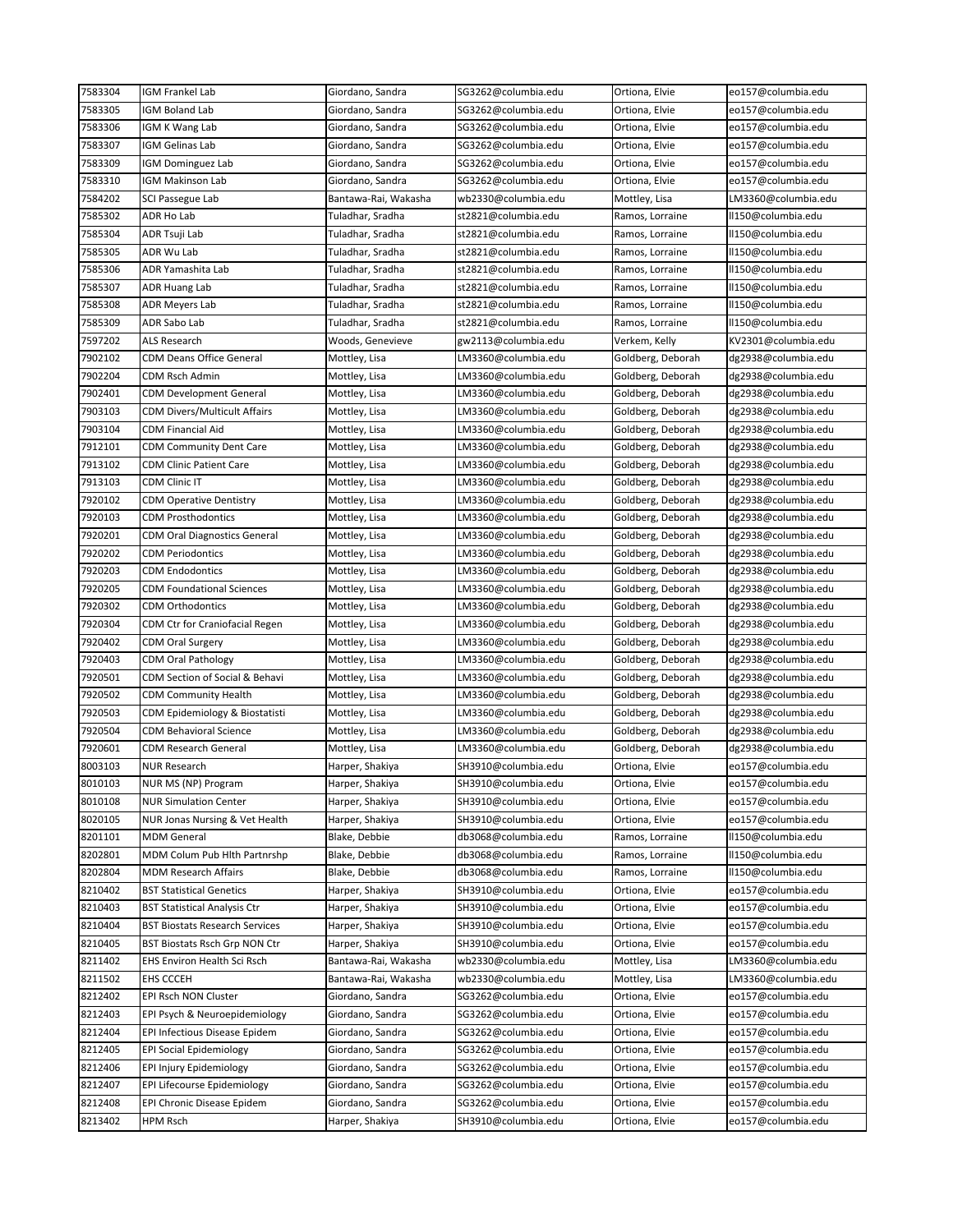| 7583304 | IGM Frankel Lab                       | Giordano, Sandra     | SG3262@columbia.edu | Ortiona, Elvie    | eo157@columbia.edu  |
|---------|---------------------------------------|----------------------|---------------------|-------------------|---------------------|
| 7583305 | IGM Boland Lab                        | Giordano, Sandra     | SG3262@columbia.edu | Ortiona, Elvie    | eo157@columbia.edu  |
| 7583306 | IGM K Wang Lab                        | Giordano, Sandra     | SG3262@columbia.edu | Ortiona, Elvie    | eo157@columbia.edu  |
| 7583307 | IGM Gelinas Lab                       | Giordano, Sandra     | SG3262@columbia.edu | Ortiona, Elvie    | eo157@columbia.edu  |
| 7583309 | <b>IGM Dominguez Lab</b>              | Giordano, Sandra     | SG3262@columbia.edu | Ortiona, Elvie    | eo157@columbia.edu  |
| 7583310 | IGM Makinson Lab                      | Giordano, Sandra     | SG3262@columbia.edu | Ortiona, Elvie    | eo157@columbia.edu  |
| 7584202 | SCI Passegue Lab                      | Bantawa-Rai, Wakasha | wb2330@columbia.edu | Mottley, Lisa     | LM3360@columbia.edu |
| 7585302 | ADR Ho Lab                            | Tuladhar, Sradha     | st2821@columbia.edu | Ramos, Lorraine   | II150@columbia.edu  |
| 7585304 | ADR Tsuji Lab                         | Tuladhar, Sradha     | st2821@columbia.edu | Ramos, Lorraine   | II150@columbia.edu  |
| 7585305 | ADR Wu Lab                            | Tuladhar, Sradha     | st2821@columbia.edu | Ramos, Lorraine   | II150@columbia.edu  |
| 7585306 | ADR Yamashita Lab                     | Tuladhar, Sradha     | st2821@columbia.edu | Ramos, Lorraine   | II150@columbia.edu  |
| 7585307 | <b>ADR Huang Lab</b>                  | Tuladhar, Sradha     | st2821@columbia.edu | Ramos, Lorraine   | II150@columbia.edu  |
| 7585308 | <b>ADR Meyers Lab</b>                 | Tuladhar, Sradha     | st2821@columbia.edu | Ramos, Lorraine   | II150@columbia.edu  |
| 7585309 | ADR Sabo Lab                          | Tuladhar, Sradha     | st2821@columbia.edu | Ramos, Lorraine   | II150@columbia.edu  |
| 7597202 | ALS Research                          | Woods, Genevieve     | gw2113@columbia.edu | Verkem, Kelly     | KV2301@columbia.edu |
| 7902102 | CDM Deans Office General              | Mottley, Lisa        | LM3360@columbia.edu | Goldberg, Deborah | dg2938@columbia.edu |
| 7902204 | CDM Rsch Admin                        | Mottley, Lisa        | LM3360@columbia.edu | Goldberg, Deborah | dg2938@columbia.edu |
| 7902401 | <b>CDM Development General</b>        | Mottley, Lisa        | LM3360@columbia.edu | Goldberg, Deborah | dg2938@columbia.edu |
| 7903103 | <b>CDM Divers/Multicult Affairs</b>   | Mottley, Lisa        | LM3360@columbia.edu | Goldberg, Deborah | dg2938@columbia.edu |
| 7903104 | CDM Financial Aid                     |                      | LM3360@columbia.edu |                   |                     |
| 7912101 | <b>CDM Community Dent Care</b>        | Mottley, Lisa        | LM3360@columbia.edu | Goldberg, Deborah | dg2938@columbia.edu |
|         |                                       | Mottley, Lisa        |                     | Goldberg, Deborah | dg2938@columbia.edu |
| 7913102 | CDM Clinic Patient Care               | Mottley, Lisa        | LM3360@columbia.edu | Goldberg, Deborah | dg2938@columbia.edu |
| 7913103 | CDM Clinic IT                         | Mottley, Lisa        | LM3360@columbia.edu | Goldberg, Deborah | dg2938@columbia.edu |
| 7920102 | CDM Operative Dentistry               | Mottley, Lisa        | LM3360@columbia.edu | Goldberg, Deborah | dg2938@columbia.edu |
| 7920103 | <b>CDM Prosthodontics</b>             | Mottley, Lisa        | LM3360@columbia.edu | Goldberg, Deborah | dg2938@columbia.edu |
| 7920201 | CDM Oral Diagnostics General          | Mottley, Lisa        | LM3360@columbia.edu | Goldberg, Deborah | dg2938@columbia.edu |
| 7920202 | <b>CDM Periodontics</b>               | Mottley, Lisa        | LM3360@columbia.edu | Goldberg, Deborah | dg2938@columbia.edu |
| 7920203 | CDM Endodontics                       | Mottley, Lisa        | LM3360@columbia.edu | Goldberg, Deborah | dg2938@columbia.edu |
| 7920205 | <b>CDM Foundational Sciences</b>      | Mottley, Lisa        | LM3360@columbia.edu | Goldberg, Deborah | dg2938@columbia.edu |
| 7920302 | CDM Orthodontics                      | Mottley, Lisa        | LM3360@columbia.edu | Goldberg, Deborah | dg2938@columbia.edu |
| 7920304 | CDM Ctr for Craniofacial Regen        | Mottley, Lisa        | LM3360@columbia.edu | Goldberg, Deborah | dg2938@columbia.edu |
| 7920402 | CDM Oral Surgery                      | Mottley, Lisa        | LM3360@columbia.edu | Goldberg, Deborah | dg2938@columbia.edu |
| 7920403 | CDM Oral Pathology                    | Mottley, Lisa        | LM3360@columbia.edu | Goldberg, Deborah | dg2938@columbia.edu |
| 7920501 | CDM Section of Social & Behavi        | Mottley, Lisa        | LM3360@columbia.edu | Goldberg, Deborah | dg2938@columbia.edu |
| 7920502 | CDM Community Health                  | Mottley, Lisa        | LM3360@columbia.edu | Goldberg, Deborah | dg2938@columbia.edu |
| 7920503 | CDM Epidemiology & Biostatisti        | Mottley, Lisa        | LM3360@columbia.edu | Goldberg, Deborah | dg2938@columbia.edu |
| 7920504 | CDM Behavioral Science                | Mottley, Lisa        | LM3360@columbia.edu | Goldberg, Deborah | dg2938@columbia.edu |
| 7920601 | CDM Research General                  | Mottley, Lisa        | LM3360@columbia.edu | Goldberg, Deborah | dg2938@columbia.edu |
| 8003103 | <b>NUR Research</b>                   | Harper, Shakiya      | SH3910@columbia.edu | Ortiona, Elvie    | eo157@columbia.edu  |
| 8010103 | NUR MS (NP) Program                   | Harper, Shakiya      | SH3910@columbia.edu | Ortiona, Elvie    | eo157@columbia.edu  |
| 8010108 | <b>NUR Simulation Center</b>          | Harper, Shakiya      | SH3910@columbia.edu | Ortiona, Elvie    | eo157@columbia.edu  |
| 8020105 | NUR Jonas Nursing & Vet Health        | Harper, Shakiya      | SH3910@columbia.edu | Ortiona, Elvie    | eo157@columbia.edu  |
| 8201101 | MDM General                           | Blake, Debbie        | db3068@columbia.edu | Ramos, Lorraine   | II150@columbia.edu  |
| 8202801 | MDM Colum Pub Hlth Partnrshp          | Blake, Debbie        | db3068@columbia.edu | Ramos, Lorraine   | II150@columbia.edu  |
| 8202804 | MDM Research Affairs                  | Blake, Debbie        | db3068@columbia.edu | Ramos, Lorraine   | II150@columbia.edu  |
| 8210402 | <b>BST Statistical Genetics</b>       | Harper, Shakiya      | SH3910@columbia.edu | Ortiona, Elvie    | eo157@columbia.edu  |
| 8210403 | <b>BST Statistical Analysis Ctr</b>   | Harper, Shakiya      | SH3910@columbia.edu | Ortiona, Elvie    | eo157@columbia.edu  |
| 8210404 | <b>BST Biostats Research Services</b> | Harper, Shakiya      | SH3910@columbia.edu | Ortiona, Elvie    | eo157@columbia.edu  |
| 8210405 | BST Biostats Rsch Grp NON Ctr         | Harper, Shakiya      | SH3910@columbia.edu | Ortiona, Elvie    | eo157@columbia.edu  |
| 8211402 | EHS Environ Health Sci Rsch           | Bantawa-Rai, Wakasha | wb2330@columbia.edu | Mottley, Lisa     | LM3360@columbia.edu |
| 8211502 | EHS CCCEH                             | Bantawa-Rai, Wakasha | wb2330@columbia.edu | Mottley, Lisa     | LM3360@columbia.edu |
| 8212402 | EPI Rsch NON Cluster                  | Giordano, Sandra     | SG3262@columbia.edu | Ortiona, Elvie    | eo157@columbia.edu  |
| 8212403 | EPI Psych & Neuroepidemiology         | Giordano, Sandra     | SG3262@columbia.edu | Ortiona, Elvie    | eo157@columbia.edu  |
| 8212404 | EPI Infectious Disease Epidem         | Giordano, Sandra     | SG3262@columbia.edu | Ortiona, Elvie    | eo157@columbia.edu  |
| 8212405 | <b>EPI Social Epidemiology</b>        | Giordano, Sandra     | SG3262@columbia.edu | Ortiona, Elvie    | eo157@columbia.edu  |
| 8212406 | EPI Injury Epidemiology               | Giordano, Sandra     | SG3262@columbia.edu | Ortiona, Elvie    | eo157@columbia.edu  |
| 8212407 | EPI Lifecourse Epidemiology           | Giordano, Sandra     | SG3262@columbia.edu | Ortiona, Elvie    | eo157@columbia.edu  |
| 8212408 | EPI Chronic Disease Epidem            | Giordano, Sandra     | SG3262@columbia.edu | Ortiona, Elvie    | eo157@columbia.edu  |
| 8213402 | HPM Rsch                              | Harper, Shakiya      | SH3910@columbia.edu | Ortiona, Elvie    | eo157@columbia.edu  |